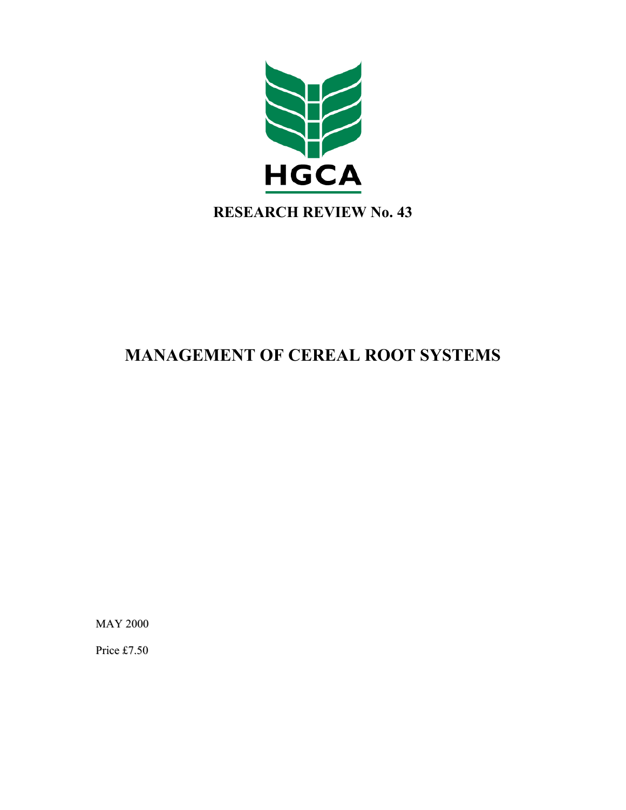

# **MANAGEMENT OF CEREAL ROOT SYSTEMS**

MAY 2000

Price £7.50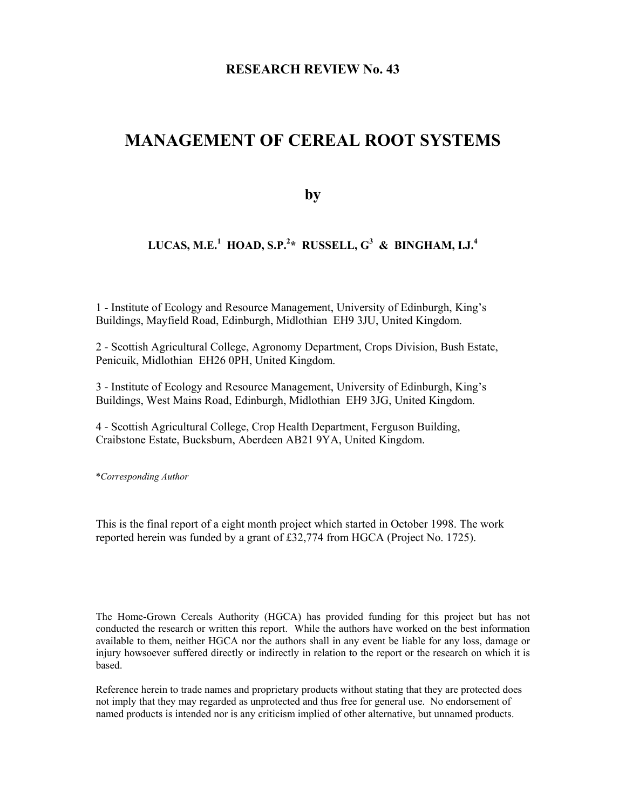### **RESEARCH REVIEW No. 43**

## **MANAGEMENT OF CEREAL ROOT SYSTEMS**

**by** 

### **LUCAS, M.E.<sup>1</sup> HOAD, S.P.2 \* RUSSELL, G3 & BINGHAM, I.J.4**

1 - Institute of Ecology and Resource Management, University of Edinburgh, King's Buildings, Mayfield Road, Edinburgh, Midlothian EH9 3JU, United Kingdom.

2 - Scottish Agricultural College, Agronomy Department, Crops Division, Bush Estate, Penicuik, Midlothian EH26 0PH, United Kingdom.

3 - Institute of Ecology and Resource Management, University of Edinburgh, King's Buildings, West Mains Road, Edinburgh, Midlothian EH9 3JG, United Kingdom.

4 - Scottish Agricultural College, Crop Health Department, Ferguson Building, Craibstone Estate, Bucksburn, Aberdeen AB21 9YA, United Kingdom.

\**Corresponding Author*

This is the final report of a eight month project which started in October 1998. The work reported herein was funded by a grant of £32,774 from HGCA (Project No. 1725).

The Home-Grown Cereals Authority (HGCA) has provided funding for this project but has not conducted the research or written this report. While the authors have worked on the best information available to them, neither HGCA nor the authors shall in any event be liable for any loss, damage or injury howsoever suffered directly or indirectly in relation to the report or the research on which it is based.

Reference herein to trade names and proprietary products without stating that they are protected does not imply that they may regarded as unprotected and thus free for general use. No endorsement of named products is intended nor is any criticism implied of other alternative, but unnamed products.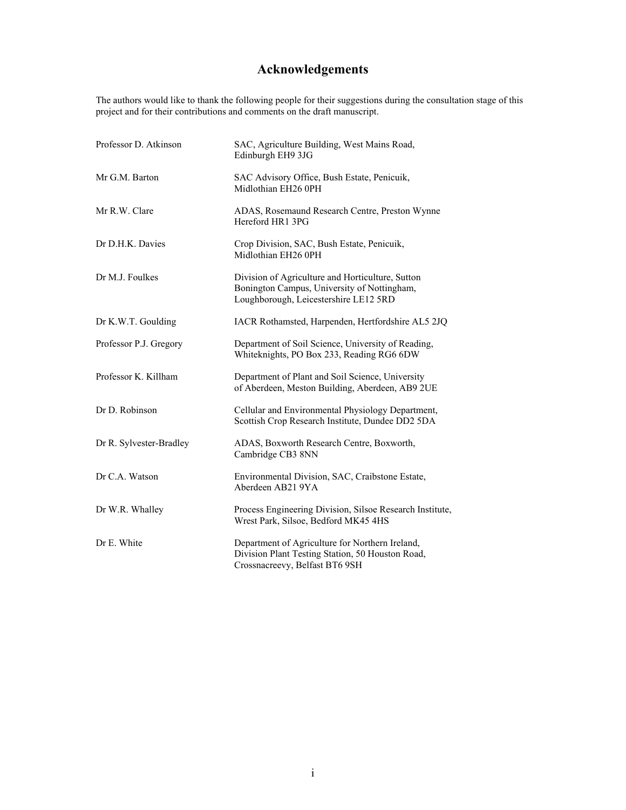## **Acknowledgements**

The authors would like to thank the following people for their suggestions during the consultation stage of this project and for their contributions and comments on the draft manuscript.

| Professor D. Atkinson   | SAC, Agriculture Building, West Mains Road,<br>Edinburgh EH9 3JG                                                                         |
|-------------------------|------------------------------------------------------------------------------------------------------------------------------------------|
| Mr G.M. Barton          | SAC Advisory Office, Bush Estate, Penicuik,<br>Midlothian EH26 0PH                                                                       |
| Mr R.W. Clare           | ADAS, Rosemaund Research Centre, Preston Wynne<br>Hereford HR1 3PG                                                                       |
| Dr D.H.K. Davies        | Crop Division, SAC, Bush Estate, Penicuik,<br>Midlothian EH26 0PH                                                                        |
| Dr M.J. Foulkes         | Division of Agriculture and Horticulture, Sutton<br>Bonington Campus, University of Nottingham,<br>Loughborough, Leicestershire LE12 5RD |
| Dr K.W.T. Goulding      | IACR Rothamsted, Harpenden, Hertfordshire AL5 2JQ                                                                                        |
| Professor P.J. Gregory  | Department of Soil Science, University of Reading,<br>Whiteknights, PO Box 233, Reading RG6 6DW                                          |
| Professor K. Killham    | Department of Plant and Soil Science, University<br>of Aberdeen, Meston Building, Aberdeen, AB9 2UE                                      |
| Dr D. Robinson          | Cellular and Environmental Physiology Department,<br>Scottish Crop Research Institute, Dundee DD2 5DA                                    |
| Dr R. Sylvester-Bradley | ADAS, Boxworth Research Centre, Boxworth,<br>Cambridge CB3 8NN                                                                           |
| Dr C.A. Watson          | Environmental Division, SAC, Craibstone Estate,<br>Aberdeen AB21 9YA                                                                     |
| Dr W.R. Whalley         | Process Engineering Division, Silsoe Research Institute,<br>Wrest Park, Silsoe, Bedford MK45 4HS                                         |
| Dr E. White             | Department of Agriculture for Northern Ireland,<br>Division Plant Testing Station, 50 Houston Road,<br>Crossnacreevy, Belfast BT6 9SH    |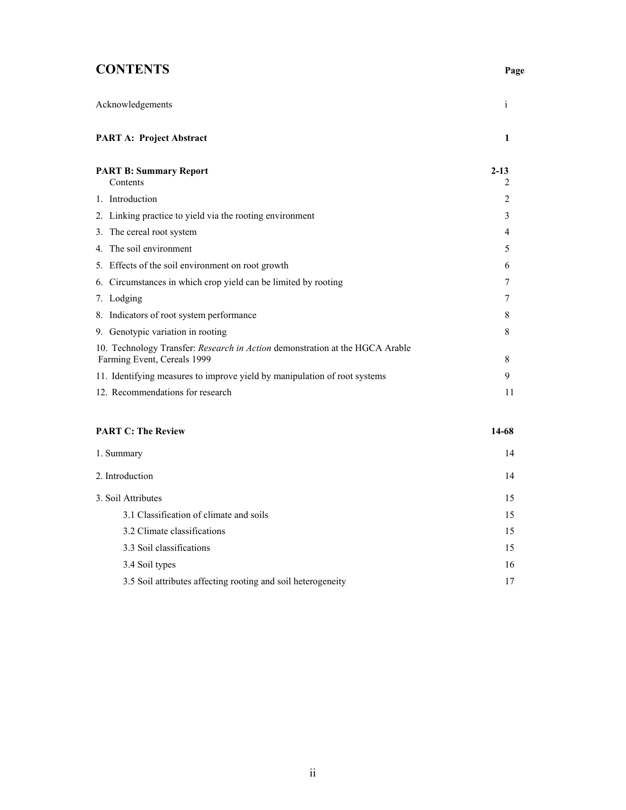## **CONTENTS Page**

| Acknowledgements                                                                                            | $\mathbf{1}$ |
|-------------------------------------------------------------------------------------------------------------|--------------|
| <b>PART A: Project Abstract</b>                                                                             | 1            |
| <b>PART B: Summary Report</b><br>Contents                                                                   | $2 - 13$     |
| 1. Introduction                                                                                             | 2            |
| 2. Linking practice to yield via the rooting environment                                                    | 3            |
| 3. The cereal root system                                                                                   | 4            |
| 4. The soil environment                                                                                     | 5            |
| 5. Effects of the soil environment on root growth                                                           | 6            |
| 6. Circumstances in which crop yield can be limited by rooting                                              |              |
| 7. Lodging                                                                                                  |              |
| 8. Indicators of root system performance                                                                    | 8            |
| 9. Genotypic variation in rooting                                                                           | 8            |
| 10. Technology Transfer: Research in Action demonstration at the HGCA Arable<br>Farming Event, Cereals 1999 | 8            |
| 11. Identifying measures to improve yield by manipulation of root systems                                   | 9            |
| 12. Recommendations for research                                                                            | 11           |
| <b>PART C: The Review</b>                                                                                   | 14-68        |

| 1. Summary                                                   | 14 |
|--------------------------------------------------------------|----|
| 2. Introduction                                              | 14 |
| 3. Soil Attributes                                           | 15 |
| 3.1 Classification of climate and soils                      | 15 |
| 3.2 Climate classifications                                  | 15 |
| 3.3 Soil classifications                                     | 15 |
| 3.4 Soil types                                               | 16 |
| 3.5 Soil attributes affecting rooting and soil heterogeneity | 17 |
|                                                              |    |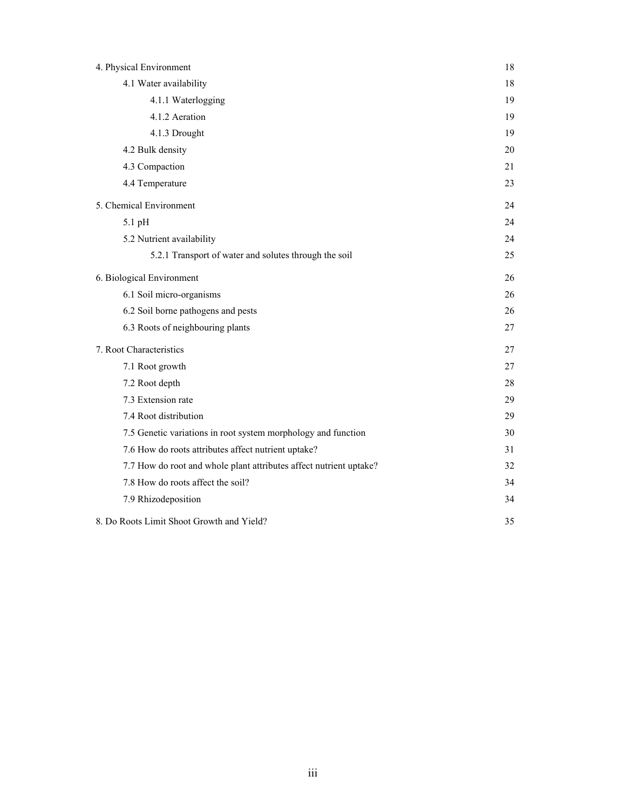| 4. Physical Environment                                            | 18 |
|--------------------------------------------------------------------|----|
| 4.1 Water availability                                             | 18 |
| 4.1.1 Waterlogging                                                 | 19 |
| 4.1.2 Aeration                                                     | 19 |
| 4.1.3 Drought                                                      | 19 |
| 4.2 Bulk density                                                   | 20 |
| 4.3 Compaction                                                     | 21 |
| 4.4 Temperature                                                    | 23 |
| 5. Chemical Environment                                            | 24 |
| 5.1 pH                                                             | 24 |
| 5.2 Nutrient availability                                          | 24 |
| 5.2.1 Transport of water and solutes through the soil              | 25 |
| 6. Biological Environment                                          | 26 |
| 6.1 Soil micro-organisms                                           | 26 |
| 6.2 Soil borne pathogens and pests                                 | 26 |
| 6.3 Roots of neighbouring plants                                   | 27 |
| 7. Root Characteristics                                            | 27 |
| 7.1 Root growth                                                    | 27 |
| 7.2 Root depth                                                     | 28 |
| 7.3 Extension rate                                                 | 29 |
| 7.4 Root distribution                                              | 29 |
| 7.5 Genetic variations in root system morphology and function      | 30 |
| 7.6 How do roots attributes affect nutrient uptake?                | 31 |
| 7.7 How do root and whole plant attributes affect nutrient uptake? | 32 |
| 7.8 How do roots affect the soil?                                  | 34 |
| 7.9 Rhizodeposition                                                | 34 |
| 8. Do Roots Limit Shoot Growth and Yield?                          | 35 |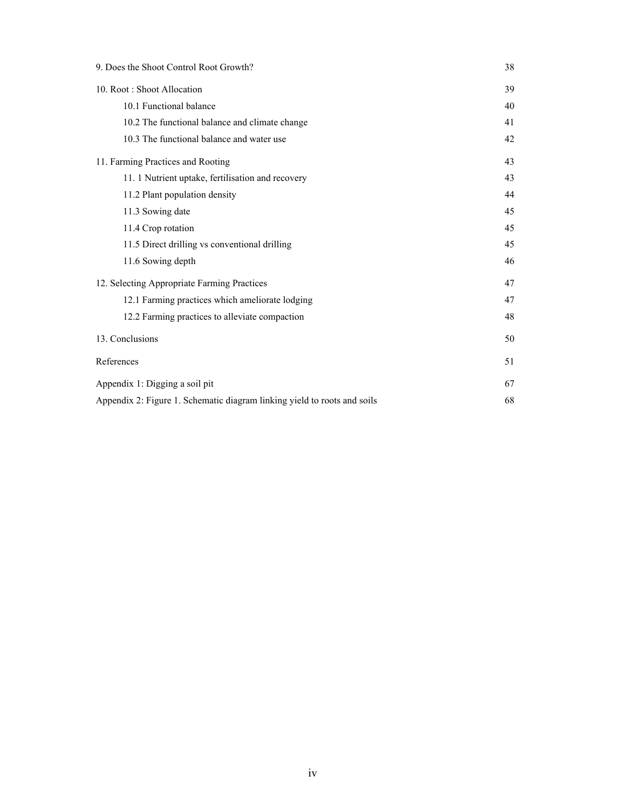| 9. Does the Shoot Control Root Growth?                                   | 38 |
|--------------------------------------------------------------------------|----|
| 10. Root: Shoot Allocation                                               |    |
| 10.1 Functional balance                                                  | 40 |
| 10.2 The functional balance and climate change                           | 41 |
| 10.3 The functional balance and water use                                | 42 |
| 11. Farming Practices and Rooting                                        | 43 |
| 11. 1 Nutrient uptake, fertilisation and recovery                        | 43 |
| 11.2 Plant population density                                            | 44 |
| 11.3 Sowing date                                                         | 45 |
| 11.4 Crop rotation                                                       | 45 |
| 11.5 Direct drilling vs conventional drilling                            | 45 |
| 11.6 Sowing depth                                                        | 46 |
| 12. Selecting Appropriate Farming Practices                              |    |
| 12.1 Farming practices which ameliorate lodging                          | 47 |
| 12.2 Farming practices to alleviate compaction                           | 48 |
| 13. Conclusions                                                          | 50 |
| References                                                               | 51 |
| Appendix 1: Digging a soil pit                                           |    |
| Appendix 2: Figure 1. Schematic diagram linking yield to roots and soils |    |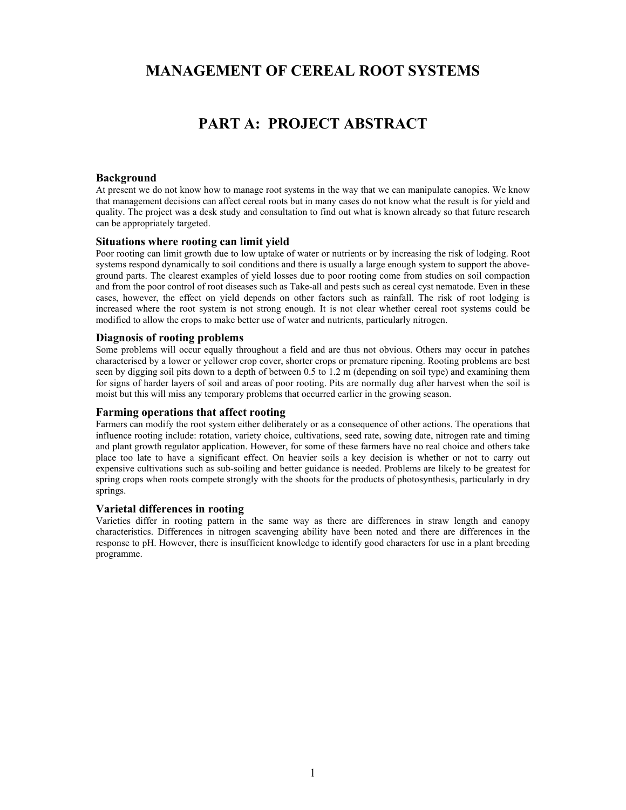## **MANAGEMENT OF CEREAL ROOT SYSTEMS**

## **PART A: PROJECT ABSTRACT**

#### **Background**

At present we do not know how to manage root systems in the way that we can manipulate canopies. We know that management decisions can affect cereal roots but in many cases do not know what the result is for yield and quality. The project was a desk study and consultation to find out what is known already so that future research can be appropriately targeted.

#### **Situations where rooting can limit yield**

Poor rooting can limit growth due to low uptake of water or nutrients or by increasing the risk of lodging. Root systems respond dynamically to soil conditions and there is usually a large enough system to support the aboveground parts. The clearest examples of yield losses due to poor rooting come from studies on soil compaction and from the poor control of root diseases such as Take-all and pests such as cereal cyst nematode. Even in these cases, however, the effect on yield depends on other factors such as rainfall. The risk of root lodging is increased where the root system is not strong enough. It is not clear whether cereal root systems could be modified to allow the crops to make better use of water and nutrients, particularly nitrogen.

#### **Diagnosis of rooting problems**

Some problems will occur equally throughout a field and are thus not obvious. Others may occur in patches characterised by a lower or yellower crop cover, shorter crops or premature ripening. Rooting problems are best seen by digging soil pits down to a depth of between 0.5 to 1.2 m (depending on soil type) and examining them for signs of harder layers of soil and areas of poor rooting. Pits are normally dug after harvest when the soil is moist but this will miss any temporary problems that occurred earlier in the growing season.

#### **Farming operations that affect rooting**

Farmers can modify the root system either deliberately or as a consequence of other actions. The operations that influence rooting include: rotation, variety choice, cultivations, seed rate, sowing date, nitrogen rate and timing and plant growth regulator application. However, for some of these farmers have no real choice and others take place too late to have a significant effect. On heavier soils a key decision is whether or not to carry out expensive cultivations such as sub-soiling and better guidance is needed. Problems are likely to be greatest for spring crops when roots compete strongly with the shoots for the products of photosynthesis, particularly in dry springs.

#### **Varietal differences in rooting**

Varieties differ in rooting pattern in the same way as there are differences in straw length and canopy characteristics. Differences in nitrogen scavenging ability have been noted and there are differences in the response to pH. However, there is insufficient knowledge to identify good characters for use in a plant breeding programme.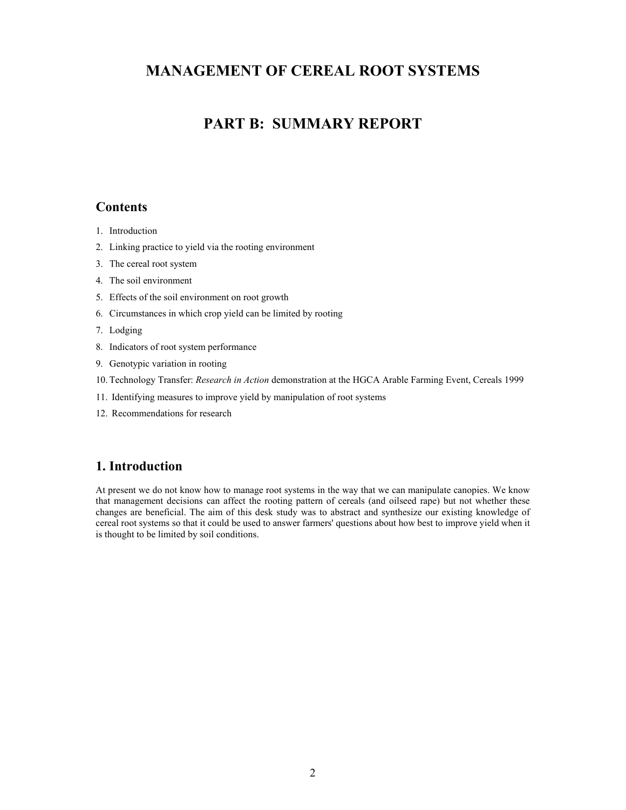## **MANAGEMENT OF CEREAL ROOT SYSTEMS**

## **PART B: SUMMARY REPORT**

### **Contents**

- 1. Introduction
- 2. Linking practice to yield via the rooting environment
- 3. The cereal root system
- 4. The soil environment
- 5. Effects of the soil environment on root growth
- 6. Circumstances in which crop yield can be limited by rooting
- 7. Lodging
- 8. Indicators of root system performance
- 9. Genotypic variation in rooting
- 10. Technology Transfer: *Research in Action* demonstration at the HGCA Arable Farming Event, Cereals 1999
- 11. Identifying measures to improve yield by manipulation of root systems
- 12. Recommendations for research

## **1. Introduction**

At present we do not know how to manage root systems in the way that we can manipulate canopies. We know that management decisions can affect the rooting pattern of cereals (and oilseed rape) but not whether these changes are beneficial. The aim of this desk study was to abstract and synthesize our existing knowledge of cereal root systems so that it could be used to answer farmers' questions about how best to improve yield when it is thought to be limited by soil conditions.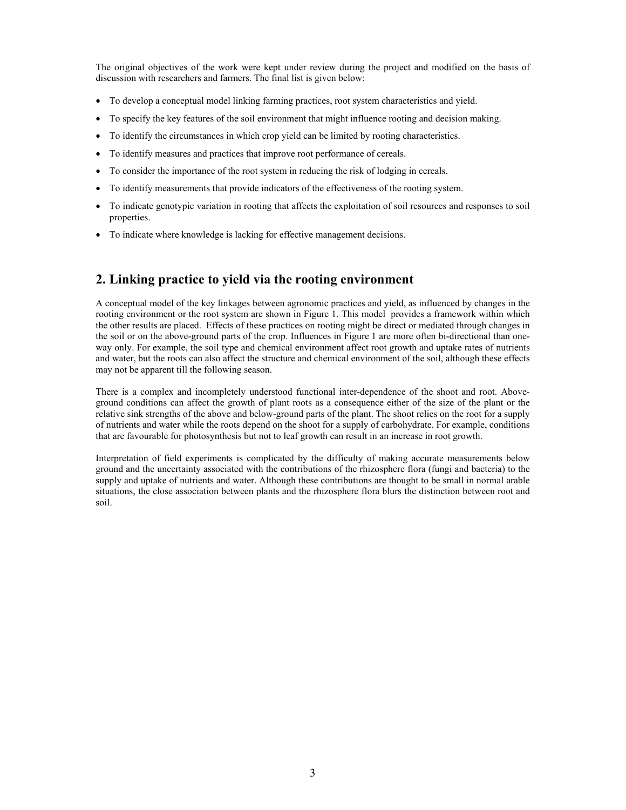The original objectives of the work were kept under review during the project and modified on the basis of discussion with researchers and farmers. The final list is given below:

- To develop a conceptual model linking farming practices, root system characteristics and yield.
- To specify the key features of the soil environment that might influence rooting and decision making.
- To identify the circumstances in which crop yield can be limited by rooting characteristics.
- To identify measures and practices that improve root performance of cereals.
- To consider the importance of the root system in reducing the risk of lodging in cereals.
- To identify measurements that provide indicators of the effectiveness of the rooting system.
- To indicate genotypic variation in rooting that affects the exploitation of soil resources and responses to soil properties.
- To indicate where knowledge is lacking for effective management decisions.

## **2. Linking practice to yield via the rooting environment**

A conceptual model of the key linkages between agronomic practices and yield, as influenced by changes in the rooting environment or the root system are shown in Figure 1. This model provides a framework within which the other results are placed. Effects of these practices on rooting might be direct or mediated through changes in the soil or on the above-ground parts of the crop. Influences in Figure 1 are more often bi-directional than oneway only. For example, the soil type and chemical environment affect root growth and uptake rates of nutrients and water, but the roots can also affect the structure and chemical environment of the soil, although these effects may not be apparent till the following season.

There is a complex and incompletely understood functional inter-dependence of the shoot and root. Aboveground conditions can affect the growth of plant roots as a consequence either of the size of the plant or the relative sink strengths of the above and below-ground parts of the plant. The shoot relies on the root for a supply of nutrients and water while the roots depend on the shoot for a supply of carbohydrate. For example, conditions that are favourable for photosynthesis but not to leaf growth can result in an increase in root growth.

Interpretation of field experiments is complicated by the difficulty of making accurate measurements below ground and the uncertainty associated with the contributions of the rhizosphere flora (fungi and bacteria) to the supply and uptake of nutrients and water. Although these contributions are thought to be small in normal arable situations, the close association between plants and the rhizosphere flora blurs the distinction between root and soil.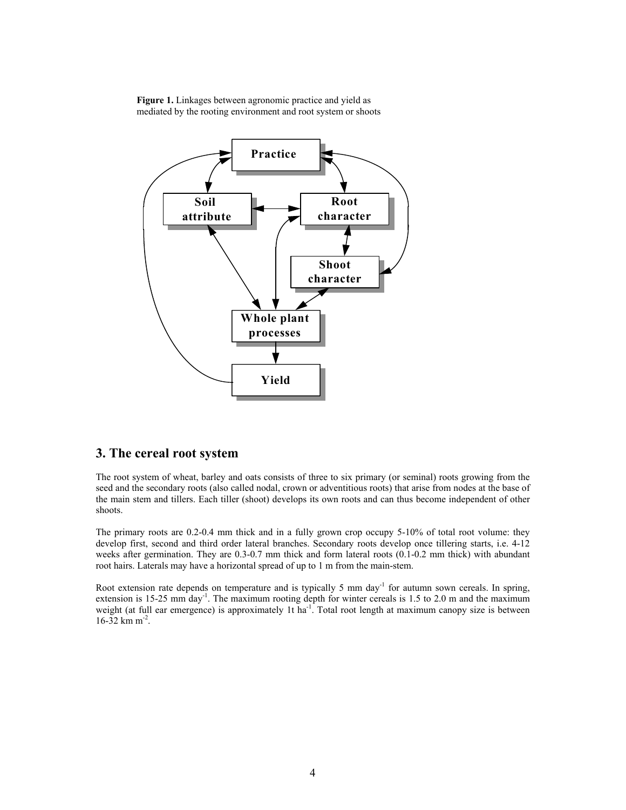**Figure 1.** Linkages between agronomic practice and yield as mediated by the rooting environment and root system or shoots



## **3. The cereal root system**

The root system of wheat, barley and oats consists of three to six primary (or seminal) roots growing from the seed and the secondary roots (also called nodal, crown or adventitious roots) that arise from nodes at the base of the main stem and tillers. Each tiller (shoot) develops its own roots and can thus become independent of other shoots.

The primary roots are 0.2-0.4 mm thick and in a fully grown crop occupy 5-10% of total root volume: they develop first, second and third order lateral branches. Secondary roots develop once tillering starts, i.e. 4-12 weeks after germination. They are 0.3-0.7 mm thick and form lateral roots (0.1-0.2 mm thick) with abundant root hairs. Laterals may have a horizontal spread of up to 1 m from the main-stem.

Root extension rate depends on temperature and is typically 5 mm day<sup>-1</sup> for autumn sown cereals. In spring, extension is 15-25 mm day<sup>-1</sup>. The maximum rooting depth for winter cereals is 1.5 to 2.0 m and the maximum weight (at full ear emergence) is approximately 1t ha<sup>-1</sup>. Total root length at maximum canopy size is between  $16-32$  km m<sup>-2</sup>.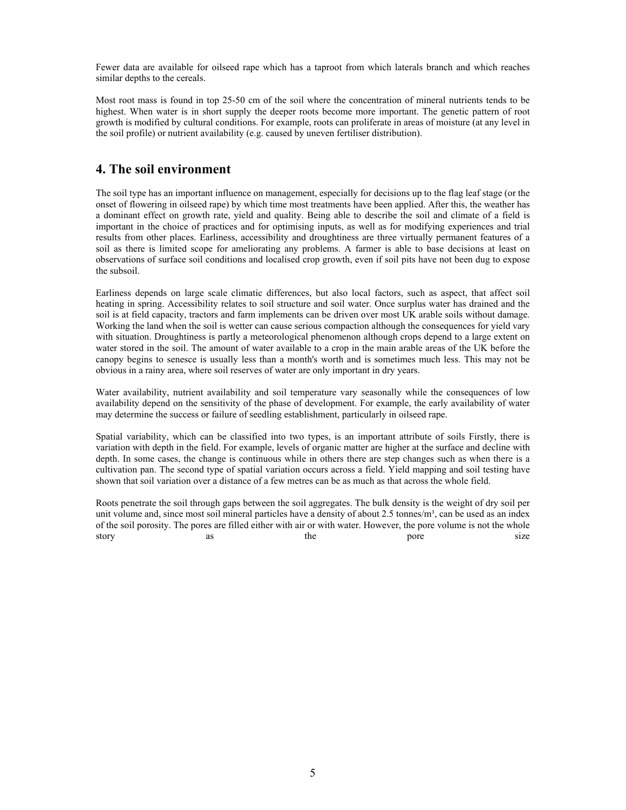Fewer data are available for oilseed rape which has a taproot from which laterals branch and which reaches similar depths to the cereals.

Most root mass is found in top 25-50 cm of the soil where the concentration of mineral nutrients tends to be highest. When water is in short supply the deeper roots become more important. The genetic pattern of root growth is modified by cultural conditions. For example, roots can proliferate in areas of moisture (at any level in the soil profile) or nutrient availability (e.g. caused by uneven fertiliser distribution).

### **4. The soil environment**

The soil type has an important influence on management, especially for decisions up to the flag leaf stage (or the onset of flowering in oilseed rape) by which time most treatments have been applied. After this, the weather has a dominant effect on growth rate, yield and quality. Being able to describe the soil and climate of a field is important in the choice of practices and for optimising inputs, as well as for modifying experiences and trial results from other places. Earliness, accessibility and droughtiness are three virtually permanent features of a soil as there is limited scope for ameliorating any problems. A farmer is able to base decisions at least on observations of surface soil conditions and localised crop growth, even if soil pits have not been dug to expose the subsoil.

Earliness depends on large scale climatic differences, but also local factors, such as aspect, that affect soil heating in spring. Accessibility relates to soil structure and soil water. Once surplus water has drained and the soil is at field capacity, tractors and farm implements can be driven over most UK arable soils without damage. Working the land when the soil is wetter can cause serious compaction although the consequences for yield vary with situation. Droughtiness is partly a meteorological phenomenon although crops depend to a large extent on water stored in the soil. The amount of water available to a crop in the main arable areas of the UK before the canopy begins to senesce is usually less than a month's worth and is sometimes much less. This may not be obvious in a rainy area, where soil reserves of water are only important in dry years.

Water availability, nutrient availability and soil temperature vary seasonally while the consequences of low availability depend on the sensitivity of the phase of development. For example, the early availability of water may determine the success or failure of seedling establishment, particularly in oilseed rape.

Spatial variability, which can be classified into two types, is an important attribute of soils Firstly, there is variation with depth in the field. For example, levels of organic matter are higher at the surface and decline with depth. In some cases, the change is continuous while in others there are step changes such as when there is a cultivation pan. The second type of spatial variation occurs across a field. Yield mapping and soil testing have shown that soil variation over a distance of a few metres can be as much as that across the whole field.

Roots penetrate the soil through gaps between the soil aggregates. The bulk density is the weight of dry soil per unit volume and, since most soil mineral particles have a density of about 2.5 tonnes/ $m<sup>3</sup>$ , can be used as an index of the soil porosity. The pores are filled either with air or with water. However, the pore volume is not the whole story as the pore size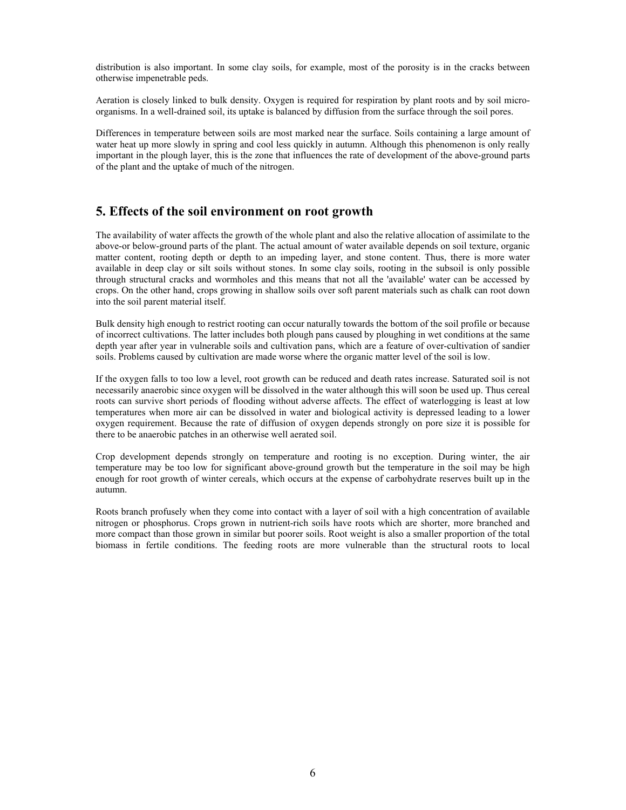distribution is also important. In some clay soils, for example, most of the porosity is in the cracks between otherwise impenetrable peds.

Aeration is closely linked to bulk density. Oxygen is required for respiration by plant roots and by soil microorganisms. In a well-drained soil, its uptake is balanced by diffusion from the surface through the soil pores.

Differences in temperature between soils are most marked near the surface. Soils containing a large amount of water heat up more slowly in spring and cool less quickly in autumn. Although this phenomenon is only really important in the plough layer, this is the zone that influences the rate of development of the above-ground parts of the plant and the uptake of much of the nitrogen.

### **5. Effects of the soil environment on root growth**

The availability of water affects the growth of the whole plant and also the relative allocation of assimilate to the above-or below-ground parts of the plant. The actual amount of water available depends on soil texture, organic matter content, rooting depth or depth to an impeding layer, and stone content. Thus, there is more water available in deep clay or silt soils without stones. In some clay soils, rooting in the subsoil is only possible through structural cracks and wormholes and this means that not all the 'available' water can be accessed by crops. On the other hand, crops growing in shallow soils over soft parent materials such as chalk can root down into the soil parent material itself.

Bulk density high enough to restrict rooting can occur naturally towards the bottom of the soil profile or because of incorrect cultivations. The latter includes both plough pans caused by ploughing in wet conditions at the same depth year after year in vulnerable soils and cultivation pans, which are a feature of over-cultivation of sandier soils. Problems caused by cultivation are made worse where the organic matter level of the soil is low.

If the oxygen falls to too low a level, root growth can be reduced and death rates increase. Saturated soil is not necessarily anaerobic since oxygen will be dissolved in the water although this will soon be used up. Thus cereal roots can survive short periods of flooding without adverse affects. The effect of waterlogging is least at low temperatures when more air can be dissolved in water and biological activity is depressed leading to a lower oxygen requirement. Because the rate of diffusion of oxygen depends strongly on pore size it is possible for there to be anaerobic patches in an otherwise well aerated soil.

Crop development depends strongly on temperature and rooting is no exception. During winter, the air temperature may be too low for significant above-ground growth but the temperature in the soil may be high enough for root growth of winter cereals, which occurs at the expense of carbohydrate reserves built up in the autumn.

Roots branch profusely when they come into contact with a layer of soil with a high concentration of available nitrogen or phosphorus. Crops grown in nutrient-rich soils have roots which are shorter, more branched and more compact than those grown in similar but poorer soils. Root weight is also a smaller proportion of the total biomass in fertile conditions. The feeding roots are more vulnerable than the structural roots to local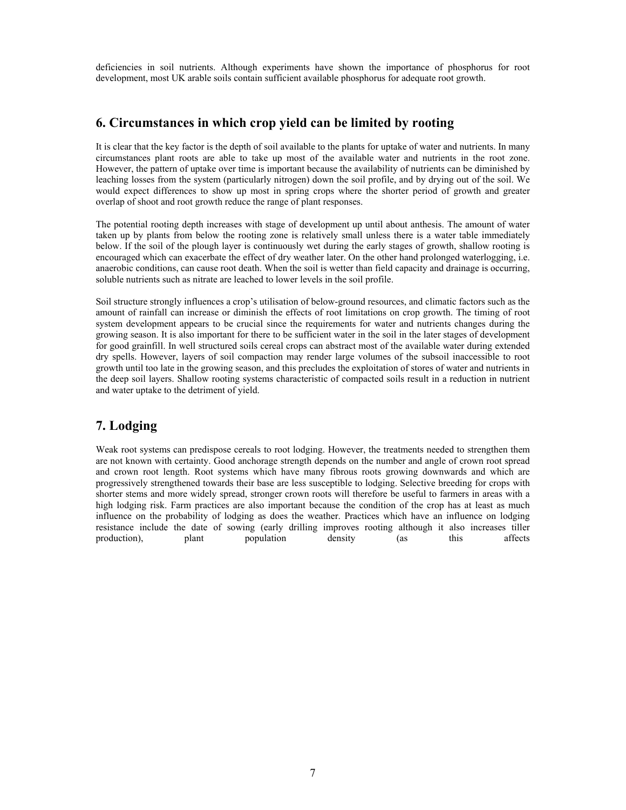deficiencies in soil nutrients. Although experiments have shown the importance of phosphorus for root development, most UK arable soils contain sufficient available phosphorus for adequate root growth.

### **6. Circumstances in which crop yield can be limited by rooting**

It is clear that the key factor is the depth of soil available to the plants for uptake of water and nutrients. In many circumstances plant roots are able to take up most of the available water and nutrients in the root zone. However, the pattern of uptake over time is important because the availability of nutrients can be diminished by leaching losses from the system (particularly nitrogen) down the soil profile, and by drying out of the soil. We would expect differences to show up most in spring crops where the shorter period of growth and greater overlap of shoot and root growth reduce the range of plant responses.

The potential rooting depth increases with stage of development up until about anthesis. The amount of water taken up by plants from below the rooting zone is relatively small unless there is a water table immediately below. If the soil of the plough layer is continuously wet during the early stages of growth, shallow rooting is encouraged which can exacerbate the effect of dry weather later. On the other hand prolonged waterlogging, i.e. anaerobic conditions, can cause root death. When the soil is wetter than field capacity and drainage is occurring, soluble nutrients such as nitrate are leached to lower levels in the soil profile.

Soil structure strongly influences a crop's utilisation of below-ground resources, and climatic factors such as the amount of rainfall can increase or diminish the effects of root limitations on crop growth. The timing of root system development appears to be crucial since the requirements for water and nutrients changes during the growing season. It is also important for there to be sufficient water in the soil in the later stages of development for good grainfill. In well structured soils cereal crops can abstract most of the available water during extended dry spells. However, layers of soil compaction may render large volumes of the subsoil inaccessible to root growth until too late in the growing season, and this precludes the exploitation of stores of water and nutrients in the deep soil layers. Shallow rooting systems characteristic of compacted soils result in a reduction in nutrient and water uptake to the detriment of yield.

## **7. Lodging**

Weak root systems can predispose cereals to root lodging. However, the treatments needed to strengthen them are not known with certainty. Good anchorage strength depends on the number and angle of crown root spread and crown root length. Root systems which have many fibrous roots growing downwards and which are progressively strengthened towards their base are less susceptible to lodging. Selective breeding for crops with shorter stems and more widely spread, stronger crown roots will therefore be useful to farmers in areas with a high lodging risk. Farm practices are also important because the condition of the crop has at least as much influence on the probability of lodging as does the weather. Practices which have an influence on lodging resistance include the date of sowing (early drilling improves rooting although it also increases tiller production), plant population density (as this affects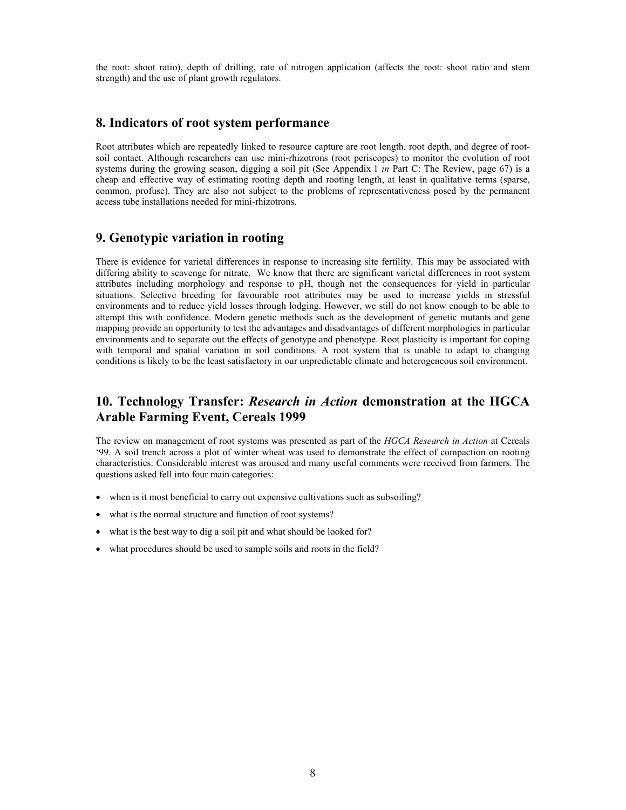the root: shoot ratio), depth of drilling, rate of nitrogen application (affects the root: shoot ratio and stem strength) and the use of plant growth regulators.

### **8. Indicators of root system performance**

Root attributes which are repeatedly linked to resource capture are root length, root depth, and degree of rootsoil contact. Although researchers can use mini-rhizotrons (root periscopes) to monitor the evolution of root systems during the growing season, digging a soil pit (See Appendix 1 *in* Part C: The Review, page 67) is a cheap and effective way of estimating rooting depth and rooting length, at least in qualitative terms (sparse, common, profuse). They are also not subject to the problems of representativeness posed by the permanent access tube installations needed for mini-rhizotrons.

### **9. Genotypic variation in rooting**

There is evidence for varietal differences in response to increasing site fertility. This may be associated with differing ability to scavenge for nitrate. We know that there are significant varietal differences in root system attributes including morphology and response to pH, though not the consequences for yield in particular situations. Selective breeding for favourable root attributes may be used to increase yields in stressful environments and to reduce yield losses through lodging. However, we still do not know enough to be able to attempt this with confidence. Modern genetic methods such as the development of genetic mutants and gene mapping provide an opportunity to test the advantages and disadvantages of different morphologies in particular environments and to separate out the effects of genotype and phenotype. Root plasticity is important for coping with temporal and spatial variation in soil conditions. A root system that is unable to adapt to changing conditions is likely to be the least satisfactory in our unpredictable climate and heterogeneous soil environment.

## **10. Technology Transfer:** *Research in Action* **demonstration at the HGCA Arable Farming Event, Cereals 1999**

The review on management of root systems was presented as part of the *HGCA Research in Action* at Cereals '99. A soil trench across a plot of winter wheat was used to demonstrate the effect of compaction on rooting characteristics. Considerable interest was aroused and many useful comments were received from farmers. The questions asked fell into four main categories:

- when is it most beneficial to carry out expensive cultivations such as subsoiling?
- what is the normal structure and function of root systems?
- what is the best way to dig a soil pit and what should be looked for?
- what procedures should be used to sample soils and roots in the field?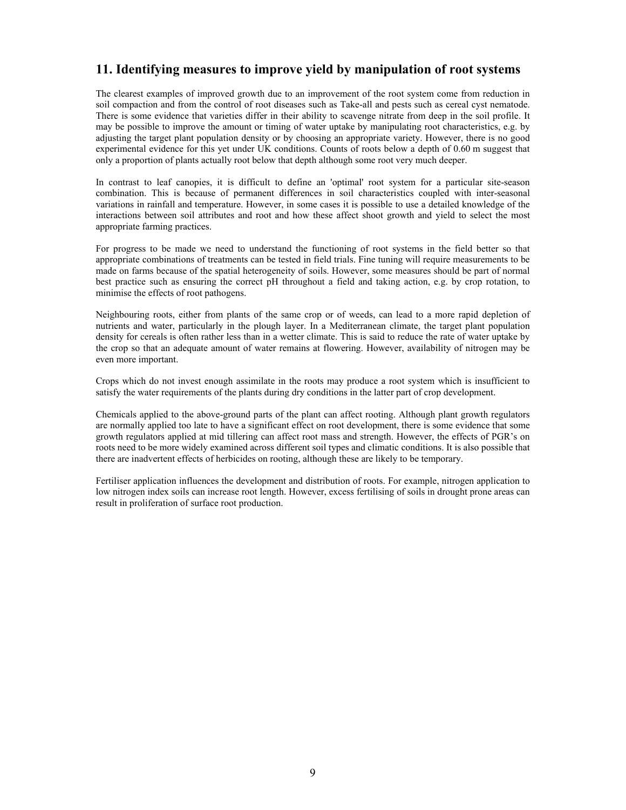## **11. Identifying measures to improve yield by manipulation of root systems**

The clearest examples of improved growth due to an improvement of the root system come from reduction in soil compaction and from the control of root diseases such as Take-all and pests such as cereal cyst nematode. There is some evidence that varieties differ in their ability to scavenge nitrate from deep in the soil profile. It may be possible to improve the amount or timing of water uptake by manipulating root characteristics, e.g. by adjusting the target plant population density or by choosing an appropriate variety. However, there is no good experimental evidence for this yet under UK conditions. Counts of roots below a depth of 0.60 m suggest that only a proportion of plants actually root below that depth although some root very much deeper.

In contrast to leaf canopies, it is difficult to define an 'optimal' root system for a particular site-season combination. This is because of permanent differences in soil characteristics coupled with inter-seasonal variations in rainfall and temperature. However, in some cases it is possible to use a detailed knowledge of the interactions between soil attributes and root and how these affect shoot growth and yield to select the most appropriate farming practices.

For progress to be made we need to understand the functioning of root systems in the field better so that appropriate combinations of treatments can be tested in field trials. Fine tuning will require measurements to be made on farms because of the spatial heterogeneity of soils. However, some measures should be part of normal best practice such as ensuring the correct pH throughout a field and taking action, e.g. by crop rotation, to minimise the effects of root pathogens.

Neighbouring roots, either from plants of the same crop or of weeds, can lead to a more rapid depletion of nutrients and water, particularly in the plough layer. In a Mediterranean climate, the target plant population density for cereals is often rather less than in a wetter climate. This is said to reduce the rate of water uptake by the crop so that an adequate amount of water remains at flowering. However, availability of nitrogen may be even more important.

Crops which do not invest enough assimilate in the roots may produce a root system which is insufficient to satisfy the water requirements of the plants during dry conditions in the latter part of crop development.

Chemicals applied to the above-ground parts of the plant can affect rooting. Although plant growth regulators are normally applied too late to have a significant effect on root development, there is some evidence that some growth regulators applied at mid tillering can affect root mass and strength. However, the effects of PGR's on roots need to be more widely examined across different soil types and climatic conditions. It is also possible that there are inadvertent effects of herbicides on rooting, although these are likely to be temporary.

Fertiliser application influences the development and distribution of roots. For example, nitrogen application to low nitrogen index soils can increase root length. However, excess fertilising of soils in drought prone areas can result in proliferation of surface root production.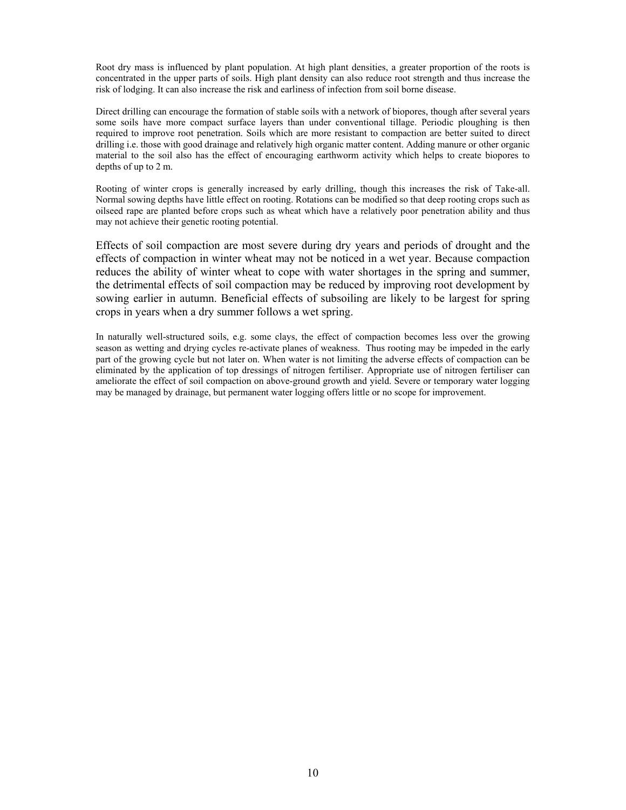Root dry mass is influenced by plant population. At high plant densities, a greater proportion of the roots is concentrated in the upper parts of soils. High plant density can also reduce root strength and thus increase the risk of lodging. It can also increase the risk and earliness of infection from soil borne disease.

Direct drilling can encourage the formation of stable soils with a network of biopores, though after several years some soils have more compact surface layers than under conventional tillage. Periodic ploughing is then required to improve root penetration. Soils which are more resistant to compaction are better suited to direct drilling i.e. those with good drainage and relatively high organic matter content. Adding manure or other organic material to the soil also has the effect of encouraging earthworm activity which helps to create biopores to depths of up to 2 m.

Rooting of winter crops is generally increased by early drilling, though this increases the risk of Take-all. Normal sowing depths have little effect on rooting. Rotations can be modified so that deep rooting crops such as oilseed rape are planted before crops such as wheat which have a relatively poor penetration ability and thus may not achieve their genetic rooting potential.

Effects of soil compaction are most severe during dry years and periods of drought and the effects of compaction in winter wheat may not be noticed in a wet year. Because compaction reduces the ability of winter wheat to cope with water shortages in the spring and summer, the detrimental effects of soil compaction may be reduced by improving root development by sowing earlier in autumn. Beneficial effects of subsoiling are likely to be largest for spring crops in years when a dry summer follows a wet spring.

In naturally well-structured soils, e.g. some clays, the effect of compaction becomes less over the growing season as wetting and drying cycles re-activate planes of weakness. Thus rooting may be impeded in the early part of the growing cycle but not later on. When water is not limiting the adverse effects of compaction can be eliminated by the application of top dressings of nitrogen fertiliser. Appropriate use of nitrogen fertiliser can ameliorate the effect of soil compaction on above-ground growth and yield. Severe or temporary water logging may be managed by drainage, but permanent water logging offers little or no scope for improvement.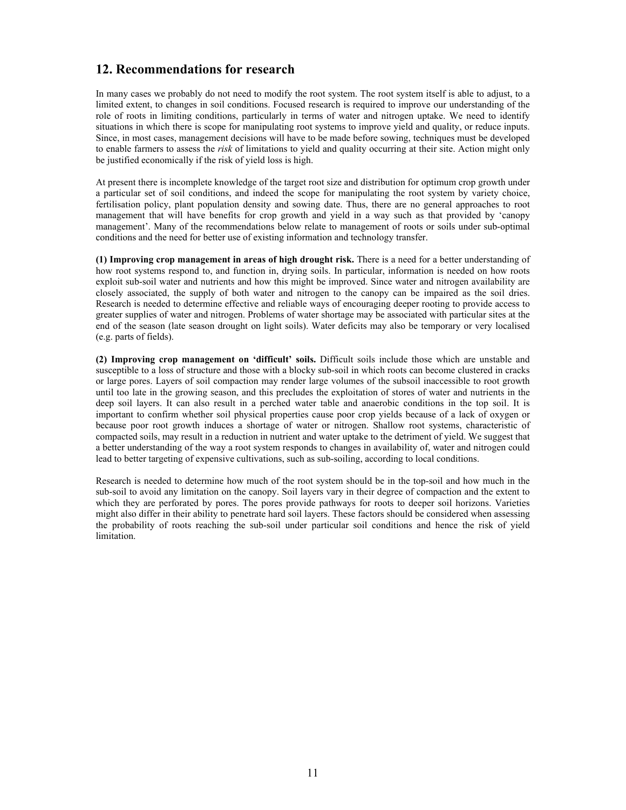## **12. Recommendations for research**

In many cases we probably do not need to modify the root system. The root system itself is able to adjust, to a limited extent, to changes in soil conditions. Focused research is required to improve our understanding of the role of roots in limiting conditions, particularly in terms of water and nitrogen uptake. We need to identify situations in which there is scope for manipulating root systems to improve yield and quality, or reduce inputs. Since, in most cases, management decisions will have to be made before sowing, techniques must be developed to enable farmers to assess the *risk* of limitations to yield and quality occurring at their site. Action might only be justified economically if the risk of yield loss is high.

At present there is incomplete knowledge of the target root size and distribution for optimum crop growth under a particular set of soil conditions, and indeed the scope for manipulating the root system by variety choice, fertilisation policy, plant population density and sowing date. Thus, there are no general approaches to root management that will have benefits for crop growth and yield in a way such as that provided by 'canopy management'. Many of the recommendations below relate to management of roots or soils under sub-optimal conditions and the need for better use of existing information and technology transfer.

**(1) Improving crop management in areas of high drought risk.** There is a need for a better understanding of how root systems respond to, and function in, drying soils. In particular, information is needed on how roots exploit sub-soil water and nutrients and how this might be improved. Since water and nitrogen availability are closely associated, the supply of both water and nitrogen to the canopy can be impaired as the soil dries. Research is needed to determine effective and reliable ways of encouraging deeper rooting to provide access to greater supplies of water and nitrogen. Problems of water shortage may be associated with particular sites at the end of the season (late season drought on light soils). Water deficits may also be temporary or very localised (e.g. parts of fields).

**(2) Improving crop management on 'difficult' soils.** Difficult soils include those which are unstable and susceptible to a loss of structure and those with a blocky sub-soil in which roots can become clustered in cracks or large pores. Layers of soil compaction may render large volumes of the subsoil inaccessible to root growth until too late in the growing season, and this precludes the exploitation of stores of water and nutrients in the deep soil layers. It can also result in a perched water table and anaerobic conditions in the top soil. It is important to confirm whether soil physical properties cause poor crop yields because of a lack of oxygen or because poor root growth induces a shortage of water or nitrogen. Shallow root systems, characteristic of compacted soils, may result in a reduction in nutrient and water uptake to the detriment of yield. We suggest that a better understanding of the way a root system responds to changes in availability of, water and nitrogen could lead to better targeting of expensive cultivations, such as sub-soiling, according to local conditions.

Research is needed to determine how much of the root system should be in the top-soil and how much in the sub-soil to avoid any limitation on the canopy. Soil layers vary in their degree of compaction and the extent to which they are perforated by pores. The pores provide pathways for roots to deeper soil horizons. Varieties might also differ in their ability to penetrate hard soil layers. These factors should be considered when assessing the probability of roots reaching the sub-soil under particular soil conditions and hence the risk of yield limitation.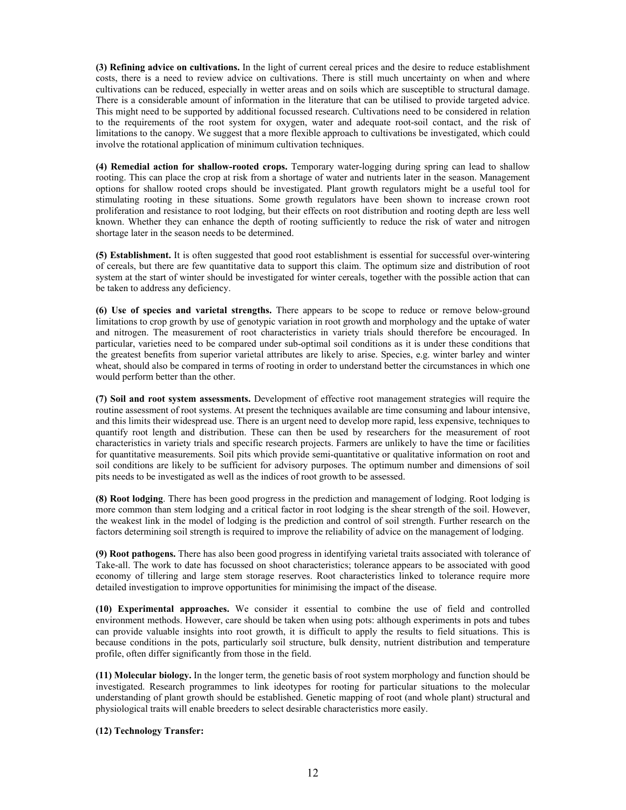**(3) Refining advice on cultivations.** In the light of current cereal prices and the desire to reduce establishment costs, there is a need to review advice on cultivations. There is still much uncertainty on when and where cultivations can be reduced, especially in wetter areas and on soils which are susceptible to structural damage. There is a considerable amount of information in the literature that can be utilised to provide targeted advice. This might need to be supported by additional focussed research. Cultivations need to be considered in relation to the requirements of the root system for oxygen, water and adequate root-soil contact, and the risk of limitations to the canopy. We suggest that a more flexible approach to cultivations be investigated, which could involve the rotational application of minimum cultivation techniques.

**(4) Remedial action for shallow-rooted crops.** Temporary water-logging during spring can lead to shallow rooting. This can place the crop at risk from a shortage of water and nutrients later in the season. Management options for shallow rooted crops should be investigated. Plant growth regulators might be a useful tool for stimulating rooting in these situations. Some growth regulators have been shown to increase crown root proliferation and resistance to root lodging, but their effects on root distribution and rooting depth are less well known. Whether they can enhance the depth of rooting sufficiently to reduce the risk of water and nitrogen shortage later in the season needs to be determined.

**(5) Establishment.** It is often suggested that good root establishment is essential for successful over-wintering of cereals, but there are few quantitative data to support this claim. The optimum size and distribution of root system at the start of winter should be investigated for winter cereals, together with the possible action that can be taken to address any deficiency.

**(6) Use of species and varietal strengths.** There appears to be scope to reduce or remove below-ground limitations to crop growth by use of genotypic variation in root growth and morphology and the uptake of water and nitrogen. The measurement of root characteristics in variety trials should therefore be encouraged. In particular, varieties need to be compared under sub-optimal soil conditions as it is under these conditions that the greatest benefits from superior varietal attributes are likely to arise. Species, e.g. winter barley and winter wheat, should also be compared in terms of rooting in order to understand better the circumstances in which one would perform better than the other.

**(7) Soil and root system assessments.** Development of effective root management strategies will require the routine assessment of root systems. At present the techniques available are time consuming and labour intensive, and this limits their widespread use. There is an urgent need to develop more rapid, less expensive, techniques to quantify root length and distribution. These can then be used by researchers for the measurement of root characteristics in variety trials and specific research projects. Farmers are unlikely to have the time or facilities for quantitative measurements. Soil pits which provide semi-quantitative or qualitative information on root and soil conditions are likely to be sufficient for advisory purposes. The optimum number and dimensions of soil pits needs to be investigated as well as the indices of root growth to be assessed.

**(8) Root lodging**. There has been good progress in the prediction and management of lodging. Root lodging is more common than stem lodging and a critical factor in root lodging is the shear strength of the soil. However, the weakest link in the model of lodging is the prediction and control of soil strength. Further research on the factors determining soil strength is required to improve the reliability of advice on the management of lodging.

**(9) Root pathogens.** There has also been good progress in identifying varietal traits associated with tolerance of Take-all. The work to date has focussed on shoot characteristics; tolerance appears to be associated with good economy of tillering and large stem storage reserves. Root characteristics linked to tolerance require more detailed investigation to improve opportunities for minimising the impact of the disease.

**(10) Experimental approaches.** We consider it essential to combine the use of field and controlled environment methods. However, care should be taken when using pots: although experiments in pots and tubes can provide valuable insights into root growth, it is difficult to apply the results to field situations. This is because conditions in the pots, particularly soil structure, bulk density, nutrient distribution and temperature profile, often differ significantly from those in the field.

**(11) Molecular biology.** In the longer term, the genetic basis of root system morphology and function should be investigated. Research programmes to link ideotypes for rooting for particular situations to the molecular understanding of plant growth should be established. Genetic mapping of root (and whole plant) structural and physiological traits will enable breeders to select desirable characteristics more easily.

**(12) Technology Transfer:**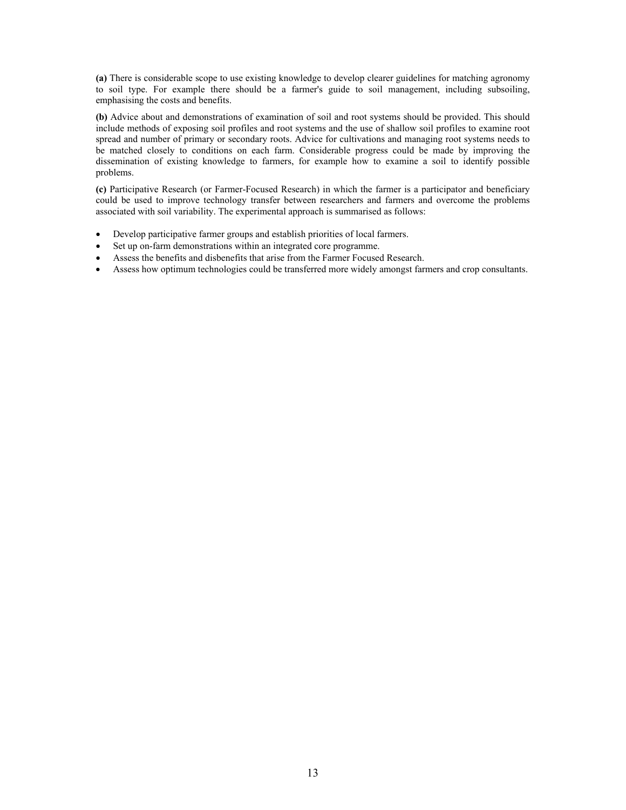**(a)** There is considerable scope to use existing knowledge to develop clearer guidelines for matching agronomy to soil type. For example there should be a farmer's guide to soil management, including subsoiling, emphasising the costs and benefits.

**(b)** Advice about and demonstrations of examination of soil and root systems should be provided. This should include methods of exposing soil profiles and root systems and the use of shallow soil profiles to examine root spread and number of primary or secondary roots. Advice for cultivations and managing root systems needs to be matched closely to conditions on each farm. Considerable progress could be made by improving the dissemination of existing knowledge to farmers, for example how to examine a soil to identify possible problems.

**(c)** Participative Research (or Farmer-Focused Research) in which the farmer is a participator and beneficiary could be used to improve technology transfer between researchers and farmers and overcome the problems associated with soil variability. The experimental approach is summarised as follows:

- Develop participative farmer groups and establish priorities of local farmers.
- Set up on-farm demonstrations within an integrated core programme.
- Assess the benefits and disbenefits that arise from the Farmer Focused Research.
- Assess how optimum technologies could be transferred more widely amongst farmers and crop consultants.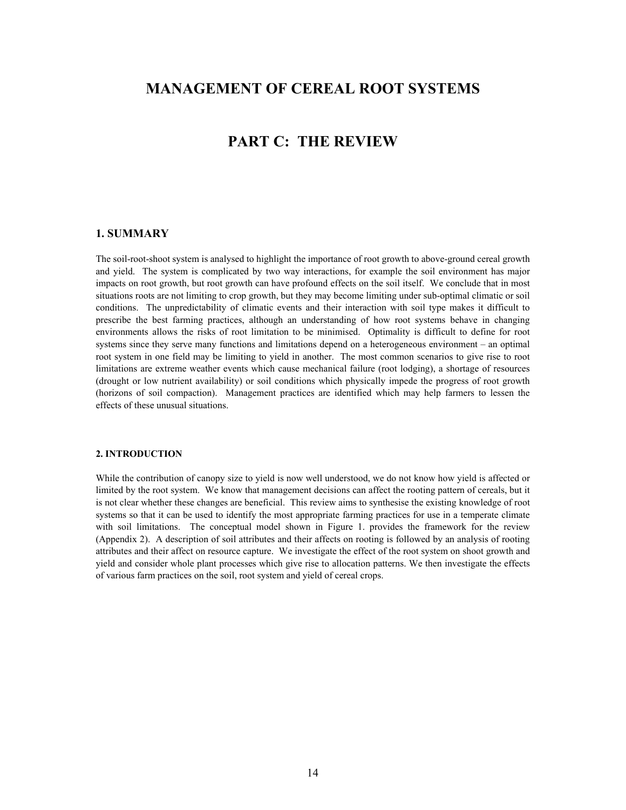## **MANAGEMENT OF CEREAL ROOT SYSTEMS**

## **PART C: THE REVIEW**

#### **1. SUMMARY**

The soil-root-shoot system is analysed to highlight the importance of root growth to above-ground cereal growth and yield. The system is complicated by two way interactions, for example the soil environment has major impacts on root growth, but root growth can have profound effects on the soil itself. We conclude that in most situations roots are not limiting to crop growth, but they may become limiting under sub-optimal climatic or soil conditions. The unpredictability of climatic events and their interaction with soil type makes it difficult to prescribe the best farming practices, although an understanding of how root systems behave in changing environments allows the risks of root limitation to be minimised. Optimality is difficult to define for root systems since they serve many functions and limitations depend on a heterogeneous environment – an optimal root system in one field may be limiting to yield in another. The most common scenarios to give rise to root limitations are extreme weather events which cause mechanical failure (root lodging), a shortage of resources (drought or low nutrient availability) or soil conditions which physically impede the progress of root growth (horizons of soil compaction). Management practices are identified which may help farmers to lessen the effects of these unusual situations.

#### **2. INTRODUCTION**

While the contribution of canopy size to yield is now well understood, we do not know how yield is affected or limited by the root system. We know that management decisions can affect the rooting pattern of cereals, but it is not clear whether these changes are beneficial. This review aims to synthesise the existing knowledge of root systems so that it can be used to identify the most appropriate farming practices for use in a temperate climate with soil limitations. The conceptual model shown in Figure 1. provides the framework for the review (Appendix 2). A description of soil attributes and their affects on rooting is followed by an analysis of rooting attributes and their affect on resource capture. We investigate the effect of the root system on shoot growth and yield and consider whole plant processes which give rise to allocation patterns. We then investigate the effects of various farm practices on the soil, root system and yield of cereal crops.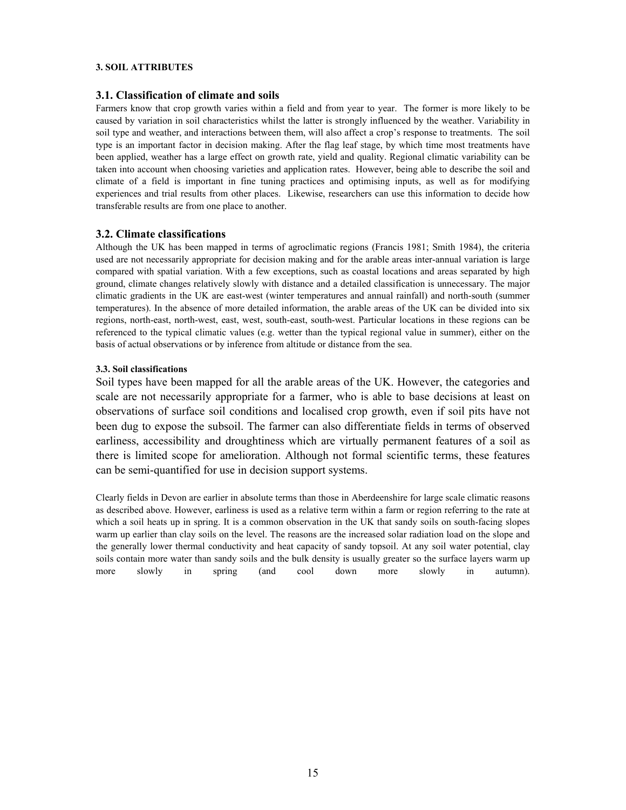#### **3. SOIL ATTRIBUTES**

#### **3.1. Classification of climate and soils**

Farmers know that crop growth varies within a field and from year to year. The former is more likely to be caused by variation in soil characteristics whilst the latter is strongly influenced by the weather. Variability in soil type and weather, and interactions between them, will also affect a crop's response to treatments. The soil type is an important factor in decision making. After the flag leaf stage, by which time most treatments have been applied, weather has a large effect on growth rate, yield and quality. Regional climatic variability can be taken into account when choosing varieties and application rates. However, being able to describe the soil and climate of a field is important in fine tuning practices and optimising inputs, as well as for modifying experiences and trial results from other places. Likewise, researchers can use this information to decide how transferable results are from one place to another.

#### **3.2. Climate classifications**

Although the UK has been mapped in terms of agroclimatic regions (Francis 1981; Smith 1984), the criteria used are not necessarily appropriate for decision making and for the arable areas inter-annual variation is large compared with spatial variation. With a few exceptions, such as coastal locations and areas separated by high ground, climate changes relatively slowly with distance and a detailed classification is unnecessary. The major climatic gradients in the UK are east-west (winter temperatures and annual rainfall) and north-south (summer temperatures). In the absence of more detailed information, the arable areas of the UK can be divided into six regions, north-east, north-west, east, west, south-east, south-west. Particular locations in these regions can be referenced to the typical climatic values (e.g. wetter than the typical regional value in summer), either on the basis of actual observations or by inference from altitude or distance from the sea.

#### **3.3. Soil classifications**

Soil types have been mapped for all the arable areas of the UK. However, the categories and scale are not necessarily appropriate for a farmer, who is able to base decisions at least on observations of surface soil conditions and localised crop growth, even if soil pits have not been dug to expose the subsoil. The farmer can also differentiate fields in terms of observed earliness, accessibility and droughtiness which are virtually permanent features of a soil as there is limited scope for amelioration. Although not formal scientific terms, these features can be semi-quantified for use in decision support systems.

Clearly fields in Devon are earlier in absolute terms than those in Aberdeenshire for large scale climatic reasons as described above. However, earliness is used as a relative term within a farm or region referring to the rate at which a soil heats up in spring. It is a common observation in the UK that sandy soils on south-facing slopes warm up earlier than clay soils on the level. The reasons are the increased solar radiation load on the slope and the generally lower thermal conductivity and heat capacity of sandy topsoil. At any soil water potential, clay soils contain more water than sandy soils and the bulk density is usually greater so the surface layers warm up more slowly in spring (and cool down more slowly in autumn).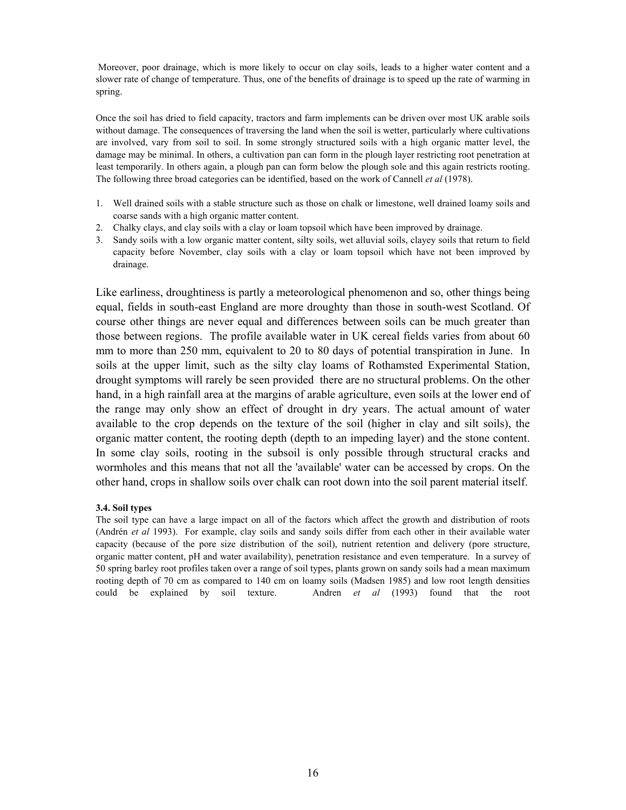Moreover, poor drainage, which is more likely to occur on clay soils, leads to a higher water content and a slower rate of change of temperature. Thus, one of the benefits of drainage is to speed up the rate of warming in spring.

Once the soil has dried to field capacity, tractors and farm implements can be driven over most UK arable soils without damage. The consequences of traversing the land when the soil is wetter, particularly where cultivations are involved, vary from soil to soil. In some strongly structured soils with a high organic matter level, the damage may be minimal. In others, a cultivation pan can form in the plough layer restricting root penetration at least temporarily. In others again, a plough pan can form below the plough sole and this again restricts rooting. The following three broad categories can be identified, based on the work of Cannell *et al* (1978).

- 1. Well drained soils with a stable structure such as those on chalk or limestone, well drained loamy soils and coarse sands with a high organic matter content.
- 2. Chalky clays, and clay soils with a clay or loam topsoil which have been improved by drainage.
- 3. Sandy soils with a low organic matter content, silty soils, wet alluvial soils, clayey soils that return to field capacity before November, clay soils with a clay or loam topsoil which have not been improved by drainage.

Like earliness, droughtiness is partly a meteorological phenomenon and so, other things being equal, fields in south-east England are more droughty than those in south-west Scotland. Of course other things are never equal and differences between soils can be much greater than those between regions. The profile available water in UK cereal fields varies from about 60 mm to more than 250 mm, equivalent to 20 to 80 days of potential transpiration in June. In soils at the upper limit, such as the silty clay loams of Rothamsted Experimental Station, drought symptoms will rarely be seen provided there are no structural problems. On the other hand, in a high rainfall area at the margins of arable agriculture, even soils at the lower end of the range may only show an effect of drought in dry years. The actual amount of water available to the crop depends on the texture of the soil (higher in clay and silt soils), the organic matter content, the rooting depth (depth to an impeding layer) and the stone content. In some clay soils, rooting in the subsoil is only possible through structural cracks and wormholes and this means that not all the 'available' water can be accessed by crops. On the other hand, crops in shallow soils over chalk can root down into the soil parent material itself.

#### **3.4. Soil types**

The soil type can have a large impact on all of the factors which affect the growth and distribution of roots (Andrén *et al* 1993). For example, clay soils and sandy soils differ from each other in their available water capacity (because of the pore size distribution of the soil), nutrient retention and delivery (pore structure, organic matter content, pH and water availability), penetration resistance and even temperature. In a survey of 50 spring barley root profiles taken over a range of soil types, plants grown on sandy soils had a mean maximum rooting depth of 70 cm as compared to 140 cm on loamy soils (Madsen 1985) and low root length densities could be explained by soil texture. Andren *et al* (1993) found that the root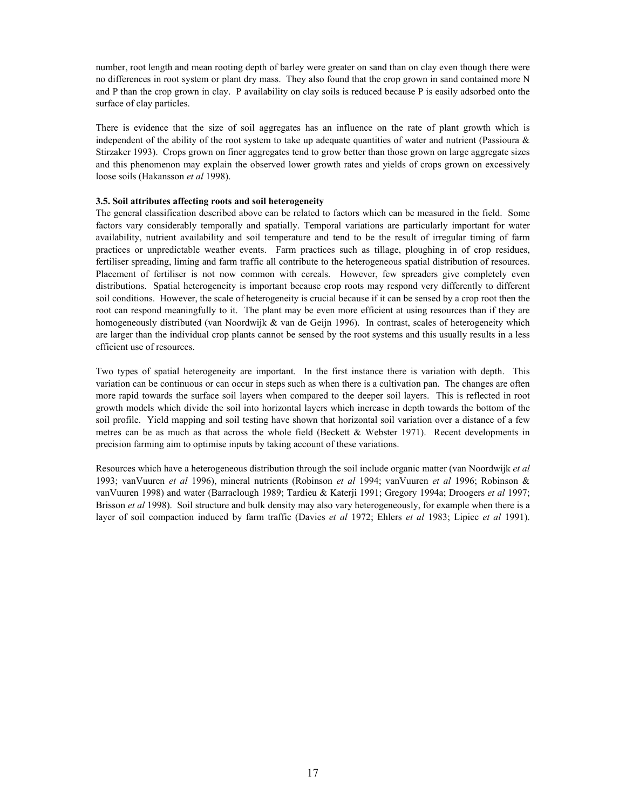number, root length and mean rooting depth of barley were greater on sand than on clay even though there were no differences in root system or plant dry mass. They also found that the crop grown in sand contained more N and P than the crop grown in clay. P availability on clay soils is reduced because P is easily adsorbed onto the surface of clay particles.

There is evidence that the size of soil aggregates has an influence on the rate of plant growth which is independent of the ability of the root system to take up adequate quantities of water and nutrient (Passioura  $\&$ Stirzaker 1993). Crops grown on finer aggregates tend to grow better than those grown on large aggregate sizes and this phenomenon may explain the observed lower growth rates and yields of crops grown on excessively loose soils (Hakansson *et al* 1998).

#### **3.5. Soil attributes affecting roots and soil heterogeneity**

The general classification described above can be related to factors which can be measured in the field. Some factors vary considerably temporally and spatially. Temporal variations are particularly important for water availability, nutrient availability and soil temperature and tend to be the result of irregular timing of farm practices or unpredictable weather events. Farm practices such as tillage, ploughing in of crop residues, fertiliser spreading, liming and farm traffic all contribute to the heterogeneous spatial distribution of resources. Placement of fertiliser is not now common with cereals. However, few spreaders give completely even distributions. Spatial heterogeneity is important because crop roots may respond very differently to different soil conditions. However, the scale of heterogeneity is crucial because if it can be sensed by a crop root then the root can respond meaningfully to it. The plant may be even more efficient at using resources than if they are homogeneously distributed (van Noordwijk & van de Geijn 1996). In contrast, scales of heterogeneity which are larger than the individual crop plants cannot be sensed by the root systems and this usually results in a less efficient use of resources.

Two types of spatial heterogeneity are important. In the first instance there is variation with depth. This variation can be continuous or can occur in steps such as when there is a cultivation pan. The changes are often more rapid towards the surface soil layers when compared to the deeper soil layers. This is reflected in root growth models which divide the soil into horizontal layers which increase in depth towards the bottom of the soil profile. Yield mapping and soil testing have shown that horizontal soil variation over a distance of a few metres can be as much as that across the whole field (Beckett & Webster 1971). Recent developments in precision farming aim to optimise inputs by taking account of these variations.

Resources which have a heterogeneous distribution through the soil include organic matter (van Noordwijk *et al* 1993; vanVuuren *et al* 1996), mineral nutrients (Robinson *et al* 1994; vanVuuren *et al* 1996; Robinson & vanVuuren 1998) and water (Barraclough 1989; Tardieu & Katerji 1991; Gregory 1994a; Droogers *et al* 1997; Brisson *et al* 1998). Soil structure and bulk density may also vary heterogeneously, for example when there is a layer of soil compaction induced by farm traffic (Davies *et al* 1972; Ehlers *et al* 1983; Lipiec *et al* 1991).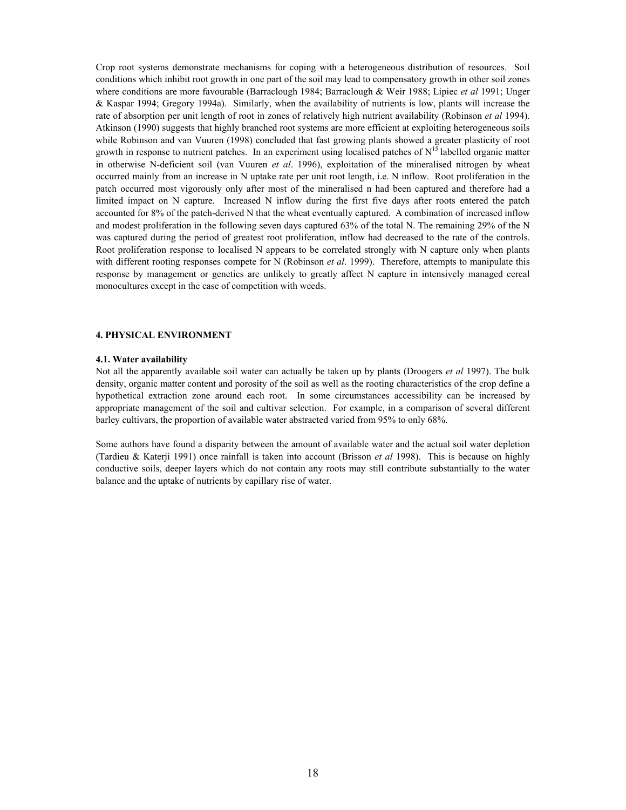Crop root systems demonstrate mechanisms for coping with a heterogeneous distribution of resources. Soil conditions which inhibit root growth in one part of the soil may lead to compensatory growth in other soil zones where conditions are more favourable (Barraclough 1984; Barraclough & Weir 1988; Lipiec *et al* 1991; Unger & Kaspar 1994; Gregory 1994a). Similarly, when the availability of nutrients is low, plants will increase the rate of absorption per unit length of root in zones of relatively high nutrient availability (Robinson *et al* 1994). Atkinson (1990) suggests that highly branched root systems are more efficient at exploiting heterogeneous soils while Robinson and van Vuuren (1998) concluded that fast growing plants showed a greater plasticity of root growth in response to nutrient patches. In an experiment using localised patches of  $N^{15}$  labelled organic matter in otherwise N-deficient soil (van Vuuren *et al*. 1996), exploitation of the mineralised nitrogen by wheat occurred mainly from an increase in N uptake rate per unit root length, i.e. N inflow. Root proliferation in the patch occurred most vigorously only after most of the mineralised n had been captured and therefore had a limited impact on N capture. Increased N inflow during the first five days after roots entered the patch accounted for 8% of the patch-derived N that the wheat eventually captured. A combination of increased inflow and modest proliferation in the following seven days captured 63% of the total N. The remaining 29% of the N was captured during the period of greatest root proliferation, inflow had decreased to the rate of the controls. Root proliferation response to localised N appears to be correlated strongly with N capture only when plants with different rooting responses compete for N (Robinson *et al*. 1999). Therefore, attempts to manipulate this response by management or genetics are unlikely to greatly affect N capture in intensively managed cereal monocultures except in the case of competition with weeds.

#### **4. PHYSICAL ENVIRONMENT**

#### **4.1. Water availability**

Not all the apparently available soil water can actually be taken up by plants (Droogers *et al* 1997). The bulk density, organic matter content and porosity of the soil as well as the rooting characteristics of the crop define a hypothetical extraction zone around each root. In some circumstances accessibility can be increased by appropriate management of the soil and cultivar selection. For example, in a comparison of several different barley cultivars, the proportion of available water abstracted varied from 95% to only 68%.

Some authors have found a disparity between the amount of available water and the actual soil water depletion (Tardieu & Katerji 1991) once rainfall is taken into account (Brisson *et al* 1998). This is because on highly conductive soils, deeper layers which do not contain any roots may still contribute substantially to the water balance and the uptake of nutrients by capillary rise of water.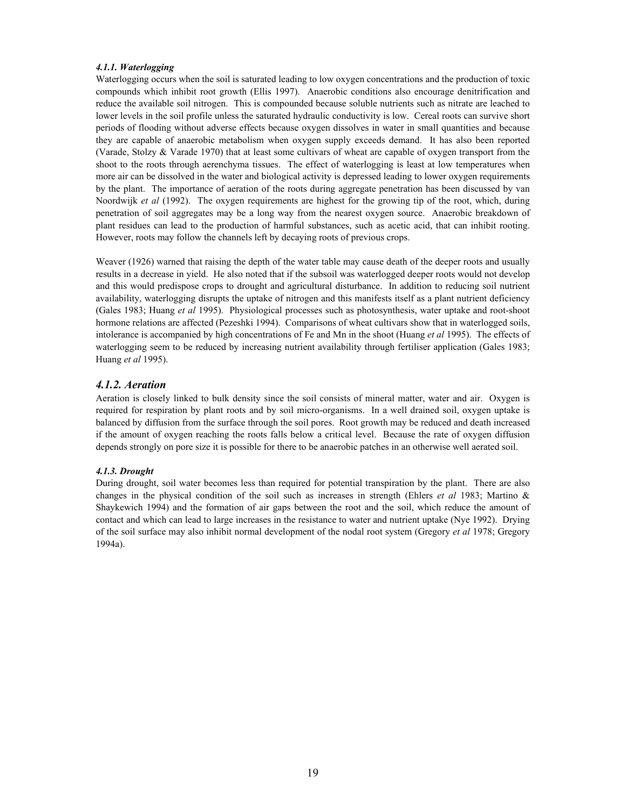#### *4.1.1. Waterlogging*

Waterlogging occurs when the soil is saturated leading to low oxygen concentrations and the production of toxic compounds which inhibit root growth (Ellis 1997). Anaerobic conditions also encourage denitrification and reduce the available soil nitrogen. This is compounded because soluble nutrients such as nitrate are leached to lower levels in the soil profile unless the saturated hydraulic conductivity is low. Cereal roots can survive short periods of flooding without adverse effects because oxygen dissolves in water in small quantities and because they are capable of anaerobic metabolism when oxygen supply exceeds demand. It has also been reported (Varade, Stolzy & Varade 1970) that at least some cultivars of wheat are capable of oxygen transport from the shoot to the roots through aerenchyma tissues. The effect of waterlogging is least at low temperatures when more air can be dissolved in the water and biological activity is depressed leading to lower oxygen requirements by the plant. The importance of aeration of the roots during aggregate penetration has been discussed by van Noordwijk *et al* (1992). The oxygen requirements are highest for the growing tip of the root, which, during penetration of soil aggregates may be a long way from the nearest oxygen source. Anaerobic breakdown of plant residues can lead to the production of harmful substances, such as acetic acid, that can inhibit rooting. However, roots may follow the channels left by decaying roots of previous crops.

Weaver (1926) warned that raising the depth of the water table may cause death of the deeper roots and usually results in a decrease in yield. He also noted that if the subsoil was waterlogged deeper roots would not develop and this would predispose crops to drought and agricultural disturbance. In addition to reducing soil nutrient availability, waterlogging disrupts the uptake of nitrogen and this manifests itself as a plant nutrient deficiency (Gales 1983; Huang *et al* 1995). Physiological processes such as photosynthesis, water uptake and root-shoot hormone relations are affected (Pezeshki 1994). Comparisons of wheat cultivars show that in waterlogged soils, intolerance is accompanied by high concentrations of Fe and Mn in the shoot (Huang *et al* 1995). The effects of waterlogging seem to be reduced by increasing nutrient availability through fertiliser application (Gales 1983; Huang *et al* 1995).

#### *4.1.2. Aeration*

Aeration is closely linked to bulk density since the soil consists of mineral matter, water and air. Oxygen is required for respiration by plant roots and by soil micro-organisms. In a well drained soil, oxygen uptake is balanced by diffusion from the surface through the soil pores. Root growth may be reduced and death increased if the amount of oxygen reaching the roots falls below a critical level. Because the rate of oxygen diffusion depends strongly on pore size it is possible for there to be anaerobic patches in an otherwise well aerated soil.

#### *4.1.3. Drought*

During drought, soil water becomes less than required for potential transpiration by the plant. There are also changes in the physical condition of the soil such as increases in strength (Ehlers *et al* 1983; Martino & Shaykewich 1994) and the formation of air gaps between the root and the soil, which reduce the amount of contact and which can lead to large increases in the resistance to water and nutrient uptake (Nye 1992). Drying of the soil surface may also inhibit normal development of the nodal root system (Gregory *et al* 1978; Gregory 1994a).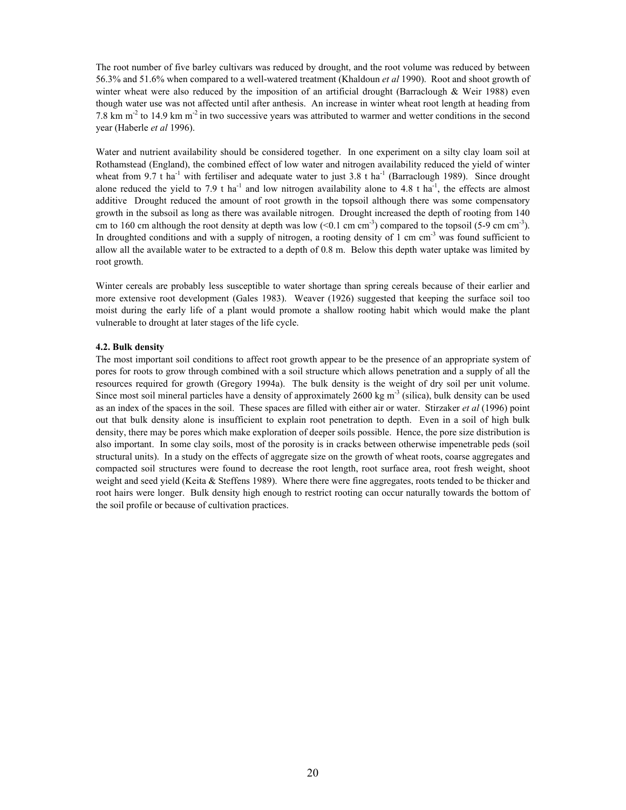The root number of five barley cultivars was reduced by drought, and the root volume was reduced by between 56.3% and 51.6% when compared to a well-watered treatment (Khaldoun *et al* 1990). Root and shoot growth of winter wheat were also reduced by the imposition of an artificial drought (Barraclough & Weir 1988) even though water use was not affected until after anthesis. An increase in winter wheat root length at heading from 7.8 km m<sup>-2</sup> to 14.9 km m<sup>-2</sup> in two successive years was attributed to warmer and wetter conditions in the second year (Haberle *et al* 1996).

Water and nutrient availability should be considered together. In one experiment on a silty clay loam soil at Rothamstead (England), the combined effect of low water and nitrogen availability reduced the yield of winter wheat from 9.7 t ha<sup>-1</sup> with fertiliser and adequate water to just 3.8 t ha<sup>-1</sup> (Barraclough 1989). Since drought alone reduced the yield to 7.9 t ha<sup>-1</sup> and low nitrogen availability alone to 4.8 t ha<sup>-1</sup>, the effects are almost additive Drought reduced the amount of root growth in the topsoil although there was some compensatory growth in the subsoil as long as there was available nitrogen. Drought increased the depth of rooting from 140 cm to 160 cm although the root density at depth was low  $(<0.1 \text{ cm cm}^{-3})$  compared to the topsoil (5-9 cm cm<sup>-3</sup>). In droughted conditions and with a supply of nitrogen, a rooting density of 1 cm cm<sup>-3</sup> was found sufficient to allow all the available water to be extracted to a depth of 0.8 m. Below this depth water uptake was limited by root growth.

Winter cereals are probably less susceptible to water shortage than spring cereals because of their earlier and more extensive root development (Gales 1983). Weaver (1926) suggested that keeping the surface soil too moist during the early life of a plant would promote a shallow rooting habit which would make the plant vulnerable to drought at later stages of the life cycle.

#### **4.2. Bulk density**

The most important soil conditions to affect root growth appear to be the presence of an appropriate system of pores for roots to grow through combined with a soil structure which allows penetration and a supply of all the resources required for growth (Gregory 1994a). The bulk density is the weight of dry soil per unit volume. Since most soil mineral particles have a density of approximately 2600 kg  $m<sup>3</sup>$  (silica), bulk density can be used as an index of the spaces in the soil. These spaces are filled with either air or water. Stirzaker *et al* (1996) point out that bulk density alone is insufficient to explain root penetration to depth. Even in a soil of high bulk density, there may be pores which make exploration of deeper soils possible. Hence, the pore size distribution is also important. In some clay soils, most of the porosity is in cracks between otherwise impenetrable peds (soil structural units). In a study on the effects of aggregate size on the growth of wheat roots, coarse aggregates and compacted soil structures were found to decrease the root length, root surface area, root fresh weight, shoot weight and seed yield (Keita & Steffens 1989). Where there were fine aggregates, roots tended to be thicker and root hairs were longer. Bulk density high enough to restrict rooting can occur naturally towards the bottom of the soil profile or because of cultivation practices.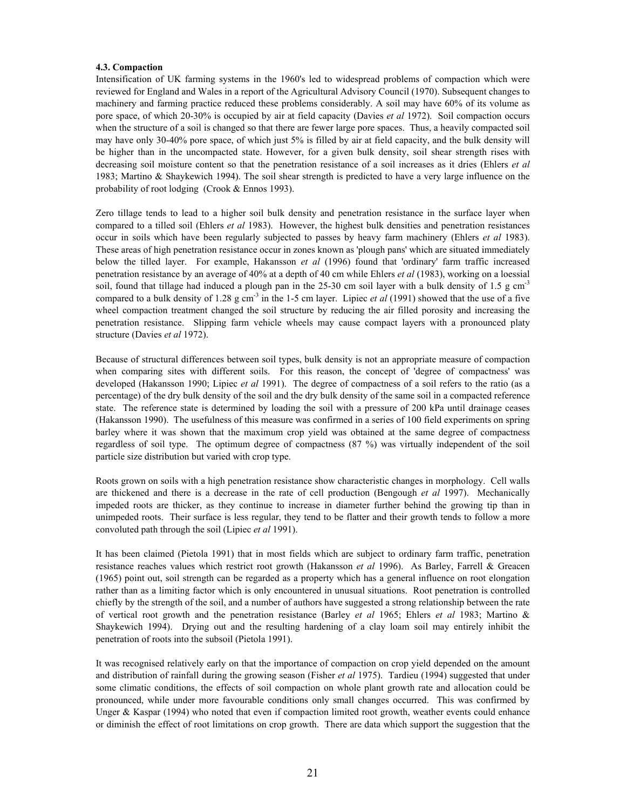#### **4.3. Compaction**

Intensification of UK farming systems in the 1960's led to widespread problems of compaction which were reviewed for England and Wales in a report of the Agricultural Advisory Council (1970). Subsequent changes to machinery and farming practice reduced these problems considerably. A soil may have 60% of its volume as pore space, of which 20-30% is occupied by air at field capacity (Davies *et al* 1972). Soil compaction occurs when the structure of a soil is changed so that there are fewer large pore spaces. Thus, a heavily compacted soil may have only 30-40% pore space, of which just 5% is filled by air at field capacity, and the bulk density will be higher than in the uncompacted state. However, for a given bulk density, soil shear strength rises with decreasing soil moisture content so that the penetration resistance of a soil increases as it dries (Ehlers *et al* 1983; Martino & Shaykewich 1994). The soil shear strength is predicted to have a very large influence on the probability of root lodging (Crook & Ennos 1993).

Zero tillage tends to lead to a higher soil bulk density and penetration resistance in the surface layer when compared to a tilled soil (Ehlers *et al* 1983). However, the highest bulk densities and penetration resistances occur in soils which have been regularly subjected to passes by heavy farm machinery (Ehlers *et al* 1983). These areas of high penetration resistance occur in zones known as 'plough pans' which are situated immediately below the tilled layer. For example, Hakansson *et al* (1996) found that 'ordinary' farm traffic increased penetration resistance by an average of 40% at a depth of 40 cm while Ehlers *et al* (1983), working on a loessial soil, found that tillage had induced a plough pan in the  $25-30$  cm soil layer with a bulk density of 1.5 g cm<sup>-3</sup> compared to a bulk density of 1.28 g cm<sup>-3</sup> in the 1-5 cm layer. Lipiec *et al* (1991) showed that the use of a five wheel compaction treatment changed the soil structure by reducing the air filled porosity and increasing the penetration resistance. Slipping farm vehicle wheels may cause compact layers with a pronounced platy structure (Davies *et al* 1972).

Because of structural differences between soil types, bulk density is not an appropriate measure of compaction when comparing sites with different soils. For this reason, the concept of 'degree of compactness' was developed (Hakansson 1990; Lipiec *et al* 1991). The degree of compactness of a soil refers to the ratio (as a percentage) of the dry bulk density of the soil and the dry bulk density of the same soil in a compacted reference state. The reference state is determined by loading the soil with a pressure of 200 kPa until drainage ceases (Hakansson 1990). The usefulness of this measure was confirmed in a series of 100 field experiments on spring barley where it was shown that the maximum crop yield was obtained at the same degree of compactness regardless of soil type. The optimum degree of compactness (87 %) was virtually independent of the soil particle size distribution but varied with crop type.

Roots grown on soils with a high penetration resistance show characteristic changes in morphology. Cell walls are thickened and there is a decrease in the rate of cell production (Bengough *et al* 1997). Mechanically impeded roots are thicker, as they continue to increase in diameter further behind the growing tip than in unimpeded roots. Their surface is less regular, they tend to be flatter and their growth tends to follow a more convoluted path through the soil (Lipiec *et al* 1991).

It has been claimed (Pietola 1991) that in most fields which are subject to ordinary farm traffic, penetration resistance reaches values which restrict root growth (Hakansson *et al* 1996). As Barley, Farrell & Greacen (1965) point out, soil strength can be regarded as a property which has a general influence on root elongation rather than as a limiting factor which is only encountered in unusual situations. Root penetration is controlled chiefly by the strength of the soil, and a number of authors have suggested a strong relationship between the rate of vertical root growth and the penetration resistance (Barley *et al* 1965; Ehlers *et al* 1983; Martino & Shaykewich 1994). Drying out and the resulting hardening of a clay loam soil may entirely inhibit the penetration of roots into the subsoil (Pietola 1991).

It was recognised relatively early on that the importance of compaction on crop yield depended on the amount and distribution of rainfall during the growing season (Fisher *et al* 1975). Tardieu (1994) suggested that under some climatic conditions, the effects of soil compaction on whole plant growth rate and allocation could be pronounced, while under more favourable conditions only small changes occurred. This was confirmed by Unger & Kaspar (1994) who noted that even if compaction limited root growth, weather events could enhance or diminish the effect of root limitations on crop growth. There are data which support the suggestion that the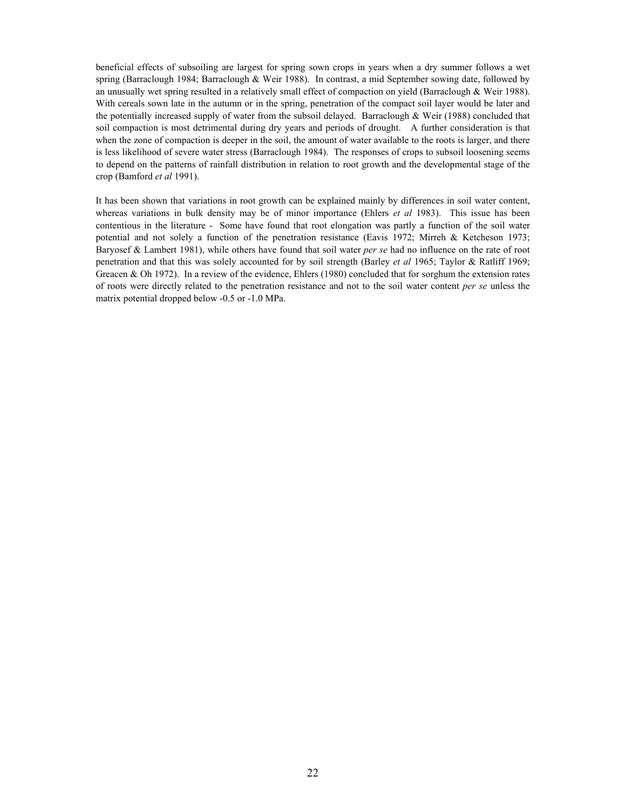beneficial effects of subsoiling are largest for spring sown crops in years when a dry summer follows a wet spring (Barraclough 1984; Barraclough & Weir 1988). In contrast, a mid September sowing date, followed by an unusually wet spring resulted in a relatively small effect of compaction on yield (Barraclough & Weir 1988). With cereals sown late in the autumn or in the spring, penetration of the compact soil layer would be later and the potentially increased supply of water from the subsoil delayed. Barraclough & Weir (1988) concluded that soil compaction is most detrimental during dry years and periods of drought. A further consideration is that when the zone of compaction is deeper in the soil, the amount of water available to the roots is larger, and there is less likelihood of severe water stress (Barraclough 1984). The responses of crops to subsoil loosening seems to depend on the patterns of rainfall distribution in relation to root growth and the developmental stage of the crop (Bamford *et al* 1991).

It has been shown that variations in root growth can be explained mainly by differences in soil water content, whereas variations in bulk density may be of minor importance (Ehlers *et al* 1983). This issue has been contentious in the literature - Some have found that root elongation was partly a function of the soil water potential and not solely a function of the penetration resistance (Eavis 1972; Mirreh & Ketcheson 1973; Baryosef & Lambert 1981), while others have found that soil water *per se* had no influence on the rate of root penetration and that this was solely accounted for by soil strength (Barley *et al* 1965; Taylor & Ratliff 1969; Greacen & Oh 1972). In a review of the evidence, Ehlers (1980) concluded that for sorghum the extension rates of roots were directly related to the penetration resistance and not to the soil water content *per se* unless the matrix potential dropped below -0.5 or -1.0 MPa.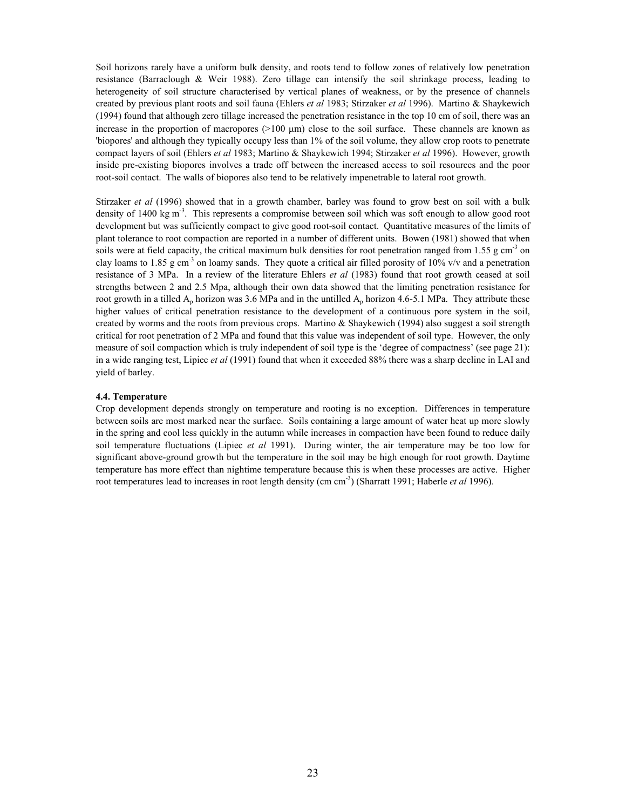Soil horizons rarely have a uniform bulk density, and roots tend to follow zones of relatively low penetration resistance (Barraclough & Weir 1988). Zero tillage can intensify the soil shrinkage process, leading to heterogeneity of soil structure characterised by vertical planes of weakness, or by the presence of channels created by previous plant roots and soil fauna (Ehlers *et al* 1983; Stirzaker *et al* 1996). Martino & Shaykewich (1994) found that although zero tillage increased the penetration resistance in the top 10 cm of soil, there was an increase in the proportion of macropores  $(>100 \mu m)$  close to the soil surface. These channels are known as 'biopores' and although they typically occupy less than 1% of the soil volume, they allow crop roots to penetrate compact layers of soil (Ehlers *et al* 1983; Martino & Shaykewich 1994; Stirzaker *et al* 1996). However, growth inside pre-existing biopores involves a trade off between the increased access to soil resources and the poor root-soil contact. The walls of biopores also tend to be relatively impenetrable to lateral root growth.

Stirzaker *et al* (1996) showed that in a growth chamber, barley was found to grow best on soil with a bulk density of 1400 kg  $\text{m}^3$ . This represents a compromise between soil which was soft enough to allow good root development but was sufficiently compact to give good root-soil contact. Quantitative measures of the limits of plant tolerance to root compaction are reported in a number of different units. Bowen (1981) showed that when soils were at field capacity, the critical maximum bulk densities for root penetration ranged from 1.55 g cm<sup>-3</sup> on clay loams to 1.85 g cm<sup>-3</sup> on loamy sands. They quote a critical air filled porosity of 10% v/v and a penetration resistance of 3 MPa. In a review of the literature Ehlers *et al* (1983) found that root growth ceased at soil strengths between 2 and 2.5 Mpa, although their own data showed that the limiting penetration resistance for root growth in a tilled  $A_p$  horizon was 3.6 MPa and in the untilled  $A_p$  horizon 4.6-5.1 MPa. They attribute these higher values of critical penetration resistance to the development of a continuous pore system in the soil, created by worms and the roots from previous crops. Martino  $&$  Shaykewich (1994) also suggest a soil strength critical for root penetration of 2 MPa and found that this value was independent of soil type. However, the only measure of soil compaction which is truly independent of soil type is the 'degree of compactness' (see page 21): in a wide ranging test, Lipiec *et al* (1991) found that when it exceeded 88% there was a sharp decline in LAI and yield of barley.

#### **4.4. Temperature**

Crop development depends strongly on temperature and rooting is no exception. Differences in temperature between soils are most marked near the surface. Soils containing a large amount of water heat up more slowly in the spring and cool less quickly in the autumn while increases in compaction have been found to reduce daily soil temperature fluctuations (Lipiec *et al* 1991). During winter, the air temperature may be too low for significant above-ground growth but the temperature in the soil may be high enough for root growth. Daytime temperature has more effect than nightime temperature because this is when these processes are active. Higher root temperatures lead to increases in root length density (cm cm-3) (Sharratt 1991; Haberle *et al* 1996).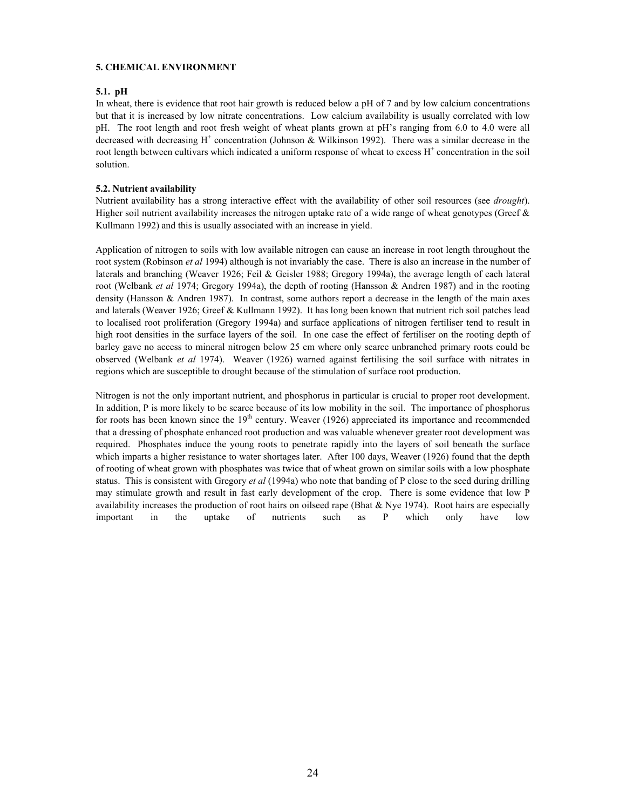#### **5. CHEMICAL ENVIRONMENT**

#### **5.1. pH**

In wheat, there is evidence that root hair growth is reduced below a pH of 7 and by low calcium concentrations but that it is increased by low nitrate concentrations. Low calcium availability is usually correlated with low pH. The root length and root fresh weight of wheat plants grown at pH's ranging from 6.0 to 4.0 were all decreased with decreasing  $H^+$  concentration (Johnson & Wilkinson 1992). There was a similar decrease in the root length between cultivars which indicated a uniform response of wheat to excess H<sup>+</sup> concentration in the soil solution.

#### **5.2. Nutrient availability**

Nutrient availability has a strong interactive effect with the availability of other soil resources (see *drought*). Higher soil nutrient availability increases the nitrogen uptake rate of a wide range of wheat genotypes (Greef  $\&$ Kullmann 1992) and this is usually associated with an increase in yield.

Application of nitrogen to soils with low available nitrogen can cause an increase in root length throughout the root system (Robinson *et al* 1994) although is not invariably the case. There is also an increase in the number of laterals and branching (Weaver 1926; Feil & Geisler 1988; Gregory 1994a), the average length of each lateral root (Welbank *et al* 1974; Gregory 1994a), the depth of rooting (Hansson & Andren 1987) and in the rooting density (Hansson & Andren 1987). In contrast, some authors report a decrease in the length of the main axes and laterals (Weaver 1926; Greef & Kullmann 1992). It has long been known that nutrient rich soil patches lead to localised root proliferation (Gregory 1994a) and surface applications of nitrogen fertiliser tend to result in high root densities in the surface layers of the soil. In one case the effect of fertiliser on the rooting depth of barley gave no access to mineral nitrogen below 25 cm where only scarce unbranched primary roots could be observed (Welbank *et al* 1974). Weaver (1926) warned against fertilising the soil surface with nitrates in regions which are susceptible to drought because of the stimulation of surface root production.

Nitrogen is not the only important nutrient, and phosphorus in particular is crucial to proper root development. In addition, P is more likely to be scarce because of its low mobility in the soil. The importance of phosphorus for roots has been known since the  $19<sup>th</sup>$  century. Weaver (1926) appreciated its importance and recommended that a dressing of phosphate enhanced root production and was valuable whenever greater root development was required. Phosphates induce the young roots to penetrate rapidly into the layers of soil beneath the surface which imparts a higher resistance to water shortages later. After 100 days, Weaver (1926) found that the depth of rooting of wheat grown with phosphates was twice that of wheat grown on similar soils with a low phosphate status. This is consistent with Gregory *et al* (1994a) who note that banding of P close to the seed during drilling may stimulate growth and result in fast early development of the crop. There is some evidence that low P availability increases the production of root hairs on oilseed rape (Bhat  $&$  Nye 1974). Root hairs are especially important in the uptake of nutrients such as P which only have low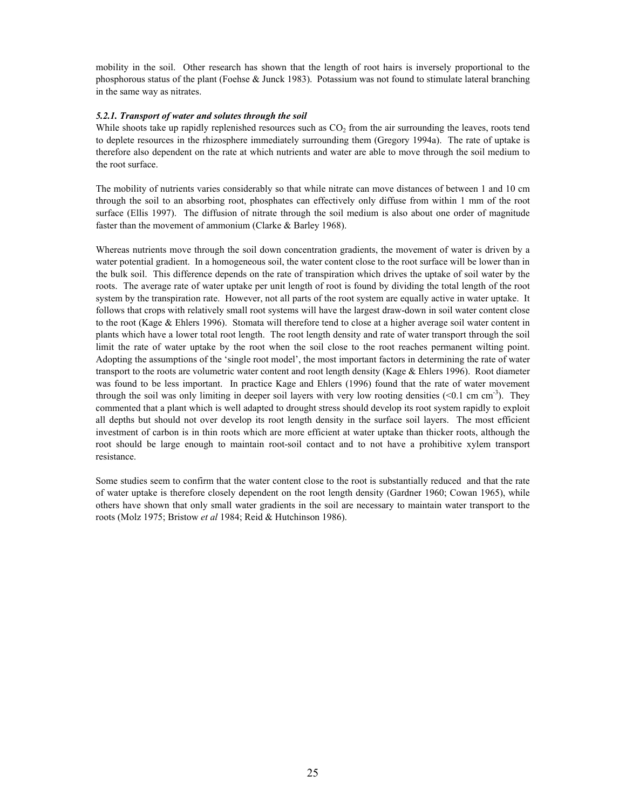mobility in the soil. Other research has shown that the length of root hairs is inversely proportional to the phosphorous status of the plant (Foehse & Junck 1983). Potassium was not found to stimulate lateral branching in the same way as nitrates.

#### *5.2.1. Transport of water and solutes through the soil*

While shoots take up rapidly replenished resources such as  $CO<sub>2</sub>$  from the air surrounding the leaves, roots tend to deplete resources in the rhizosphere immediately surrounding them (Gregory 1994a). The rate of uptake is therefore also dependent on the rate at which nutrients and water are able to move through the soil medium to the root surface.

The mobility of nutrients varies considerably so that while nitrate can move distances of between 1 and 10 cm through the soil to an absorbing root, phosphates can effectively only diffuse from within 1 mm of the root surface (Ellis 1997). The diffusion of nitrate through the soil medium is also about one order of magnitude faster than the movement of ammonium (Clarke & Barley 1968).

Whereas nutrients move through the soil down concentration gradients, the movement of water is driven by a water potential gradient. In a homogeneous soil, the water content close to the root surface will be lower than in the bulk soil. This difference depends on the rate of transpiration which drives the uptake of soil water by the roots. The average rate of water uptake per unit length of root is found by dividing the total length of the root system by the transpiration rate. However, not all parts of the root system are equally active in water uptake. It follows that crops with relatively small root systems will have the largest draw-down in soil water content close to the root (Kage & Ehlers 1996). Stomata will therefore tend to close at a higher average soil water content in plants which have a lower total root length. The root length density and rate of water transport through the soil limit the rate of water uptake by the root when the soil close to the root reaches permanent wilting point. Adopting the assumptions of the 'single root model', the most important factors in determining the rate of water transport to the roots are volumetric water content and root length density (Kage & Ehlers 1996). Root diameter was found to be less important. In practice Kage and Ehlers (1996) found that the rate of water movement through the soil was only limiting in deeper soil layers with very low rooting densities  $(<0.1 \text{ cm cm}^{-3})$ . They commented that a plant which is well adapted to drought stress should develop its root system rapidly to exploit all depths but should not over develop its root length density in the surface soil layers. The most efficient investment of carbon is in thin roots which are more efficient at water uptake than thicker roots, although the root should be large enough to maintain root-soil contact and to not have a prohibitive xylem transport resistance.

Some studies seem to confirm that the water content close to the root is substantially reduced and that the rate of water uptake is therefore closely dependent on the root length density (Gardner 1960; Cowan 1965), while others have shown that only small water gradients in the soil are necessary to maintain water transport to the roots (Molz 1975; Bristow *et al* 1984; Reid & Hutchinson 1986).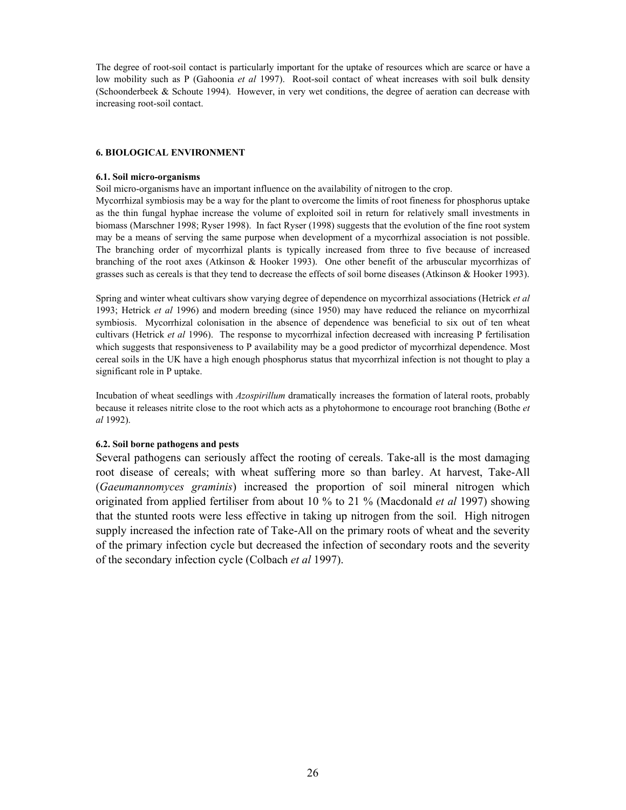The degree of root-soil contact is particularly important for the uptake of resources which are scarce or have a low mobility such as P (Gahoonia *et al* 1997). Root-soil contact of wheat increases with soil bulk density (Schoonderbeek & Schoute 1994). However, in very wet conditions, the degree of aeration can decrease with increasing root-soil contact.

#### **6. BIOLOGICAL ENVIRONMENT**

#### **6.1. Soil micro-organisms**

Soil micro-organisms have an important influence on the availability of nitrogen to the crop.

Mycorrhizal symbiosis may be a way for the plant to overcome the limits of root fineness for phosphorus uptake as the thin fungal hyphae increase the volume of exploited soil in return for relatively small investments in biomass (Marschner 1998; Ryser 1998). In fact Ryser (1998) suggests that the evolution of the fine root system may be a means of serving the same purpose when development of a mycorrhizal association is not possible. The branching order of mycorrhizal plants is typically increased from three to five because of increased branching of the root axes (Atkinson & Hooker 1993). One other benefit of the arbuscular mycorrhizas of grasses such as cereals is that they tend to decrease the effects of soil borne diseases (Atkinson & Hooker 1993).

Spring and winter wheat cultivars show varying degree of dependence on mycorrhizal associations (Hetrick *et al* 1993; Hetrick *et al* 1996) and modern breeding (since 1950) may have reduced the reliance on mycorrhizal symbiosis. Mycorrhizal colonisation in the absence of dependence was beneficial to six out of ten wheat cultivars (Hetrick *et al* 1996). The response to mycorrhizal infection decreased with increasing P fertilisation which suggests that responsiveness to P availability may be a good predictor of mycorrhizal dependence. Most cereal soils in the UK have a high enough phosphorus status that mycorrhizal infection is not thought to play a significant role in P uptake.

Incubation of wheat seedlings with *Azospirillum* dramatically increases the formation of lateral roots, probably because it releases nitrite close to the root which acts as a phytohormone to encourage root branching (Bothe *et al* 1992).

#### **6.2. Soil borne pathogens and pests**

Several pathogens can seriously affect the rooting of cereals. Take-all is the most damaging root disease of cereals; with wheat suffering more so than barley. At harvest, Take-All (*Gaeumannomyces graminis*) increased the proportion of soil mineral nitrogen which originated from applied fertiliser from about 10 % to 21 % (Macdonald *et al* 1997) showing that the stunted roots were less effective in taking up nitrogen from the soil. High nitrogen supply increased the infection rate of Take-All on the primary roots of wheat and the severity of the primary infection cycle but decreased the infection of secondary roots and the severity of the secondary infection cycle (Colbach *et al* 1997).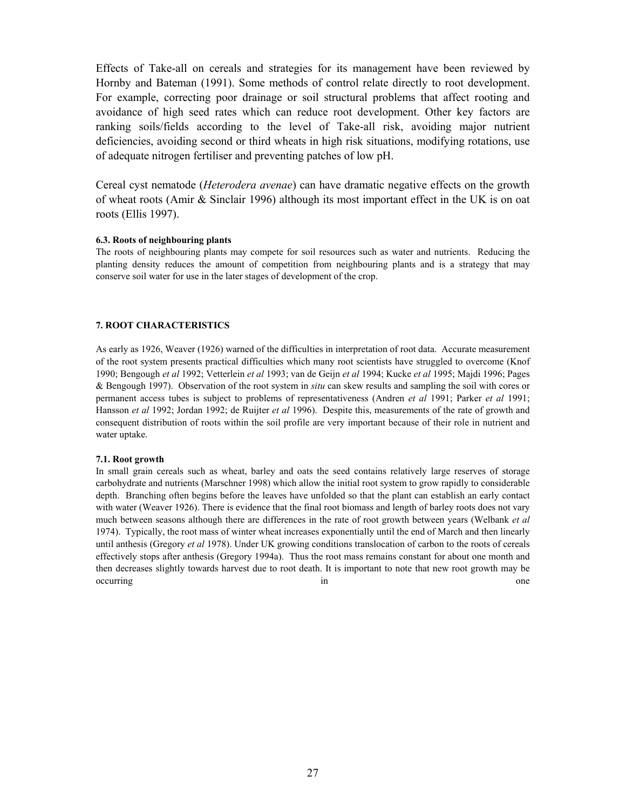Effects of Take-all on cereals and strategies for its management have been reviewed by Hornby and Bateman (1991). Some methods of control relate directly to root development. For example, correcting poor drainage or soil structural problems that affect rooting and avoidance of high seed rates which can reduce root development. Other key factors are ranking soils/fields according to the level of Take-all risk, avoiding major nutrient deficiencies, avoiding second or third wheats in high risk situations, modifying rotations, use of adequate nitrogen fertiliser and preventing patches of low pH.

Cereal cyst nematode (*Heterodera avenae*) can have dramatic negative effects on the growth of wheat roots (Amir & Sinclair 1996) although its most important effect in the UK is on oat roots (Ellis 1997).

#### **6.3. Roots of neighbouring plants**

The roots of neighbouring plants may compete for soil resources such as water and nutrients. Reducing the planting density reduces the amount of competition from neighbouring plants and is a strategy that may conserve soil water for use in the later stages of development of the crop.

#### **7. ROOT CHARACTERISTICS**

As early as 1926, Weaver (1926) warned of the difficulties in interpretation of root data. Accurate measurement of the root system presents practical difficulties which many root scientists have struggled to overcome (Knof 1990; Bengough *et al* 1992; Vetterlein *et al* 1993; van de Geijn *et al* 1994; Kucke *et al* 1995; Majdi 1996; Pages & Bengough 1997). Observation of the root system in *situ* can skew results and sampling the soil with cores or permanent access tubes is subject to problems of representativeness (Andren *et al* 1991; Parker *et al* 1991; Hansson *et al* 1992; Jordan 1992; de Ruijter *et al* 1996). Despite this, measurements of the rate of growth and consequent distribution of roots within the soil profile are very important because of their role in nutrient and water uptake.

#### **7.1. Root growth**

In small grain cereals such as wheat, barley and oats the seed contains relatively large reserves of storage carbohydrate and nutrients (Marschner 1998) which allow the initial root system to grow rapidly to considerable depth. Branching often begins before the leaves have unfolded so that the plant can establish an early contact with water (Weaver 1926). There is evidence that the final root biomass and length of barley roots does not vary much between seasons although there are differences in the rate of root growth between years (Welbank *et al* 1974). Typically, the root mass of winter wheat increases exponentially until the end of March and then linearly until anthesis (Gregory *et al* 1978). Under UK growing conditions translocation of carbon to the roots of cereals effectively stops after anthesis (Gregory 1994a). Thus the root mass remains constant for about one month and then decreases slightly towards harvest due to root death. It is important to note that new root growth may be occurring in one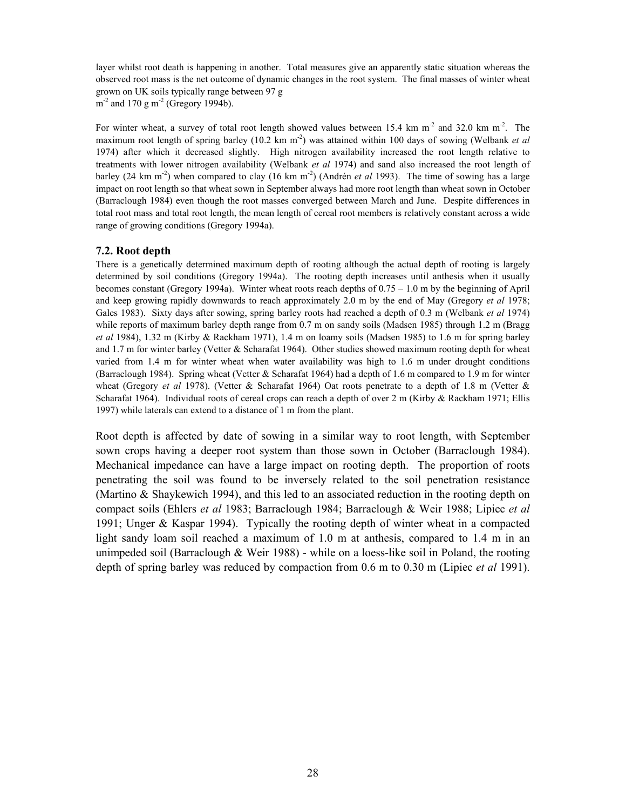layer whilst root death is happening in another. Total measures give an apparently static situation whereas the observed root mass is the net outcome of dynamic changes in the root system. The final masses of winter wheat grown on UK soils typically range between 97 g  $m<sup>-2</sup>$  and 170 g m<sup>-2</sup> (Gregory 1994b).

For winter wheat, a survey of total root length showed values between 15.4 km  $m<sup>2</sup>$  and 32.0 km  $m<sup>2</sup>$ . The maximum root length of spring barley (10.2 km m<sup>-2</sup>) was attained within 100 days of sowing (Welbank *et al* 1974) after which it decreased slightly. High nitrogen availability increased the root length relative to treatments with lower nitrogen availability (Welbank *et al* 1974) and sand also increased the root length of barley (24 km m<sup>-2</sup>) when compared to clay (16 km m<sup>-2</sup>) (Andrén *et al* 1993). The time of sowing has a large impact on root length so that wheat sown in September always had more root length than wheat sown in October (Barraclough 1984) even though the root masses converged between March and June. Despite differences in total root mass and total root length, the mean length of cereal root members is relatively constant across a wide range of growing conditions (Gregory 1994a).

### **7.2. Root depth**

There is a genetically determined maximum depth of rooting although the actual depth of rooting is largely determined by soil conditions (Gregory 1994a). The rooting depth increases until anthesis when it usually becomes constant (Gregory 1994a). Winter wheat roots reach depths of 0.75 – 1.0 m by the beginning of April and keep growing rapidly downwards to reach approximately 2.0 m by the end of May (Gregory *et al* 1978; Gales 1983). Sixty days after sowing, spring barley roots had reached a depth of 0.3 m (Welbank *et al* 1974) while reports of maximum barley depth range from 0.7 m on sandy soils (Madsen 1985) through 1.2 m (Bragg *et al* 1984), 1.32 m (Kirby & Rackham 1971), 1.4 m on loamy soils (Madsen 1985) to 1.6 m for spring barley and 1.7 m for winter barley (Vetter & Scharafat 1964). Other studies showed maximum rooting depth for wheat varied from 1.4 m for winter wheat when water availability was high to 1.6 m under drought conditions (Barraclough 1984). Spring wheat (Vetter & Scharafat 1964) had a depth of 1.6 m compared to 1.9 m for winter wheat (Gregory *et al* 1978). (Vetter & Scharafat 1964) Oat roots penetrate to a depth of 1.8 m (Vetter & Scharafat 1964). Individual roots of cereal crops can reach a depth of over 2 m (Kirby & Rackham 1971; Ellis 1997) while laterals can extend to a distance of 1 m from the plant.

Root depth is affected by date of sowing in a similar way to root length, with September sown crops having a deeper root system than those sown in October (Barraclough 1984). Mechanical impedance can have a large impact on rooting depth. The proportion of roots penetrating the soil was found to be inversely related to the soil penetration resistance (Martino & Shaykewich 1994), and this led to an associated reduction in the rooting depth on compact soils (Ehlers *et al* 1983; Barraclough 1984; Barraclough & Weir 1988; Lipiec *et al* 1991; Unger & Kaspar 1994). Typically the rooting depth of winter wheat in a compacted light sandy loam soil reached a maximum of 1.0 m at anthesis, compared to 1.4 m in an unimpeded soil (Barraclough  $\&$  Weir 1988) - while on a loess-like soil in Poland, the rooting depth of spring barley was reduced by compaction from 0.6 m to 0.30 m (Lipiec *et al* 1991).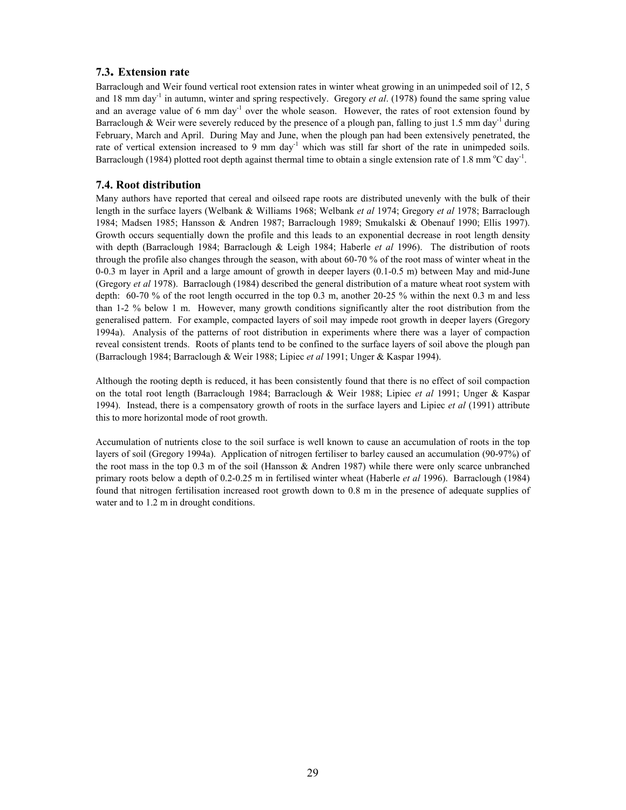#### **7.3. Extension rate**

Barraclough and Weir found vertical root extension rates in winter wheat growing in an unimpeded soil of 12, 5 and 18 mm day<sup>-1</sup> in autumn, winter and spring respectively. Gregory *et al.* (1978) found the same spring value and an average value of 6 mm day<sup>-1</sup> over the whole season. However, the rates of root extension found by Barraclough & Weir were severely reduced by the presence of a plough pan, falling to just 1.5 mm day<sup>-1</sup> during February, March and April. During May and June, when the plough pan had been extensively penetrated, the rate of vertical extension increased to 9 mm day<sup>-1</sup> which was still far short of the rate in unimpeded soils. Barraclough (1984) plotted root depth against thermal time to obtain a single extension rate of 1.8 mm  $^{\circ}$ C day<sup>-1</sup>.

#### **7.4. Root distribution**

Many authors have reported that cereal and oilseed rape roots are distributed unevenly with the bulk of their length in the surface layers (Welbank & Williams 1968; Welbank *et al* 1974; Gregory *et al* 1978; Barraclough 1984; Madsen 1985; Hansson & Andren 1987; Barraclough 1989; Smukalski & Obenauf 1990; Ellis 1997). Growth occurs sequentially down the profile and this leads to an exponential decrease in root length density with depth (Barraclough 1984; Barraclough & Leigh 1984; Haberle *et al* 1996). The distribution of roots through the profile also changes through the season, with about 60-70 % of the root mass of winter wheat in the 0-0.3 m layer in April and a large amount of growth in deeper layers (0.1-0.5 m) between May and mid-June (Gregory *et al* 1978). Barraclough (1984) described the general distribution of a mature wheat root system with depth: 60-70 % of the root length occurred in the top 0.3 m, another 20-25 % within the next 0.3 m and less than 1-2 % below 1 m. However, many growth conditions significantly alter the root distribution from the generalised pattern. For example, compacted layers of soil may impede root growth in deeper layers (Gregory 1994a). Analysis of the patterns of root distribution in experiments where there was a layer of compaction reveal consistent trends. Roots of plants tend to be confined to the surface layers of soil above the plough pan (Barraclough 1984; Barraclough & Weir 1988; Lipiec *et al* 1991; Unger & Kaspar 1994).

Although the rooting depth is reduced, it has been consistently found that there is no effect of soil compaction on the total root length (Barraclough 1984; Barraclough & Weir 1988; Lipiec *et al* 1991; Unger & Kaspar 1994). Instead, there is a compensatory growth of roots in the surface layers and Lipiec *et al* (1991) attribute this to more horizontal mode of root growth.

Accumulation of nutrients close to the soil surface is well known to cause an accumulation of roots in the top layers of soil (Gregory 1994a). Application of nitrogen fertiliser to barley caused an accumulation (90-97%) of the root mass in the top 0.3 m of the soil (Hansson & Andren 1987) while there were only scarce unbranched primary roots below a depth of 0.2-0.25 m in fertilised winter wheat (Haberle *et al* 1996). Barraclough (1984) found that nitrogen fertilisation increased root growth down to 0.8 m in the presence of adequate supplies of water and to 1.2 m in drought conditions.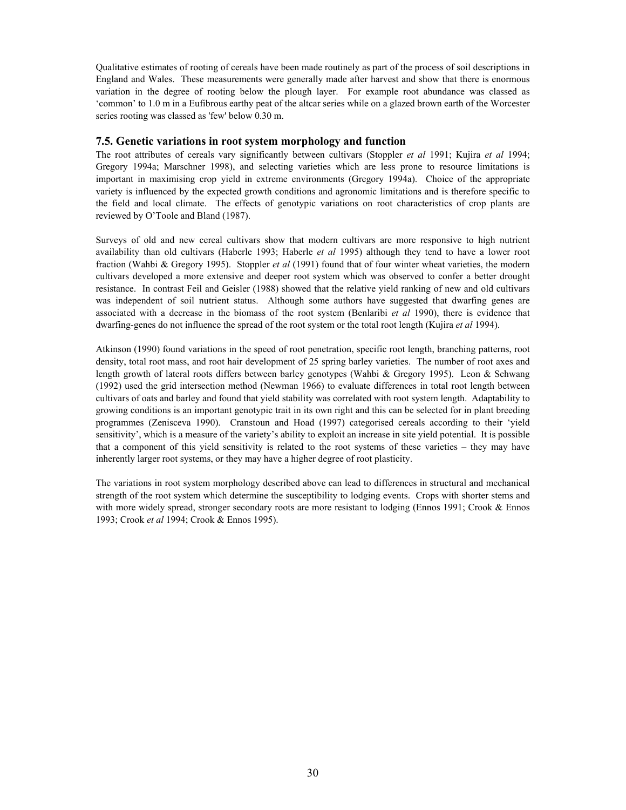Qualitative estimates of rooting of cereals have been made routinely as part of the process of soil descriptions in England and Wales. These measurements were generally made after harvest and show that there is enormous variation in the degree of rooting below the plough layer. For example root abundance was classed as 'common' to 1.0 m in a Eufibrous earthy peat of the altcar series while on a glazed brown earth of the Worcester series rooting was classed as 'few' below 0.30 m.

#### **7.5. Genetic variations in root system morphology and function**

The root attributes of cereals vary significantly between cultivars (Stoppler *et al* 1991; Kujira *et al* 1994; Gregory 1994a; Marschner 1998), and selecting varieties which are less prone to resource limitations is important in maximising crop yield in extreme environments (Gregory 1994a). Choice of the appropriate variety is influenced by the expected growth conditions and agronomic limitations and is therefore specific to the field and local climate. The effects of genotypic variations on root characteristics of crop plants are reviewed by O'Toole and Bland (1987).

Surveys of old and new cereal cultivars show that modern cultivars are more responsive to high nutrient availability than old cultivars (Haberle 1993; Haberle *et al* 1995) although they tend to have a lower root fraction (Wahbi & Gregory 1995). Stoppler *et al* (1991) found that of four winter wheat varieties, the modern cultivars developed a more extensive and deeper root system which was observed to confer a better drought resistance. In contrast Feil and Geisler (1988) showed that the relative yield ranking of new and old cultivars was independent of soil nutrient status. Although some authors have suggested that dwarfing genes are associated with a decrease in the biomass of the root system (Benlaribi *et al* 1990), there is evidence that dwarfing-genes do not influence the spread of the root system or the total root length (Kujira *et al* 1994).

Atkinson (1990) found variations in the speed of root penetration, specific root length, branching patterns, root density, total root mass, and root hair development of 25 spring barley varieties. The number of root axes and length growth of lateral roots differs between barley genotypes (Wahbi & Gregory 1995). Leon & Schwang (1992) used the grid intersection method (Newman 1966) to evaluate differences in total root length between cultivars of oats and barley and found that yield stability was correlated with root system length. Adaptability to growing conditions is an important genotypic trait in its own right and this can be selected for in plant breeding programmes (Zenisceva 1990). Cranstoun and Hoad (1997) categorised cereals according to their 'yield sensitivity', which is a measure of the variety's ability to exploit an increase in site yield potential. It is possible that a component of this yield sensitivity is related to the root systems of these varieties – they may have inherently larger root systems, or they may have a higher degree of root plasticity.

The variations in root system morphology described above can lead to differences in structural and mechanical strength of the root system which determine the susceptibility to lodging events. Crops with shorter stems and with more widely spread, stronger secondary roots are more resistant to lodging (Ennos 1991; Crook & Ennos 1993; Crook *et al* 1994; Crook & Ennos 1995).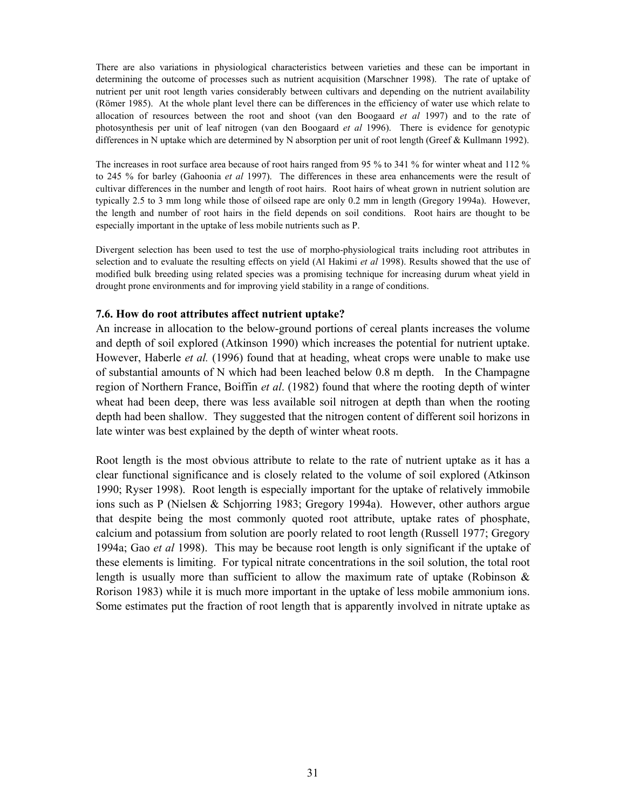There are also variations in physiological characteristics between varieties and these can be important in determining the outcome of processes such as nutrient acquisition (Marschner 1998). The rate of uptake of nutrient per unit root length varies considerably between cultivars and depending on the nutrient availability (Römer 1985). At the whole plant level there can be differences in the efficiency of water use which relate to allocation of resources between the root and shoot (van den Boogaard *et al* 1997) and to the rate of photosynthesis per unit of leaf nitrogen (van den Boogaard *et al* 1996). There is evidence for genotypic differences in N uptake which are determined by N absorption per unit of root length (Greef & Kullmann 1992).

The increases in root surface area because of root hairs ranged from 95 % to 341 % for winter wheat and 112 % to 245 % for barley (Gahoonia *et al* 1997). The differences in these area enhancements were the result of cultivar differences in the number and length of root hairs. Root hairs of wheat grown in nutrient solution are typically 2.5 to 3 mm long while those of oilseed rape are only 0.2 mm in length (Gregory 1994a). However, the length and number of root hairs in the field depends on soil conditions. Root hairs are thought to be especially important in the uptake of less mobile nutrients such as P.

Divergent selection has been used to test the use of morpho-physiological traits including root attributes in selection and to evaluate the resulting effects on yield (Al Hakimi *et al* 1998). Results showed that the use of modified bulk breeding using related species was a promising technique for increasing durum wheat yield in drought prone environments and for improving yield stability in a range of conditions.

#### **7.6. How do root attributes affect nutrient uptake?**

An increase in allocation to the below-ground portions of cereal plants increases the volume and depth of soil explored (Atkinson 1990) which increases the potential for nutrient uptake. However, Haberle *et al.* (1996) found that at heading, wheat crops were unable to make use of substantial amounts of N which had been leached below 0.8 m depth. In the Champagne region of Northern France, Boiffin *et al*. (1982) found that where the rooting depth of winter wheat had been deep, there was less available soil nitrogen at depth than when the rooting depth had been shallow. They suggested that the nitrogen content of different soil horizons in late winter was best explained by the depth of winter wheat roots.

Root length is the most obvious attribute to relate to the rate of nutrient uptake as it has a clear functional significance and is closely related to the volume of soil explored (Atkinson 1990; Ryser 1998). Root length is especially important for the uptake of relatively immobile ions such as P (Nielsen & Schjorring 1983; Gregory 1994a). However, other authors argue that despite being the most commonly quoted root attribute, uptake rates of phosphate, calcium and potassium from solution are poorly related to root length (Russell 1977; Gregory 1994a; Gao *et al* 1998). This may be because root length is only significant if the uptake of these elements is limiting. For typical nitrate concentrations in the soil solution, the total root length is usually more than sufficient to allow the maximum rate of uptake (Robinson  $\&$ Rorison 1983) while it is much more important in the uptake of less mobile ammonium ions. Some estimates put the fraction of root length that is apparently involved in nitrate uptake as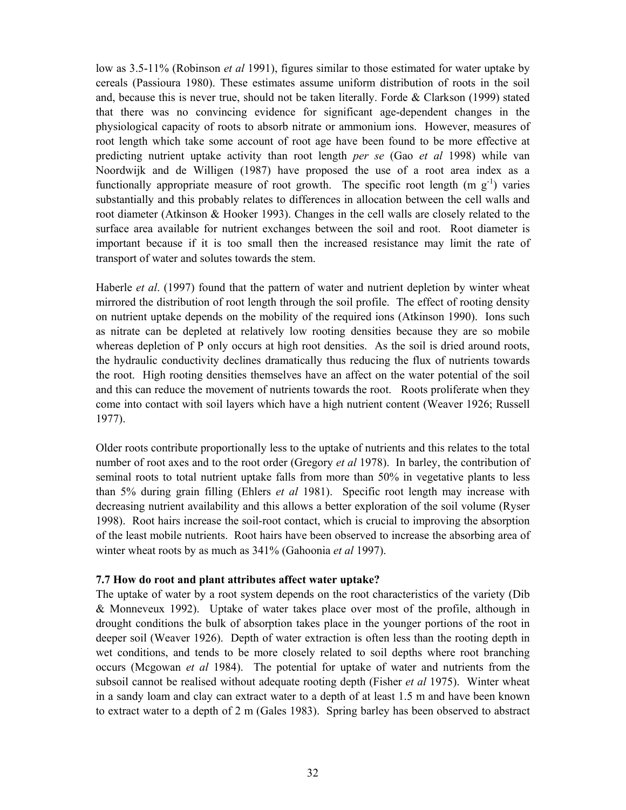low as 3.5-11% (Robinson *et al* 1991), figures similar to those estimated for water uptake by cereals (Passioura 1980). These estimates assume uniform distribution of roots in the soil and, because this is never true, should not be taken literally. Forde  $&$  Clarkson (1999) stated that there was no convincing evidence for significant age-dependent changes in the physiological capacity of roots to absorb nitrate or ammonium ions. However, measures of root length which take some account of root age have been found to be more effective at predicting nutrient uptake activity than root length *per se* (Gao *et al* 1998) while van Noordwijk and de Willigen (1987) have proposed the use of a root area index as a functionally appropriate measure of root growth. The specific root length  $(m g<sup>-1</sup>)$  varies substantially and this probably relates to differences in allocation between the cell walls and root diameter (Atkinson & Hooker 1993). Changes in the cell walls are closely related to the surface area available for nutrient exchanges between the soil and root. Root diameter is important because if it is too small then the increased resistance may limit the rate of transport of water and solutes towards the stem.

Haberle *et al*. (1997) found that the pattern of water and nutrient depletion by winter wheat mirrored the distribution of root length through the soil profile. The effect of rooting density on nutrient uptake depends on the mobility of the required ions (Atkinson 1990). Ions such as nitrate can be depleted at relatively low rooting densities because they are so mobile whereas depletion of P only occurs at high root densities. As the soil is dried around roots, the hydraulic conductivity declines dramatically thus reducing the flux of nutrients towards the root. High rooting densities themselves have an affect on the water potential of the soil and this can reduce the movement of nutrients towards the root. Roots proliferate when they come into contact with soil layers which have a high nutrient content (Weaver 1926; Russell 1977).

Older roots contribute proportionally less to the uptake of nutrients and this relates to the total number of root axes and to the root order (Gregory *et al* 1978). In barley, the contribution of seminal roots to total nutrient uptake falls from more than 50% in vegetative plants to less than 5% during grain filling (Ehlers *et al* 1981). Specific root length may increase with decreasing nutrient availability and this allows a better exploration of the soil volume (Ryser 1998). Root hairs increase the soil-root contact, which is crucial to improving the absorption of the least mobile nutrients. Root hairs have been observed to increase the absorbing area of winter wheat roots by as much as 341% (Gahoonia *et al* 1997).

## **7.7 How do root and plant attributes affect water uptake?**

The uptake of water by a root system depends on the root characteristics of the variety (Dib & Monneveux 1992). Uptake of water takes place over most of the profile, although in drought conditions the bulk of absorption takes place in the younger portions of the root in deeper soil (Weaver 1926). Depth of water extraction is often less than the rooting depth in wet conditions, and tends to be more closely related to soil depths where root branching occurs (Mcgowan *et al* 1984). The potential for uptake of water and nutrients from the subsoil cannot be realised without adequate rooting depth (Fisher *et al* 1975). Winter wheat in a sandy loam and clay can extract water to a depth of at least 1.5 m and have been known to extract water to a depth of 2 m (Gales 1983). Spring barley has been observed to abstract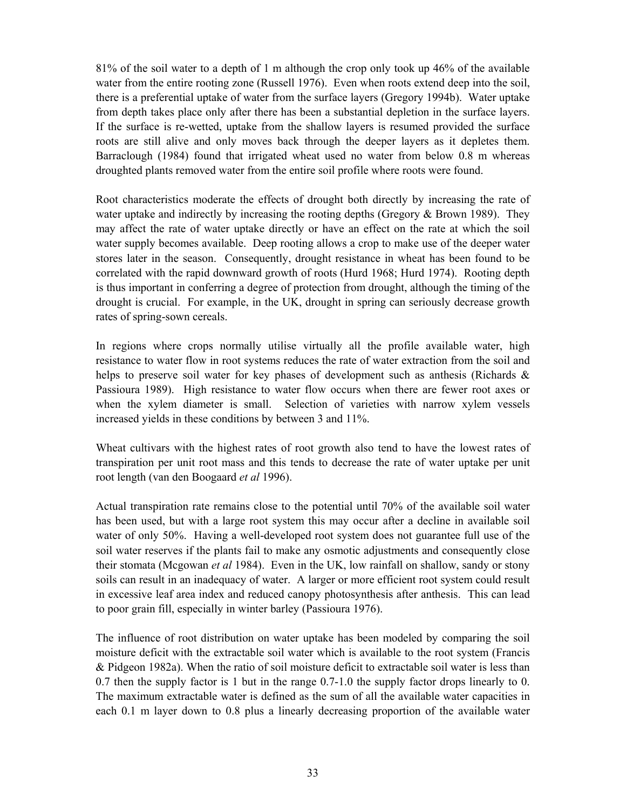81% of the soil water to a depth of 1 m although the crop only took up 46% of the available water from the entire rooting zone (Russell 1976). Even when roots extend deep into the soil, there is a preferential uptake of water from the surface layers (Gregory 1994b). Water uptake from depth takes place only after there has been a substantial depletion in the surface layers. If the surface is re-wetted, uptake from the shallow layers is resumed provided the surface roots are still alive and only moves back through the deeper layers as it depletes them. Barraclough (1984) found that irrigated wheat used no water from below 0.8 m whereas droughted plants removed water from the entire soil profile where roots were found.

Root characteristics moderate the effects of drought both directly by increasing the rate of water uptake and indirectly by increasing the rooting depths (Gregory & Brown 1989). They may affect the rate of water uptake directly or have an effect on the rate at which the soil water supply becomes available. Deep rooting allows a crop to make use of the deeper water stores later in the season. Consequently, drought resistance in wheat has been found to be correlated with the rapid downward growth of roots (Hurd 1968; Hurd 1974). Rooting depth is thus important in conferring a degree of protection from drought, although the timing of the drought is crucial. For example, in the UK, drought in spring can seriously decrease growth rates of spring-sown cereals.

In regions where crops normally utilise virtually all the profile available water, high resistance to water flow in root systems reduces the rate of water extraction from the soil and helps to preserve soil water for key phases of development such as anthesis (Richards & Passioura 1989). High resistance to water flow occurs when there are fewer root axes or when the xylem diameter is small. Selection of varieties with narrow xylem vessels increased yields in these conditions by between 3 and 11%.

Wheat cultivars with the highest rates of root growth also tend to have the lowest rates of transpiration per unit root mass and this tends to decrease the rate of water uptake per unit root length (van den Boogaard *et al* 1996).

Actual transpiration rate remains close to the potential until 70% of the available soil water has been used, but with a large root system this may occur after a decline in available soil water of only 50%. Having a well-developed root system does not guarantee full use of the soil water reserves if the plants fail to make any osmotic adjustments and consequently close their stomata (Mcgowan *et al* 1984). Even in the UK, low rainfall on shallow, sandy or stony soils can result in an inadequacy of water. A larger or more efficient root system could result in excessive leaf area index and reduced canopy photosynthesis after anthesis. This can lead to poor grain fill, especially in winter barley (Passioura 1976).

The influence of root distribution on water uptake has been modeled by comparing the soil moisture deficit with the extractable soil water which is available to the root system (Francis & Pidgeon 1982a). When the ratio of soil moisture deficit to extractable soil water is less than 0.7 then the supply factor is 1 but in the range 0.7-1.0 the supply factor drops linearly to 0. The maximum extractable water is defined as the sum of all the available water capacities in each 0.1 m layer down to 0.8 plus a linearly decreasing proportion of the available water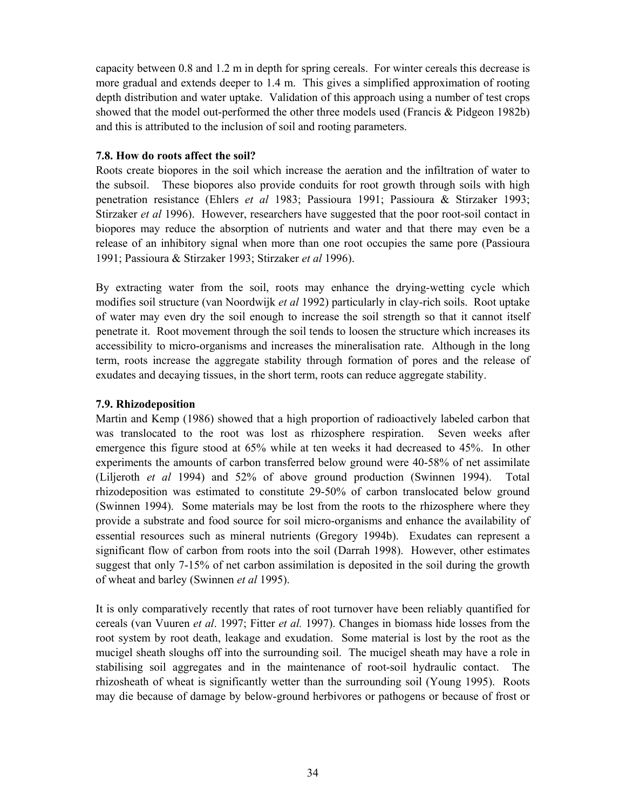capacity between 0.8 and 1.2 m in depth for spring cereals. For winter cereals this decrease is more gradual and extends deeper to 1.4 m. This gives a simplified approximation of rooting depth distribution and water uptake. Validation of this approach using a number of test crops showed that the model out-performed the other three models used (Francis & Pidgeon 1982b) and this is attributed to the inclusion of soil and rooting parameters.

## **7.8. How do roots affect the soil?**

Roots create biopores in the soil which increase the aeration and the infiltration of water to the subsoil. These biopores also provide conduits for root growth through soils with high penetration resistance (Ehlers *et al* 1983; Passioura 1991; Passioura & Stirzaker 1993; Stirzaker *et al* 1996). However, researchers have suggested that the poor root-soil contact in biopores may reduce the absorption of nutrients and water and that there may even be a release of an inhibitory signal when more than one root occupies the same pore (Passioura 1991; Passioura & Stirzaker 1993; Stirzaker *et al* 1996).

By extracting water from the soil, roots may enhance the drying-wetting cycle which modifies soil structure (van Noordwijk *et al* 1992) particularly in clay-rich soils. Root uptake of water may even dry the soil enough to increase the soil strength so that it cannot itself penetrate it. Root movement through the soil tends to loosen the structure which increases its accessibility to micro-organisms and increases the mineralisation rate. Although in the long term, roots increase the aggregate stability through formation of pores and the release of exudates and decaying tissues, in the short term, roots can reduce aggregate stability.

# **7.9. Rhizodeposition**

Martin and Kemp (1986) showed that a high proportion of radioactively labeled carbon that was translocated to the root was lost as rhizosphere respiration. Seven weeks after emergence this figure stood at 65% while at ten weeks it had decreased to 45%. In other experiments the amounts of carbon transferred below ground were 40-58% of net assimilate (Liljeroth *et al* 1994) and 52% of above ground production (Swinnen 1994). Total rhizodeposition was estimated to constitute 29-50% of carbon translocated below ground (Swinnen 1994). Some materials may be lost from the roots to the rhizosphere where they provide a substrate and food source for soil micro-organisms and enhance the availability of essential resources such as mineral nutrients (Gregory 1994b). Exudates can represent a significant flow of carbon from roots into the soil (Darrah 1998). However, other estimates suggest that only 7-15% of net carbon assimilation is deposited in the soil during the growth of wheat and barley (Swinnen *et al* 1995).

It is only comparatively recently that rates of root turnover have been reliably quantified for cereals (van Vuuren *et al*. 1997; Fitter *et al.* 1997). Changes in biomass hide losses from the root system by root death, leakage and exudation. Some material is lost by the root as the mucigel sheath sloughs off into the surrounding soil. The mucigel sheath may have a role in stabilising soil aggregates and in the maintenance of root-soil hydraulic contact. The rhizosheath of wheat is significantly wetter than the surrounding soil (Young 1995). Roots may die because of damage by below-ground herbivores or pathogens or because of frost or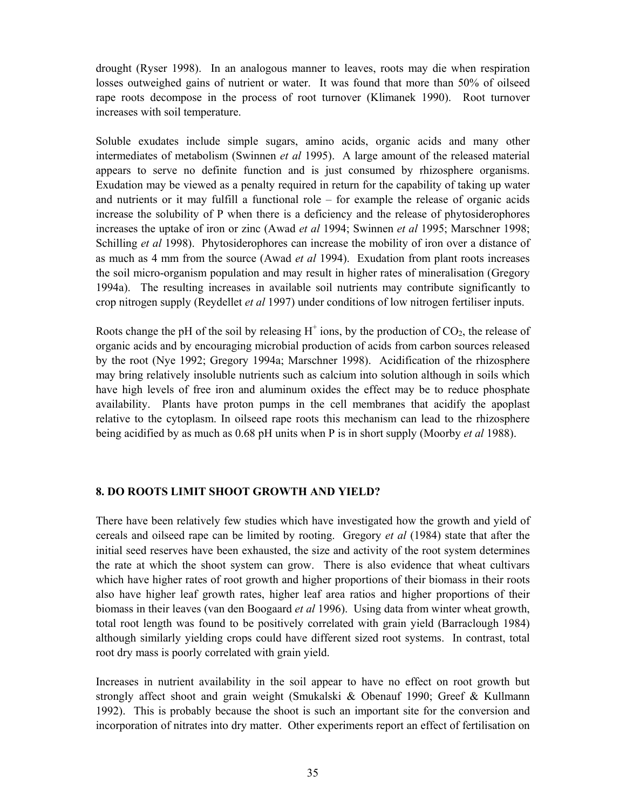drought (Ryser 1998). In an analogous manner to leaves, roots may die when respiration losses outweighed gains of nutrient or water. It was found that more than 50% of oilseed rape roots decompose in the process of root turnover (Klimanek 1990). Root turnover increases with soil temperature.

Soluble exudates include simple sugars, amino acids, organic acids and many other intermediates of metabolism (Swinnen *et al* 1995). A large amount of the released material appears to serve no definite function and is just consumed by rhizosphere organisms. Exudation may be viewed as a penalty required in return for the capability of taking up water and nutrients or it may fulfill a functional role – for example the release of organic acids increase the solubility of P when there is a deficiency and the release of phytosiderophores increases the uptake of iron or zinc (Awad *et al* 1994; Swinnen *et al* 1995; Marschner 1998; Schilling *et al* 1998). Phytosiderophores can increase the mobility of iron over a distance of as much as 4 mm from the source (Awad *et al* 1994). Exudation from plant roots increases the soil micro-organism population and may result in higher rates of mineralisation (Gregory 1994a). The resulting increases in available soil nutrients may contribute significantly to crop nitrogen supply (Reydellet *et al* 1997) under conditions of low nitrogen fertiliser inputs.

Roots change the pH of the soil by releasing  $H^+$  ions, by the production of  $CO_2$ , the release of organic acids and by encouraging microbial production of acids from carbon sources released by the root (Nye 1992; Gregory 1994a; Marschner 1998). Acidification of the rhizosphere may bring relatively insoluble nutrients such as calcium into solution although in soils which have high levels of free iron and aluminum oxides the effect may be to reduce phosphate availability. Plants have proton pumps in the cell membranes that acidify the apoplast relative to the cytoplasm. In oilseed rape roots this mechanism can lead to the rhizosphere being acidified by as much as 0.68 pH units when P is in short supply (Moorby *et al* 1988).

## **8. DO ROOTS LIMIT SHOOT GROWTH AND YIELD?**

There have been relatively few studies which have investigated how the growth and yield of cereals and oilseed rape can be limited by rooting. Gregory *et al* (1984) state that after the initial seed reserves have been exhausted, the size and activity of the root system determines the rate at which the shoot system can grow. There is also evidence that wheat cultivars which have higher rates of root growth and higher proportions of their biomass in their roots also have higher leaf growth rates, higher leaf area ratios and higher proportions of their biomass in their leaves (van den Boogaard *et al* 1996). Using data from winter wheat growth, total root length was found to be positively correlated with grain yield (Barraclough 1984) although similarly yielding crops could have different sized root systems. In contrast, total root dry mass is poorly correlated with grain yield.

Increases in nutrient availability in the soil appear to have no effect on root growth but strongly affect shoot and grain weight (Smukalski & Obenauf 1990; Greef & Kullmann 1992). This is probably because the shoot is such an important site for the conversion and incorporation of nitrates into dry matter. Other experiments report an effect of fertilisation on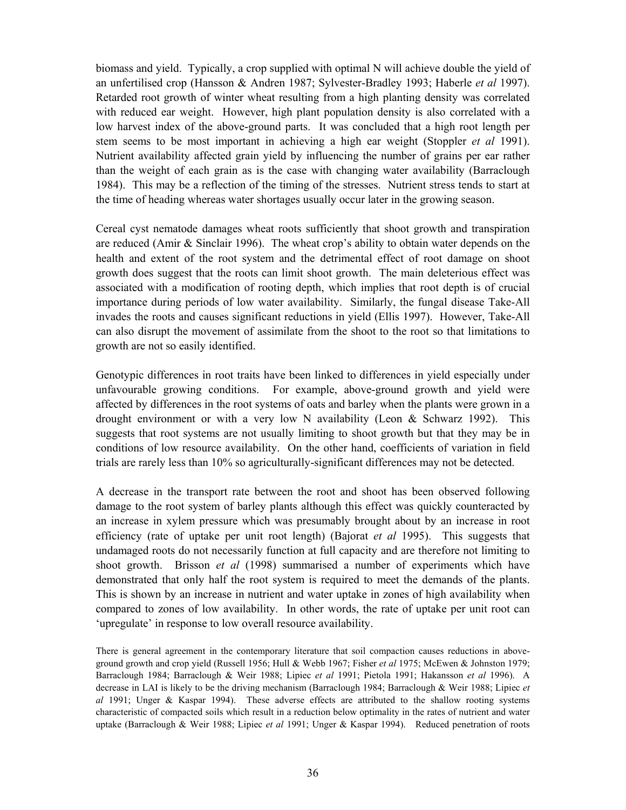biomass and yield. Typically, a crop supplied with optimal N will achieve double the yield of an unfertilised crop (Hansson & Andren 1987; Sylvester-Bradley 1993; Haberle *et al* 1997). Retarded root growth of winter wheat resulting from a high planting density was correlated with reduced ear weight. However, high plant population density is also correlated with a low harvest index of the above-ground parts. It was concluded that a high root length per stem seems to be most important in achieving a high ear weight (Stoppler *et al* 1991). Nutrient availability affected grain yield by influencing the number of grains per ear rather than the weight of each grain as is the case with changing water availability (Barraclough 1984). This may be a reflection of the timing of the stresses. Nutrient stress tends to start at the time of heading whereas water shortages usually occur later in the growing season.

Cereal cyst nematode damages wheat roots sufficiently that shoot growth and transpiration are reduced (Amir & Sinclair 1996). The wheat crop's ability to obtain water depends on the health and extent of the root system and the detrimental effect of root damage on shoot growth does suggest that the roots can limit shoot growth. The main deleterious effect was associated with a modification of rooting depth, which implies that root depth is of crucial importance during periods of low water availability. Similarly, the fungal disease Take-All invades the roots and causes significant reductions in yield (Ellis 1997). However, Take-All can also disrupt the movement of assimilate from the shoot to the root so that limitations to growth are not so easily identified.

Genotypic differences in root traits have been linked to differences in yield especially under unfavourable growing conditions. For example, above-ground growth and yield were affected by differences in the root systems of oats and barley when the plants were grown in a drought environment or with a very low N availability (Leon  $&$  Schwarz 1992). This suggests that root systems are not usually limiting to shoot growth but that they may be in conditions of low resource availability. On the other hand, coefficients of variation in field trials are rarely less than 10% so agriculturally-significant differences may not be detected.

A decrease in the transport rate between the root and shoot has been observed following damage to the root system of barley plants although this effect was quickly counteracted by an increase in xylem pressure which was presumably brought about by an increase in root efficiency (rate of uptake per unit root length) (Bajorat *et al* 1995). This suggests that undamaged roots do not necessarily function at full capacity and are therefore not limiting to shoot growth. Brisson *et al* (1998) summarised a number of experiments which have demonstrated that only half the root system is required to meet the demands of the plants. This is shown by an increase in nutrient and water uptake in zones of high availability when compared to zones of low availability. In other words, the rate of uptake per unit root can 'upregulate' in response to low overall resource availability.

There is general agreement in the contemporary literature that soil compaction causes reductions in aboveground growth and crop yield (Russell 1956; Hull & Webb 1967; Fisher *et al* 1975; McEwen & Johnston 1979; Barraclough 1984; Barraclough & Weir 1988; Lipiec *et al* 1991; Pietola 1991; Hakansson *et al* 1996). A decrease in LAI is likely to be the driving mechanism (Barraclough 1984; Barraclough & Weir 1988; Lipiec *et al* 1991; Unger & Kaspar 1994). These adverse effects are attributed to the shallow rooting systems characteristic of compacted soils which result in a reduction below optimality in the rates of nutrient and water uptake (Barraclough & Weir 1988; Lipiec *et al* 1991; Unger & Kaspar 1994). Reduced penetration of roots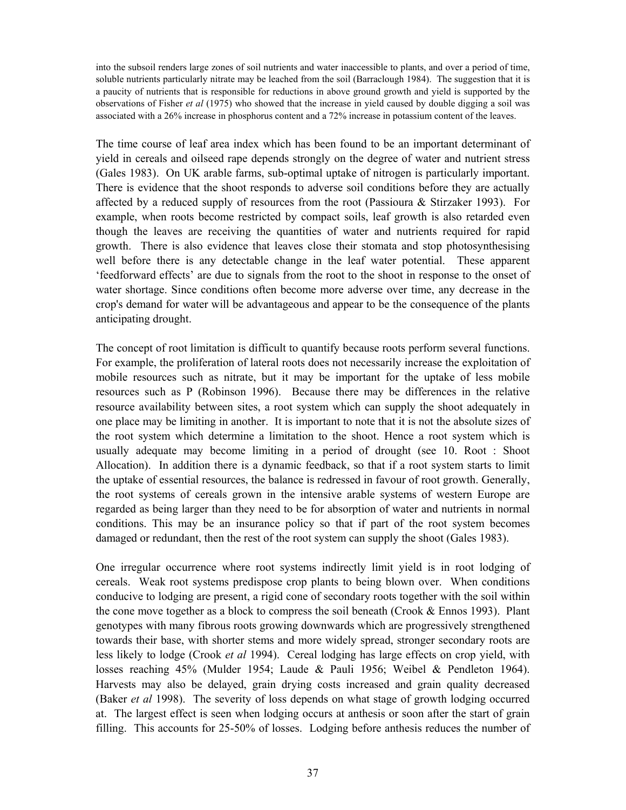into the subsoil renders large zones of soil nutrients and water inaccessible to plants, and over a period of time, soluble nutrients particularly nitrate may be leached from the soil (Barraclough 1984). The suggestion that it is a paucity of nutrients that is responsible for reductions in above ground growth and yield is supported by the observations of Fisher *et al* (1975) who showed that the increase in yield caused by double digging a soil was associated with a 26% increase in phosphorus content and a 72% increase in potassium content of the leaves.

The time course of leaf area index which has been found to be an important determinant of yield in cereals and oilseed rape depends strongly on the degree of water and nutrient stress (Gales 1983). On UK arable farms, sub-optimal uptake of nitrogen is particularly important. There is evidence that the shoot responds to adverse soil conditions before they are actually affected by a reduced supply of resources from the root (Passioura & Stirzaker 1993). For example, when roots become restricted by compact soils, leaf growth is also retarded even though the leaves are receiving the quantities of water and nutrients required for rapid growth. There is also evidence that leaves close their stomata and stop photosynthesising well before there is any detectable change in the leaf water potential. These apparent 'feedforward effects' are due to signals from the root to the shoot in response to the onset of water shortage. Since conditions often become more adverse over time, any decrease in the crop's demand for water will be advantageous and appear to be the consequence of the plants anticipating drought.

The concept of root limitation is difficult to quantify because roots perform several functions. For example, the proliferation of lateral roots does not necessarily increase the exploitation of mobile resources such as nitrate, but it may be important for the uptake of less mobile resources such as P (Robinson 1996). Because there may be differences in the relative resource availability between sites, a root system which can supply the shoot adequately in one place may be limiting in another. It is important to note that it is not the absolute sizes of the root system which determine a limitation to the shoot. Hence a root system which is usually adequate may become limiting in a period of drought (see 10. Root : Shoot Allocation). In addition there is a dynamic feedback, so that if a root system starts to limit the uptake of essential resources, the balance is redressed in favour of root growth. Generally, the root systems of cereals grown in the intensive arable systems of western Europe are regarded as being larger than they need to be for absorption of water and nutrients in normal conditions. This may be an insurance policy so that if part of the root system becomes damaged or redundant, then the rest of the root system can supply the shoot (Gales 1983).

One irregular occurrence where root systems indirectly limit yield is in root lodging of cereals. Weak root systems predispose crop plants to being blown over. When conditions conducive to lodging are present, a rigid cone of secondary roots together with the soil within the cone move together as a block to compress the soil beneath (Crook & Ennos 1993). Plant genotypes with many fibrous roots growing downwards which are progressively strengthened towards their base, with shorter stems and more widely spread, stronger secondary roots are less likely to lodge (Crook *et al* 1994). Cereal lodging has large effects on crop yield, with losses reaching 45% (Mulder 1954; Laude & Pauli 1956; Weibel & Pendleton 1964). Harvests may also be delayed, grain drying costs increased and grain quality decreased (Baker *et al* 1998). The severity of loss depends on what stage of growth lodging occurred at. The largest effect is seen when lodging occurs at anthesis or soon after the start of grain filling. This accounts for 25-50% of losses. Lodging before anthesis reduces the number of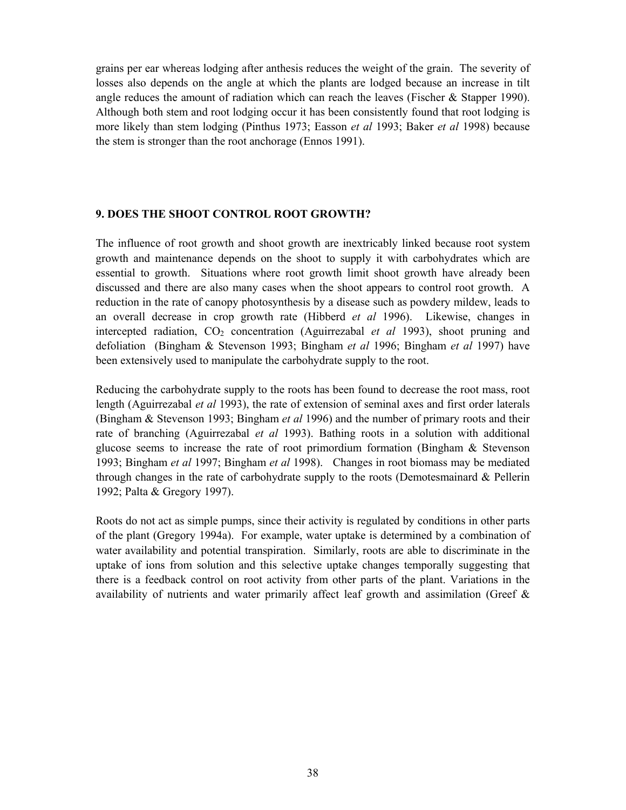grains per ear whereas lodging after anthesis reduces the weight of the grain. The severity of losses also depends on the angle at which the plants are lodged because an increase in tilt angle reduces the amount of radiation which can reach the leaves (Fischer & Stapper 1990). Although both stem and root lodging occur it has been consistently found that root lodging is more likely than stem lodging (Pinthus 1973; Easson *et al* 1993; Baker *et al* 1998) because the stem is stronger than the root anchorage (Ennos 1991).

## **9. DOES THE SHOOT CONTROL ROOT GROWTH?**

The influence of root growth and shoot growth are inextricably linked because root system growth and maintenance depends on the shoot to supply it with carbohydrates which are essential to growth. Situations where root growth limit shoot growth have already been discussed and there are also many cases when the shoot appears to control root growth. A reduction in the rate of canopy photosynthesis by a disease such as powdery mildew, leads to an overall decrease in crop growth rate (Hibberd *et al* 1996). Likewise, changes in intercepted radiation, CO<sub>2</sub> concentration (Aguirrezabal *et al* 1993), shoot pruning and defoliation (Bingham & Stevenson 1993; Bingham *et al* 1996; Bingham *et al* 1997) have been extensively used to manipulate the carbohydrate supply to the root.

Reducing the carbohydrate supply to the roots has been found to decrease the root mass, root length (Aguirrezabal *et al* 1993), the rate of extension of seminal axes and first order laterals (Bingham & Stevenson 1993; Bingham *et al* 1996) and the number of primary roots and their rate of branching (Aguirrezabal *et al* 1993). Bathing roots in a solution with additional glucose seems to increase the rate of root primordium formation (Bingham & Stevenson 1993; Bingham *et al* 1997; Bingham *et al* 1998). Changes in root biomass may be mediated through changes in the rate of carbohydrate supply to the roots (Demotesmainard & Pellerin 1992; Palta & Gregory 1997).

Roots do not act as simple pumps, since their activity is regulated by conditions in other parts of the plant (Gregory 1994a). For example, water uptake is determined by a combination of water availability and potential transpiration. Similarly, roots are able to discriminate in the uptake of ions from solution and this selective uptake changes temporally suggesting that there is a feedback control on root activity from other parts of the plant. Variations in the availability of nutrients and water primarily affect leaf growth and assimilation (Greef &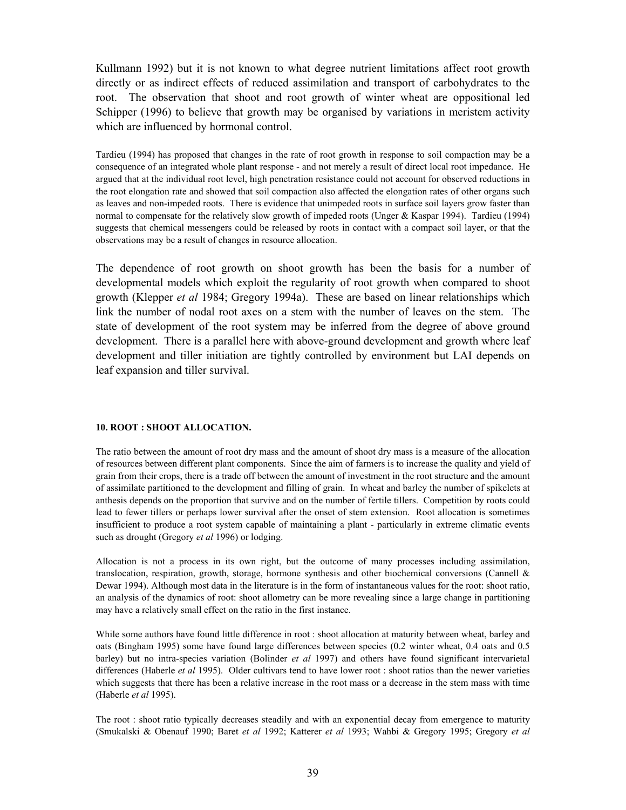Kullmann 1992) but it is not known to what degree nutrient limitations affect root growth directly or as indirect effects of reduced assimilation and transport of carbohydrates to the root. The observation that shoot and root growth of winter wheat are oppositional led Schipper (1996) to believe that growth may be organised by variations in meristem activity which are influenced by hormonal control.

Tardieu (1994) has proposed that changes in the rate of root growth in response to soil compaction may be a consequence of an integrated whole plant response - and not merely a result of direct local root impedance. He argued that at the individual root level, high penetration resistance could not account for observed reductions in the root elongation rate and showed that soil compaction also affected the elongation rates of other organs such as leaves and non-impeded roots. There is evidence that unimpeded roots in surface soil layers grow faster than normal to compensate for the relatively slow growth of impeded roots (Unger & Kaspar 1994). Tardieu (1994) suggests that chemical messengers could be released by roots in contact with a compact soil layer, or that the observations may be a result of changes in resource allocation.

The dependence of root growth on shoot growth has been the basis for a number of developmental models which exploit the regularity of root growth when compared to shoot growth (Klepper *et al* 1984; Gregory 1994a). These are based on linear relationships which link the number of nodal root axes on a stem with the number of leaves on the stem. The state of development of the root system may be inferred from the degree of above ground development. There is a parallel here with above-ground development and growth where leaf development and tiller initiation are tightly controlled by environment but LAI depends on leaf expansion and tiller survival.

#### **10. ROOT : SHOOT ALLOCATION.**

The ratio between the amount of root dry mass and the amount of shoot dry mass is a measure of the allocation of resources between different plant components. Since the aim of farmers is to increase the quality and yield of grain from their crops, there is a trade off between the amount of investment in the root structure and the amount of assimilate partitioned to the development and filling of grain. In wheat and barley the number of spikelets at anthesis depends on the proportion that survive and on the number of fertile tillers. Competition by roots could lead to fewer tillers or perhaps lower survival after the onset of stem extension. Root allocation is sometimes insufficient to produce a root system capable of maintaining a plant - particularly in extreme climatic events such as drought (Gregory *et al* 1996) or lodging.

Allocation is not a process in its own right, but the outcome of many processes including assimilation, translocation, respiration, growth, storage, hormone synthesis and other biochemical conversions (Cannell & Dewar 1994). Although most data in the literature is in the form of instantaneous values for the root: shoot ratio, an analysis of the dynamics of root: shoot allometry can be more revealing since a large change in partitioning may have a relatively small effect on the ratio in the first instance.

While some authors have found little difference in root : shoot allocation at maturity between wheat, barley and oats (Bingham 1995) some have found large differences between species (0.2 winter wheat, 0.4 oats and 0.5 barley) but no intra-species variation (Bolinder *et al* 1997) and others have found significant intervarietal differences (Haberle *et al* 1995). Older cultivars tend to have lower root : shoot ratios than the newer varieties which suggests that there has been a relative increase in the root mass or a decrease in the stem mass with time (Haberle *et al* 1995).

The root : shoot ratio typically decreases steadily and with an exponential decay from emergence to maturity (Smukalski & Obenauf 1990; Baret *et al* 1992; Katterer *et al* 1993; Wahbi & Gregory 1995; Gregory *et al*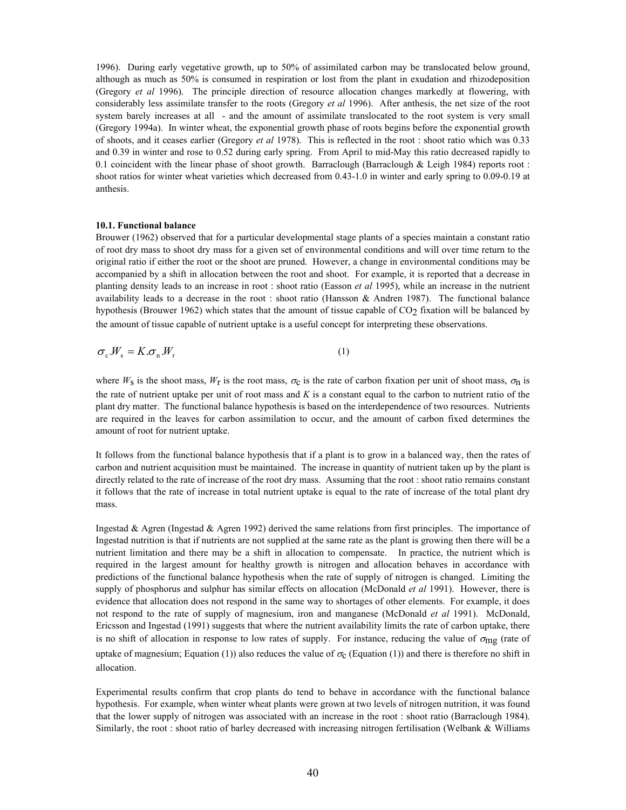1996). During early vegetative growth, up to 50% of assimilated carbon may be translocated below ground, although as much as 50% is consumed in respiration or lost from the plant in exudation and rhizodeposition (Gregory *et al* 1996). The principle direction of resource allocation changes markedly at flowering, with considerably less assimilate transfer to the roots (Gregory *et al* 1996). After anthesis, the net size of the root system barely increases at all - and the amount of assimilate translocated to the root system is very small (Gregory 1994a). In winter wheat, the exponential growth phase of roots begins before the exponential growth of shoots, and it ceases earlier (Gregory *et al* 1978). This is reflected in the root : shoot ratio which was 0.33 and 0.39 in winter and rose to 0.52 during early spring. From April to mid-May this ratio decreased rapidly to 0.1 coincident with the linear phase of shoot growth. Barraclough (Barraclough & Leigh 1984) reports root : shoot ratios for winter wheat varieties which decreased from 0.43-1.0 in winter and early spring to 0.09-0.19 at anthesis.

#### **10.1. Functional balance**

Brouwer (1962) observed that for a particular developmental stage plants of a species maintain a constant ratio of root dry mass to shoot dry mass for a given set of environmental conditions and will over time return to the original ratio if either the root or the shoot are pruned. However, a change in environmental conditions may be accompanied by a shift in allocation between the root and shoot. For example, it is reported that a decrease in planting density leads to an increase in root : shoot ratio (Easson *et al* 1995), while an increase in the nutrient availability leads to a decrease in the root : shoot ratio (Hansson & Andren 1987). The functional balance hypothesis (Brouwer 1962) which states that the amount of tissue capable of CO<sub>2</sub> fixation will be balanced by the amount of tissue capable of nutrient uptake is a useful concept for interpreting these observations.

$$
\sigma_{\rm c} \cdot W_{\rm s} = K \cdot \sigma_{\rm n} \cdot W_{\rm r} \tag{1}
$$

where  $W_S$  is the shoot mass,  $W_I$  is the root mass,  $\sigma_S$  is the rate of carbon fixation per unit of shoot mass,  $\sigma_I$  is the rate of nutrient uptake per unit of root mass and *K* is a constant equal to the carbon to nutrient ratio of the plant dry matter. The functional balance hypothesis is based on the interdependence of two resources. Nutrients are required in the leaves for carbon assimilation to occur, and the amount of carbon fixed determines the amount of root for nutrient uptake.

It follows from the functional balance hypothesis that if a plant is to grow in a balanced way, then the rates of carbon and nutrient acquisition must be maintained. The increase in quantity of nutrient taken up by the plant is directly related to the rate of increase of the root dry mass. Assuming that the root : shoot ratio remains constant it follows that the rate of increase in total nutrient uptake is equal to the rate of increase of the total plant dry mass.

Ingestad & Agren (Ingestad & Agren 1992) derived the same relations from first principles. The importance of Ingestad nutrition is that if nutrients are not supplied at the same rate as the plant is growing then there will be a nutrient limitation and there may be a shift in allocation to compensate. In practice, the nutrient which is required in the largest amount for healthy growth is nitrogen and allocation behaves in accordance with predictions of the functional balance hypothesis when the rate of supply of nitrogen is changed. Limiting the supply of phosphorus and sulphur has similar effects on allocation (McDonald *et al* 1991). However, there is evidence that allocation does not respond in the same way to shortages of other elements. For example, it does not respond to the rate of supply of magnesium, iron and manganese (McDonald *et al* 1991). McDonald, Ericsson and Ingestad (1991) suggests that where the nutrient availability limits the rate of carbon uptake, there is no shift of allocation in response to low rates of supply. For instance, reducing the value of  $\sigma_{\text{mg}}$  (rate of uptake of magnesium; Equation (1)) also reduces the value of  $\sigma_c$  (Equation (1)) and there is therefore no shift in allocation.

Experimental results confirm that crop plants do tend to behave in accordance with the functional balance hypothesis. For example, when winter wheat plants were grown at two levels of nitrogen nutrition, it was found that the lower supply of nitrogen was associated with an increase in the root : shoot ratio (Barraclough 1984). Similarly, the root : shoot ratio of barley decreased with increasing nitrogen fertilisation (Welbank & Williams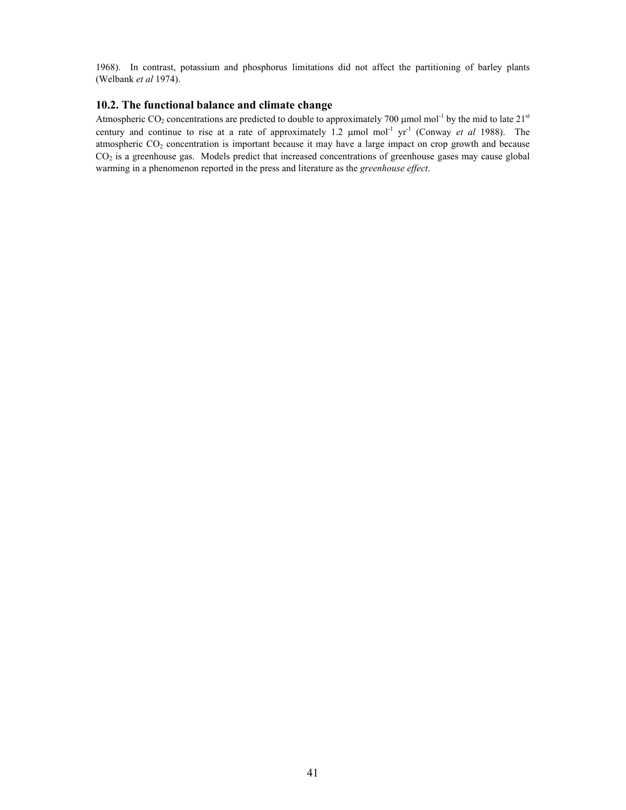1968). In contrast, potassium and phosphorus limitations did not affect the partitioning of barley plants (Welbank *et al* 1974).

#### **10.2. The functional balance and climate change**

Atmospheric CO<sub>2</sub> concentrations are predicted to double to approximately 700  $\mu$ mol mol<sup>-1</sup> by the mid to late 21<sup>st</sup> century and continue to rise at a rate of approximately 1.2 µmol mol-1 yr-1 (Conway *et al* 1988). The atmospheric  $CO<sub>2</sub>$  concentration is important because it may have a large impact on crop growth and because CO<sub>2</sub> is a greenhouse gas. Models predict that increased concentrations of greenhouse gases may cause global warming in a phenomenon reported in the press and literature as the *greenhouse effect*.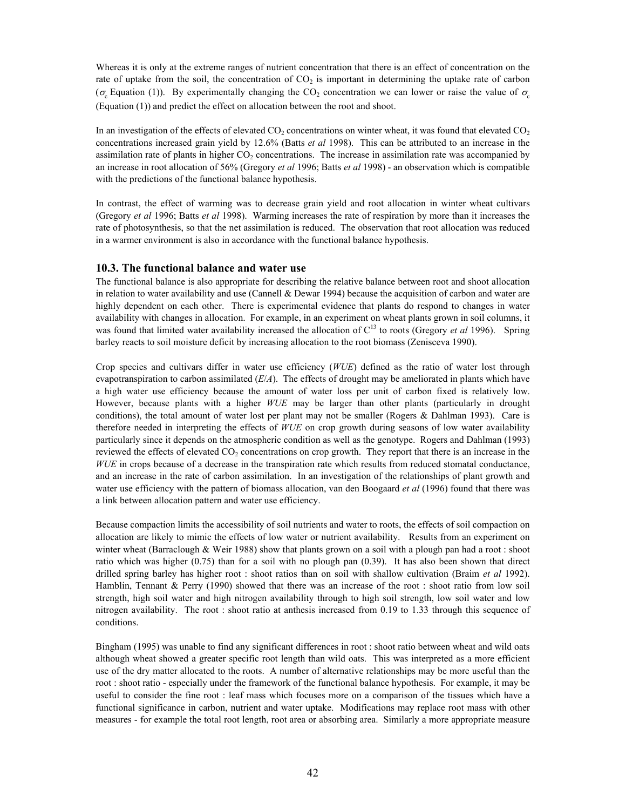Whereas it is only at the extreme ranges of nutrient concentration that there is an effect of concentration on the rate of uptake from the soil, the concentration of  $CO<sub>2</sub>$  is important in determining the uptake rate of carbon ( $\sigma_c$  Equation (1)). By experimentally changing the CO<sub>2</sub> concentration we can lower or raise the value of  $\sigma_c$ (Equation (1)) and predict the effect on allocation between the root and shoot.

In an investigation of the effects of elevated  $CO<sub>2</sub>$  concentrations on winter wheat, it was found that elevated  $CO<sub>2</sub>$ concentrations increased grain yield by 12.6% (Batts *et al* 1998). This can be attributed to an increase in the assimilation rate of plants in higher  $CO<sub>2</sub>$  concentrations. The increase in assimilation rate was accompanied by an increase in root allocation of 56% (Gregory *et al* 1996; Batts *et al* 1998) - an observation which is compatible with the predictions of the functional balance hypothesis.

In contrast, the effect of warming was to decrease grain yield and root allocation in winter wheat cultivars (Gregory *et al* 1996; Batts *et al* 1998). Warming increases the rate of respiration by more than it increases the rate of photosynthesis, so that the net assimilation is reduced. The observation that root allocation was reduced in a warmer environment is also in accordance with the functional balance hypothesis.

#### **10.3. The functional balance and water use**

The functional balance is also appropriate for describing the relative balance between root and shoot allocation in relation to water availability and use (Cannell & Dewar 1994) because the acquisition of carbon and water are highly dependent on each other. There is experimental evidence that plants do respond to changes in water availability with changes in allocation. For example, in an experiment on wheat plants grown in soil columns, it was found that limited water availability increased the allocation of C<sup>13</sup> to roots (Gregory *et al* 1996). Spring barley reacts to soil moisture deficit by increasing allocation to the root biomass (Zenisceva 1990).

Crop species and cultivars differ in water use efficiency (*WUE*) defined as the ratio of water lost through evapotranspiration to carbon assimilated (*E*/*A*). The effects of drought may be ameliorated in plants which have a high water use efficiency because the amount of water loss per unit of carbon fixed is relatively low. However, because plants with a higher *WUE* may be larger than other plants (particularly in drought conditions), the total amount of water lost per plant may not be smaller (Rogers  $\&$  Dahlman 1993). Care is therefore needed in interpreting the effects of *WUE* on crop growth during seasons of low water availability particularly since it depends on the atmospheric condition as well as the genotype. Rogers and Dahlman (1993) reviewed the effects of elevated  $CO<sub>2</sub>$  concentrations on crop growth. They report that there is an increase in the *WUE* in crops because of a decrease in the transpiration rate which results from reduced stomatal conductance, and an increase in the rate of carbon assimilation. In an investigation of the relationships of plant growth and water use efficiency with the pattern of biomass allocation, van den Boogaard *et al* (1996) found that there was a link between allocation pattern and water use efficiency.

Because compaction limits the accessibility of soil nutrients and water to roots, the effects of soil compaction on allocation are likely to mimic the effects of low water or nutrient availability. Results from an experiment on winter wheat (Barraclough & Weir 1988) show that plants grown on a soil with a plough pan had a root : shoot ratio which was higher (0.75) than for a soil with no plough pan (0.39). It has also been shown that direct drilled spring barley has higher root : shoot ratios than on soil with shallow cultivation (Braim *et al* 1992). Hamblin, Tennant & Perry (1990) showed that there was an increase of the root : shoot ratio from low soil strength, high soil water and high nitrogen availability through to high soil strength, low soil water and low nitrogen availability. The root : shoot ratio at anthesis increased from 0.19 to 1.33 through this sequence of conditions.

Bingham (1995) was unable to find any significant differences in root : shoot ratio between wheat and wild oats although wheat showed a greater specific root length than wild oats. This was interpreted as a more efficient use of the dry matter allocated to the roots. A number of alternative relationships may be more useful than the root : shoot ratio - especially under the framework of the functional balance hypothesis. For example, it may be useful to consider the fine root : leaf mass which focuses more on a comparison of the tissues which have a functional significance in carbon, nutrient and water uptake. Modifications may replace root mass with other measures - for example the total root length, root area or absorbing area. Similarly a more appropriate measure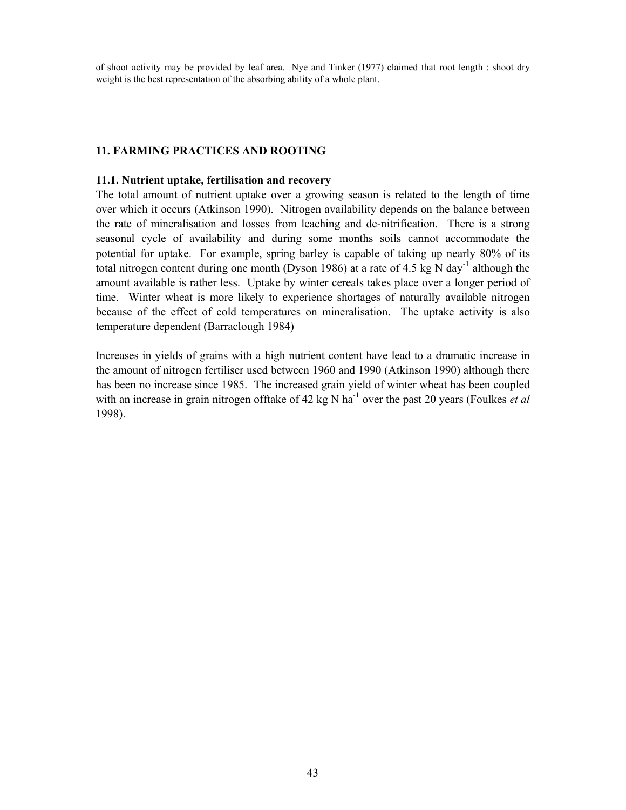of shoot activity may be provided by leaf area. Nye and Tinker (1977) claimed that root length : shoot dry weight is the best representation of the absorbing ability of a whole plant.

## **11. FARMING PRACTICES AND ROOTING**

#### **11.1. Nutrient uptake, fertilisation and recovery**

The total amount of nutrient uptake over a growing season is related to the length of time over which it occurs (Atkinson 1990). Nitrogen availability depends on the balance between the rate of mineralisation and losses from leaching and de-nitrification. There is a strong seasonal cycle of availability and during some months soils cannot accommodate the potential for uptake. For example, spring barley is capable of taking up nearly 80% of its total nitrogen content during one month (Dyson 1986) at a rate of 4.5 kg N day<sup>-1</sup> although the amount available is rather less. Uptake by winter cereals takes place over a longer period of time. Winter wheat is more likely to experience shortages of naturally available nitrogen because of the effect of cold temperatures on mineralisation. The uptake activity is also temperature dependent (Barraclough 1984)

Increases in yields of grains with a high nutrient content have lead to a dramatic increase in the amount of nitrogen fertiliser used between 1960 and 1990 (Atkinson 1990) although there has been no increase since 1985. The increased grain yield of winter wheat has been coupled with an increase in grain nitrogen offtake of 42 kg N ha<sup>-1</sup> over the past 20 years (Foulkes *et al*) 1998).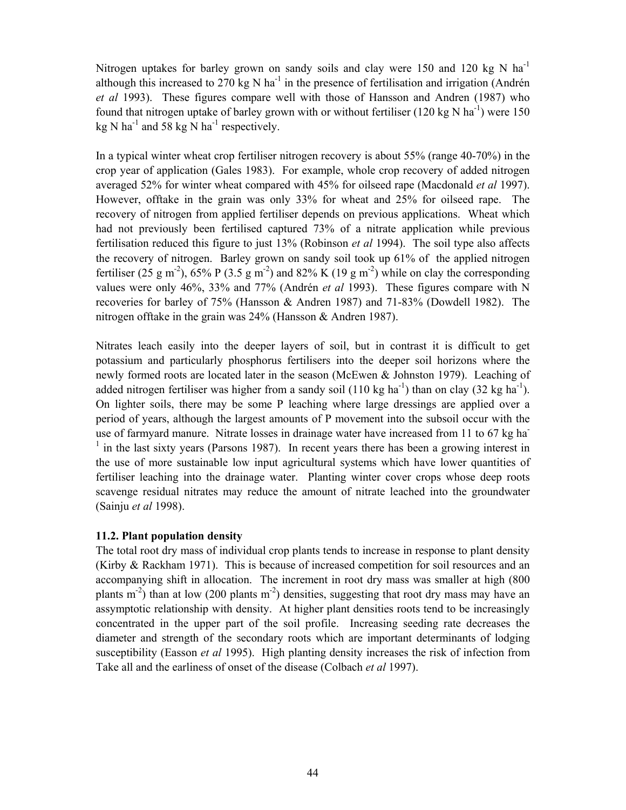Nitrogen uptakes for barley grown on sandy soils and clay were 150 and 120 kg N  $\text{ha}^{-1}$ although this increased to 270 kg N  $ha^{-1}$  in the presence of fertilisation and irrigation (Andrén *et al* 1993). These figures compare well with those of Hansson and Andren (1987) who found that nitrogen uptake of barley grown with or without fertiliser (120 kg N ha<sup>-1</sup>) were 150 kg N ha<sup>-1</sup> and 58 kg N ha<sup>-1</sup> respectively.

In a typical winter wheat crop fertiliser nitrogen recovery is about 55% (range 40-70%) in the crop year of application (Gales 1983). For example, whole crop recovery of added nitrogen averaged 52% for winter wheat compared with 45% for oilseed rape (Macdonald *et al* 1997). However, offtake in the grain was only 33% for wheat and 25% for oilseed rape. The recovery of nitrogen from applied fertiliser depends on previous applications. Wheat which had not previously been fertilised captured 73% of a nitrate application while previous fertilisation reduced this figure to just 13% (Robinson *et al* 1994). The soil type also affects the recovery of nitrogen. Barley grown on sandy soil took up 61% of the applied nitrogen fertiliser (25 g m<sup>-2</sup>), 65% P (3.5 g m<sup>-2</sup>) and 82% K (19 g m<sup>-2</sup>) while on clay the corresponding values were only 46%, 33% and 77% (Andrén *et al* 1993). These figures compare with N recoveries for barley of 75% (Hansson & Andren 1987) and 71-83% (Dowdell 1982). The nitrogen offtake in the grain was 24% (Hansson & Andren 1987).

Nitrates leach easily into the deeper layers of soil, but in contrast it is difficult to get potassium and particularly phosphorus fertilisers into the deeper soil horizons where the newly formed roots are located later in the season (McEwen & Johnston 1979). Leaching of added nitrogen fertiliser was higher from a sandy soil (110 kg ha<sup>-1</sup>) than on clay (32 kg ha<sup>-1</sup>). On lighter soils, there may be some P leaching where large dressings are applied over a period of years, although the largest amounts of P movement into the subsoil occur with the use of farmyard manure. Nitrate losses in drainage water have increased from 11 to 67 kg ha- $<sup>1</sup>$  in the last sixty years (Parsons 1987). In recent years there has been a growing interest in</sup> the use of more sustainable low input agricultural systems which have lower quantities of fertiliser leaching into the drainage water. Planting winter cover crops whose deep roots scavenge residual nitrates may reduce the amount of nitrate leached into the groundwater (Sainju *et al* 1998).

## **11.2. Plant population density**

The total root dry mass of individual crop plants tends to increase in response to plant density (Kirby & Rackham 1971). This is because of increased competition for soil resources and an accompanying shift in allocation. The increment in root dry mass was smaller at high (800 plants  $m^{-2}$ ) than at low (200 plants  $m^{-2}$ ) densities, suggesting that root dry mass may have an assymptotic relationship with density. At higher plant densities roots tend to be increasingly concentrated in the upper part of the soil profile. Increasing seeding rate decreases the diameter and strength of the secondary roots which are important determinants of lodging susceptibility (Easson *et al* 1995). High planting density increases the risk of infection from Take all and the earliness of onset of the disease (Colbach *et al* 1997).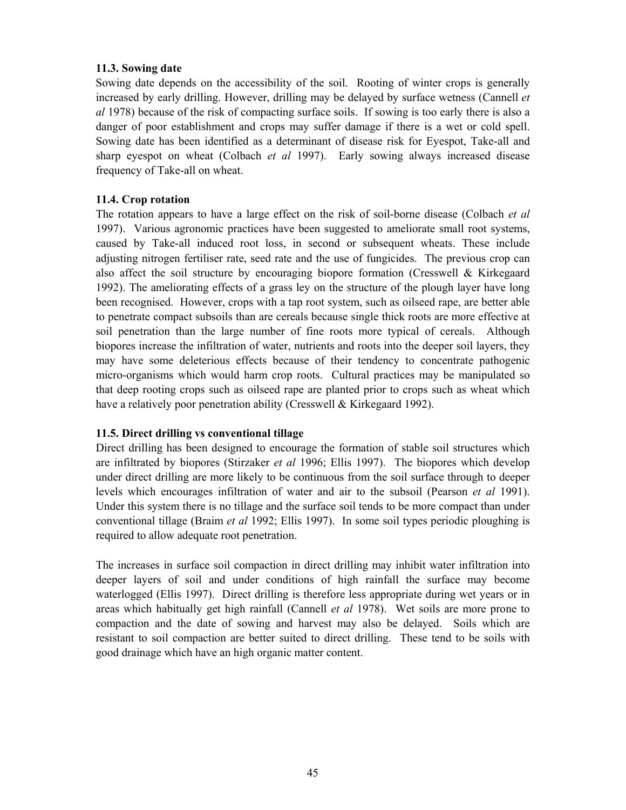## **11.3. Sowing date**

Sowing date depends on the accessibility of the soil. Rooting of winter crops is generally increased by early drilling. However, drilling may be delayed by surface wetness (Cannell *et al* 1978) because of the risk of compacting surface soils. If sowing is too early there is also a danger of poor establishment and crops may suffer damage if there is a wet or cold spell. Sowing date has been identified as a determinant of disease risk for Eyespot, Take-all and sharp eyespot on wheat (Colbach *et al* 1997). Early sowing always increased disease frequency of Take-all on wheat.

## **11.4. Crop rotation**

The rotation appears to have a large effect on the risk of soil-borne disease (Colbach *et al* 1997). Various agronomic practices have been suggested to ameliorate small root systems, caused by Take-all induced root loss, in second or subsequent wheats. These include adjusting nitrogen fertiliser rate, seed rate and the use of fungicides. The previous crop can also affect the soil structure by encouraging biopore formation (Cresswell & Kirkegaard 1992). The ameliorating effects of a grass ley on the structure of the plough layer have long been recognised. However, crops with a tap root system, such as oilseed rape, are better able to penetrate compact subsoils than are cereals because single thick roots are more effective at soil penetration than the large number of fine roots more typical of cereals. Although biopores increase the infiltration of water, nutrients and roots into the deeper soil layers, they may have some deleterious effects because of their tendency to concentrate pathogenic micro-organisms which would harm crop roots. Cultural practices may be manipulated so that deep rooting crops such as oilseed rape are planted prior to crops such as wheat which have a relatively poor penetration ability (Cresswell & Kirkegaard 1992).

# **11.5. Direct drilling vs conventional tillage**

Direct drilling has been designed to encourage the formation of stable soil structures which are infiltrated by biopores (Stirzaker *et al* 1996; Ellis 1997). The biopores which develop under direct drilling are more likely to be continuous from the soil surface through to deeper levels which encourages infiltration of water and air to the subsoil (Pearson *et al* 1991). Under this system there is no tillage and the surface soil tends to be more compact than under conventional tillage (Braim *et al* 1992; Ellis 1997). In some soil types periodic ploughing is required to allow adequate root penetration.

The increases in surface soil compaction in direct drilling may inhibit water infiltration into deeper layers of soil and under conditions of high rainfall the surface may become waterlogged (Ellis 1997). Direct drilling is therefore less appropriate during wet years or in areas which habitually get high rainfall (Cannell *et al* 1978). Wet soils are more prone to compaction and the date of sowing and harvest may also be delayed. Soils which are resistant to soil compaction are better suited to direct drilling. These tend to be soils with good drainage which have an high organic matter content.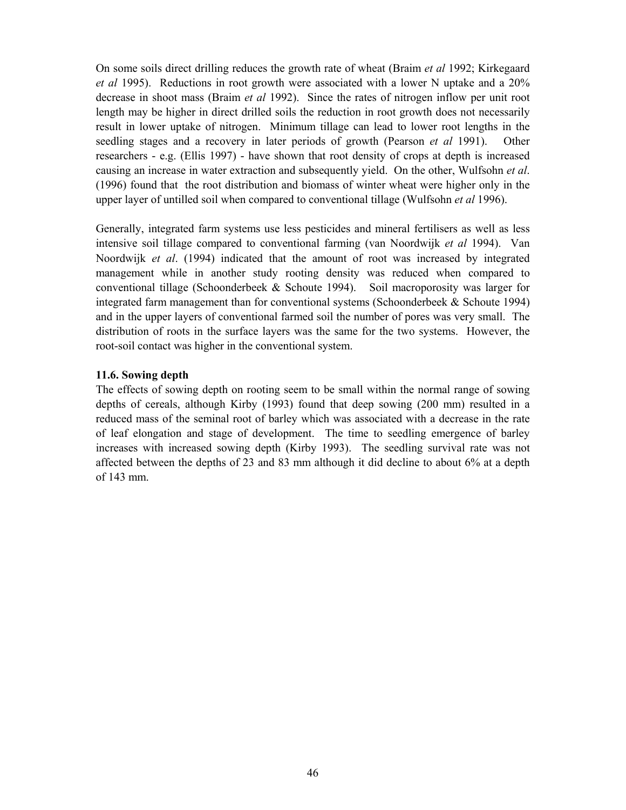On some soils direct drilling reduces the growth rate of wheat (Braim *et al* 1992; Kirkegaard *et al* 1995). Reductions in root growth were associated with a lower N uptake and a 20% decrease in shoot mass (Braim *et al* 1992). Since the rates of nitrogen inflow per unit root length may be higher in direct drilled soils the reduction in root growth does not necessarily result in lower uptake of nitrogen. Minimum tillage can lead to lower root lengths in the seedling stages and a recovery in later periods of growth (Pearson *et al* 1991). Other researchers - e.g. (Ellis 1997) - have shown that root density of crops at depth is increased causing an increase in water extraction and subsequently yield. On the other, Wulfsohn *et al*. (1996) found that the root distribution and biomass of winter wheat were higher only in the upper layer of untilled soil when compared to conventional tillage (Wulfsohn *et al* 1996).

Generally, integrated farm systems use less pesticides and mineral fertilisers as well as less intensive soil tillage compared to conventional farming (van Noordwijk *et al* 1994). Van Noordwijk *et al*. (1994) indicated that the amount of root was increased by integrated management while in another study rooting density was reduced when compared to conventional tillage (Schoonderbeek & Schoute 1994). Soil macroporosity was larger for integrated farm management than for conventional systems (Schoonderbeek  $&$  Schoute 1994) and in the upper layers of conventional farmed soil the number of pores was very small. The distribution of roots in the surface layers was the same for the two systems. However, the root-soil contact was higher in the conventional system.

## **11.6. Sowing depth**

The effects of sowing depth on rooting seem to be small within the normal range of sowing depths of cereals, although Kirby (1993) found that deep sowing (200 mm) resulted in a reduced mass of the seminal root of barley which was associated with a decrease in the rate of leaf elongation and stage of development. The time to seedling emergence of barley increases with increased sowing depth (Kirby 1993). The seedling survival rate was not affected between the depths of 23 and 83 mm although it did decline to about 6% at a depth of 143 mm.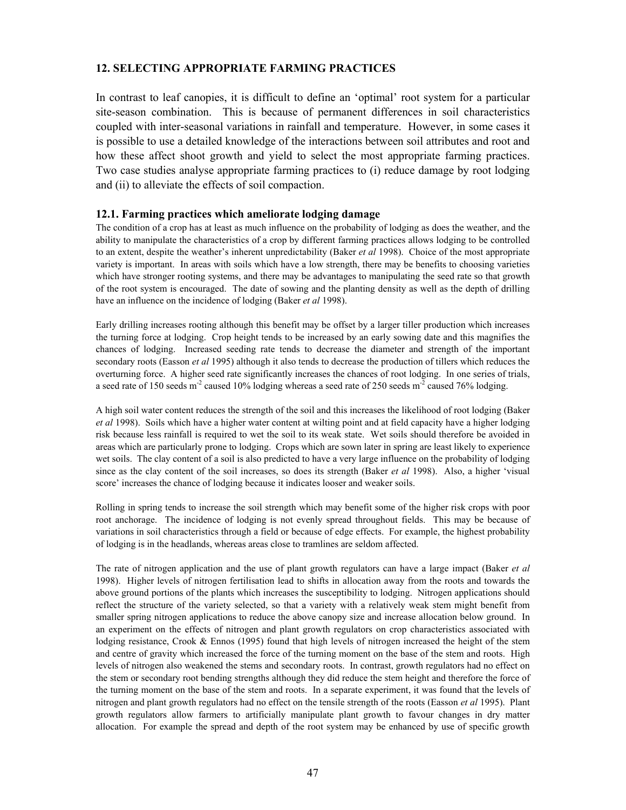## **12. SELECTING APPROPRIATE FARMING PRACTICES**

In contrast to leaf canopies, it is difficult to define an 'optimal' root system for a particular site-season combination. This is because of permanent differences in soil characteristics coupled with inter-seasonal variations in rainfall and temperature. However, in some cases it is possible to use a detailed knowledge of the interactions between soil attributes and root and how these affect shoot growth and yield to select the most appropriate farming practices. Two case studies analyse appropriate farming practices to (i) reduce damage by root lodging and (ii) to alleviate the effects of soil compaction.

#### **12.1. Farming practices which ameliorate lodging damage**

The condition of a crop has at least as much influence on the probability of lodging as does the weather, and the ability to manipulate the characteristics of a crop by different farming practices allows lodging to be controlled to an extent, despite the weather's inherent unpredictability (Baker *et al* 1998). Choice of the most appropriate variety is important. In areas with soils which have a low strength, there may be benefits to choosing varieties which have stronger rooting systems, and there may be advantages to manipulating the seed rate so that growth of the root system is encouraged. The date of sowing and the planting density as well as the depth of drilling have an influence on the incidence of lodging (Baker *et al* 1998).

Early drilling increases rooting although this benefit may be offset by a larger tiller production which increases the turning force at lodging. Crop height tends to be increased by an early sowing date and this magnifies the chances of lodging. Increased seeding rate tends to decrease the diameter and strength of the important secondary roots (Easson *et al* 1995) although it also tends to decrease the production of tillers which reduces the overturning force. A higher seed rate significantly increases the chances of root lodging. In one series of trials, a seed rate of 150 seeds  $m^2$  caused 10% lodging whereas a seed rate of 250 seeds  $m^2$  caused 76% lodging.

A high soil water content reduces the strength of the soil and this increases the likelihood of root lodging (Baker *et al* 1998). Soils which have a higher water content at wilting point and at field capacity have a higher lodging risk because less rainfall is required to wet the soil to its weak state. Wet soils should therefore be avoided in areas which are particularly prone to lodging. Crops which are sown later in spring are least likely to experience wet soils. The clay content of a soil is also predicted to have a very large influence on the probability of lodging since as the clay content of the soil increases, so does its strength (Baker *et al* 1998). Also, a higher 'visual score' increases the chance of lodging because it indicates looser and weaker soils.

Rolling in spring tends to increase the soil strength which may benefit some of the higher risk crops with poor root anchorage. The incidence of lodging is not evenly spread throughout fields. This may be because of variations in soil characteristics through a field or because of edge effects. For example, the highest probability of lodging is in the headlands, whereas areas close to tramlines are seldom affected.

The rate of nitrogen application and the use of plant growth regulators can have a large impact (Baker *et al* 1998). Higher levels of nitrogen fertilisation lead to shifts in allocation away from the roots and towards the above ground portions of the plants which increases the susceptibility to lodging. Nitrogen applications should reflect the structure of the variety selected, so that a variety with a relatively weak stem might benefit from smaller spring nitrogen applications to reduce the above canopy size and increase allocation below ground. In an experiment on the effects of nitrogen and plant growth regulators on crop characteristics associated with lodging resistance, Crook & Ennos (1995) found that high levels of nitrogen increased the height of the stem and centre of gravity which increased the force of the turning moment on the base of the stem and roots. High levels of nitrogen also weakened the stems and secondary roots. In contrast, growth regulators had no effect on the stem or secondary root bending strengths although they did reduce the stem height and therefore the force of the turning moment on the base of the stem and roots. In a separate experiment, it was found that the levels of nitrogen and plant growth regulators had no effect on the tensile strength of the roots (Easson *et al* 1995). Plant growth regulators allow farmers to artificially manipulate plant growth to favour changes in dry matter allocation. For example the spread and depth of the root system may be enhanced by use of specific growth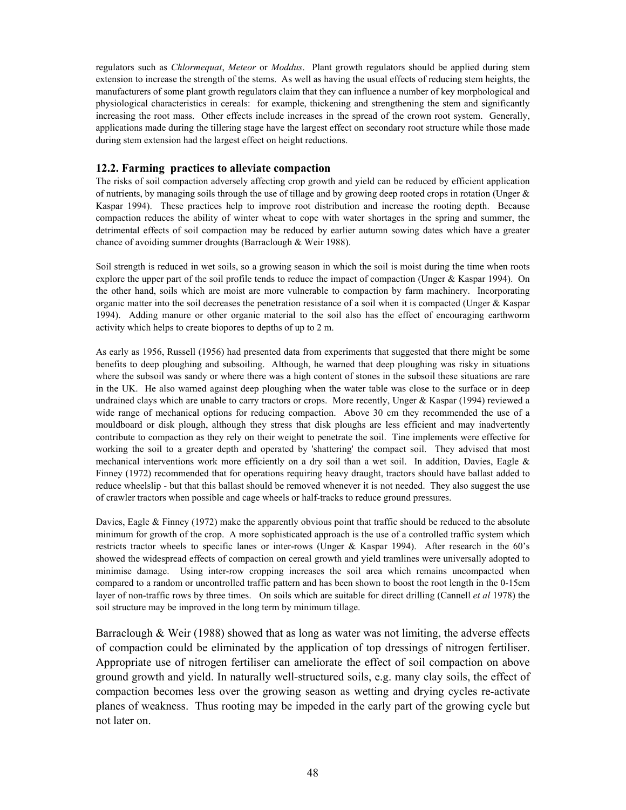regulators such as *Chlormequat*, *Meteor* or *Moddus*. Plant growth regulators should be applied during stem extension to increase the strength of the stems. As well as having the usual effects of reducing stem heights, the manufacturers of some plant growth regulators claim that they can influence a number of key morphological and physiological characteristics in cereals: for example, thickening and strengthening the stem and significantly increasing the root mass. Other effects include increases in the spread of the crown root system. Generally, applications made during the tillering stage have the largest effect on secondary root structure while those made during stem extension had the largest effect on height reductions.

#### **12.2. Farming practices to alleviate compaction**

The risks of soil compaction adversely affecting crop growth and yield can be reduced by efficient application of nutrients, by managing soils through the use of tillage and by growing deep rooted crops in rotation (Unger  $\&$ Kaspar 1994). These practices help to improve root distribution and increase the rooting depth. Because compaction reduces the ability of winter wheat to cope with water shortages in the spring and summer, the detrimental effects of soil compaction may be reduced by earlier autumn sowing dates which have a greater chance of avoiding summer droughts (Barraclough & Weir 1988).

Soil strength is reduced in wet soils, so a growing season in which the soil is moist during the time when roots explore the upper part of the soil profile tends to reduce the impact of compaction (Unger & Kaspar 1994). On the other hand, soils which are moist are more vulnerable to compaction by farm machinery. Incorporating organic matter into the soil decreases the penetration resistance of a soil when it is compacted (Unger  $\&$  Kaspar 1994). Adding manure or other organic material to the soil also has the effect of encouraging earthworm activity which helps to create biopores to depths of up to 2 m.

As early as 1956, Russell (1956) had presented data from experiments that suggested that there might be some benefits to deep ploughing and subsoiling. Although, he warned that deep ploughing was risky in situations where the subsoil was sandy or where there was a high content of stones in the subsoil these situations are rare in the UK. He also warned against deep ploughing when the water table was close to the surface or in deep undrained clays which are unable to carry tractors or crops. More recently, Unger  $&$  Kaspar (1994) reviewed a wide range of mechanical options for reducing compaction. Above 30 cm they recommended the use of a mouldboard or disk plough, although they stress that disk ploughs are less efficient and may inadvertently contribute to compaction as they rely on their weight to penetrate the soil. Tine implements were effective for working the soil to a greater depth and operated by 'shattering' the compact soil. They advised that most mechanical interventions work more efficiently on a dry soil than a wet soil. In addition, Davies, Eagle & Finney (1972) recommended that for operations requiring heavy draught, tractors should have ballast added to reduce wheelslip - but that this ballast should be removed whenever it is not needed. They also suggest the use of crawler tractors when possible and cage wheels or half-tracks to reduce ground pressures.

Davies, Eagle & Finney (1972) make the apparently obvious point that traffic should be reduced to the absolute minimum for growth of the crop. A more sophisticated approach is the use of a controlled traffic system which restricts tractor wheels to specific lanes or inter-rows (Unger & Kaspar 1994). After research in the 60's showed the widespread effects of compaction on cereal growth and yield tramlines were universally adopted to minimise damage. Using inter-row cropping increases the soil area which remains uncompacted when compared to a random or uncontrolled traffic pattern and has been shown to boost the root length in the 0-15cm layer of non-traffic rows by three times. On soils which are suitable for direct drilling (Cannell *et al* 1978) the soil structure may be improved in the long term by minimum tillage.

Barraclough  $&$  Weir (1988) showed that as long as water was not limiting, the adverse effects of compaction could be eliminated by the application of top dressings of nitrogen fertiliser. Appropriate use of nitrogen fertiliser can ameliorate the effect of soil compaction on above ground growth and yield. In naturally well-structured soils, e.g. many clay soils, the effect of compaction becomes less over the growing season as wetting and drying cycles re-activate planes of weakness. Thus rooting may be impeded in the early part of the growing cycle but not later on.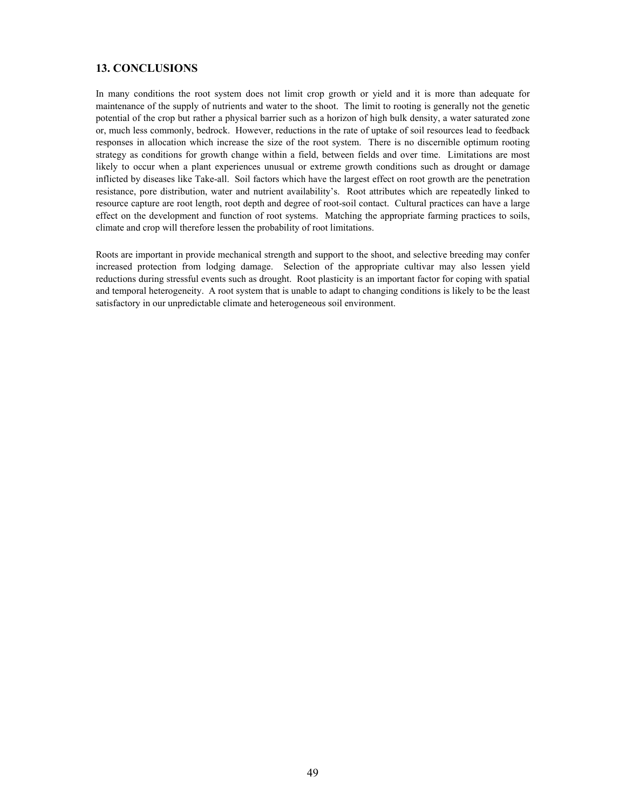## **13. CONCLUSIONS**

In many conditions the root system does not limit crop growth or yield and it is more than adequate for maintenance of the supply of nutrients and water to the shoot. The limit to rooting is generally not the genetic potential of the crop but rather a physical barrier such as a horizon of high bulk density, a water saturated zone or, much less commonly, bedrock. However, reductions in the rate of uptake of soil resources lead to feedback responses in allocation which increase the size of the root system. There is no discernible optimum rooting strategy as conditions for growth change within a field, between fields and over time. Limitations are most likely to occur when a plant experiences unusual or extreme growth conditions such as drought or damage inflicted by diseases like Take-all. Soil factors which have the largest effect on root growth are the penetration resistance, pore distribution, water and nutrient availability's. Root attributes which are repeatedly linked to resource capture are root length, root depth and degree of root-soil contact. Cultural practices can have a large effect on the development and function of root systems. Matching the appropriate farming practices to soils, climate and crop will therefore lessen the probability of root limitations.

Roots are important in provide mechanical strength and support to the shoot, and selective breeding may confer increased protection from lodging damage. Selection of the appropriate cultivar may also lessen yield reductions during stressful events such as drought. Root plasticity is an important factor for coping with spatial and temporal heterogeneity. A root system that is unable to adapt to changing conditions is likely to be the least satisfactory in our unpredictable climate and heterogeneous soil environment.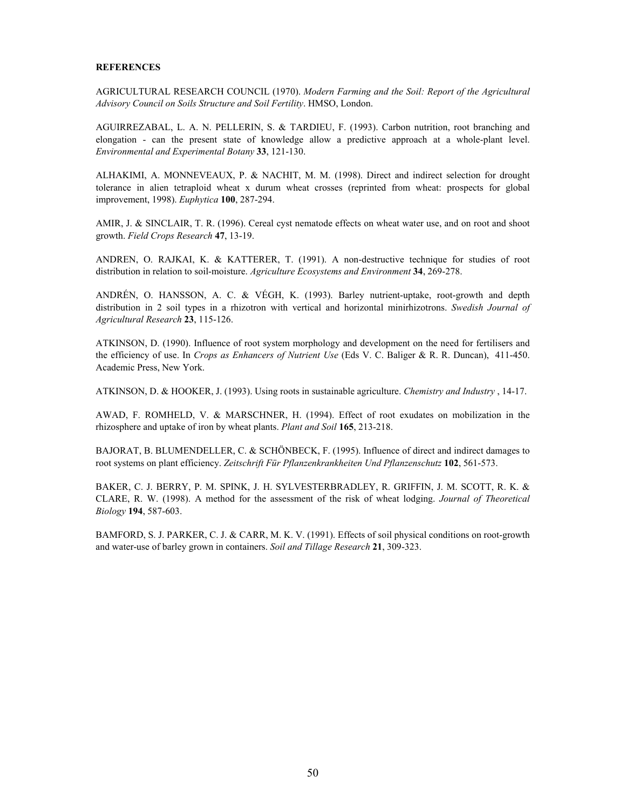#### **REFERENCES**

AGRICULTURAL RESEARCH COUNCIL (1970). *Modern Farming and the Soil: Report of the Agricultural Advisory Council on Soils Structure and Soil Fertility*. HMSO, London.

AGUIRREZABAL, L. A. N. PELLERIN, S. & TARDIEU, F. (1993). Carbon nutrition, root branching and elongation - can the present state of knowledge allow a predictive approach at a whole-plant level. *Environmental and Experimental Botany* **33**, 121-130.

ALHAKIMI, A. MONNEVEAUX, P. & NACHIT, M. M. (1998). Direct and indirect selection for drought tolerance in alien tetraploid wheat x durum wheat crosses (reprinted from wheat: prospects for global improvement, 1998). *Euphytica* **100**, 287-294.

AMIR, J. & SINCLAIR, T. R. (1996). Cereal cyst nematode effects on wheat water use, and on root and shoot growth. *Field Crops Research* **47**, 13-19.

ANDREN, O. RAJKAI, K. & KATTERER, T. (1991). A non-destructive technique for studies of root distribution in relation to soil-moisture. *Agriculture Ecosystems and Environment* **34**, 269-278.

ANDRÉN, O. HANSSON, A. C. & VÉGH, K. (1993). Barley nutrient-uptake, root-growth and depth distribution in 2 soil types in a rhizotron with vertical and horizontal minirhizotrons. *Swedish Journal of Agricultural Research* **23**, 115-126.

ATKINSON, D. (1990). Influence of root system morphology and development on the need for fertilisers and the efficiency of use. In *Crops as Enhancers of Nutrient Use* (Eds V. C. Baliger & R. R. Duncan), 411-450. Academic Press, New York.

ATKINSON, D. & HOOKER, J. (1993). Using roots in sustainable agriculture. *Chemistry and Industry* , 14-17.

AWAD, F. ROMHELD, V. & MARSCHNER, H. (1994). Effect of root exudates on mobilization in the rhizosphere and uptake of iron by wheat plants. *Plant and Soil* **165**, 213-218.

BAJORAT, B. BLUMENDELLER, C. & SCHÖNBECK, F. (1995). Influence of direct and indirect damages to root systems on plant efficiency. *Zeitschrift Für Pflanzenkrankheiten Und Pflanzenschutz* **102**, 561-573.

BAKER, C. J. BERRY, P. M. SPINK, J. H. SYLVESTERBRADLEY, R. GRIFFIN, J. M. SCOTT, R. K. & CLARE, R. W. (1998). A method for the assessment of the risk of wheat lodging. *Journal of Theoretical Biology* **194**, 587-603.

BAMFORD, S. J. PARKER, C. J. & CARR, M. K. V. (1991). Effects of soil physical conditions on root-growth and water-use of barley grown in containers. *Soil and Tillage Research* **21**, 309-323.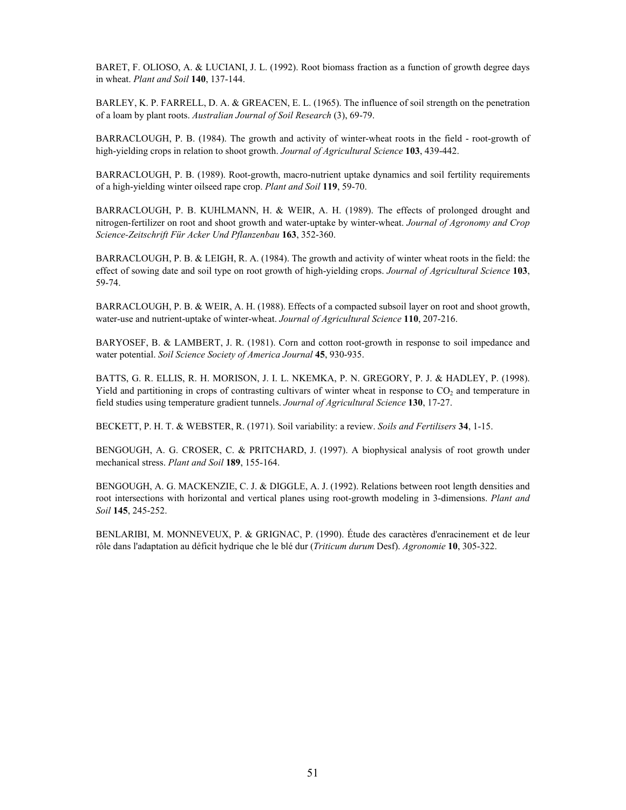BARET, F. OLIOSO, A. & LUCIANI, J. L. (1992). Root biomass fraction as a function of growth degree days in wheat. *Plant and Soil* **140**, 137-144.

BARLEY, K. P. FARRELL, D. A. & GREACEN, E. L. (1965). The influence of soil strength on the penetration of a loam by plant roots. *Australian Journal of Soil Research* (3), 69-79.

BARRACLOUGH, P. B. (1984). The growth and activity of winter-wheat roots in the field - root-growth of high-yielding crops in relation to shoot growth. *Journal of Agricultural Science* **103**, 439-442.

BARRACLOUGH, P. B. (1989). Root-growth, macro-nutrient uptake dynamics and soil fertility requirements of a high-yielding winter oilseed rape crop. *Plant and Soil* **119**, 59-70.

BARRACLOUGH, P. B. KUHLMANN, H. & WEIR, A. H. (1989). The effects of prolonged drought and nitrogen-fertilizer on root and shoot growth and water-uptake by winter-wheat. *Journal of Agronomy and Crop Science-Zeitschrift Für Acker Und Pflanzenbau* **163**, 352-360.

BARRACLOUGH, P. B. & LEIGH, R. A. (1984). The growth and activity of winter wheat roots in the field: the effect of sowing date and soil type on root growth of high-yielding crops. *Journal of Agricultural Science* **103**, 59-74.

BARRACLOUGH, P. B. & WEIR, A. H. (1988). Effects of a compacted subsoil layer on root and shoot growth, water-use and nutrient-uptake of winter-wheat. *Journal of Agricultural Science* **110**, 207-216.

BARYOSEF, B. & LAMBERT, J. R. (1981). Corn and cotton root-growth in response to soil impedance and water potential. *Soil Science Society of America Journal* **45**, 930-935.

BATTS, G. R. ELLIS, R. H. MORISON, J. I. L. NKEMKA, P. N. GREGORY, P. J. & HADLEY, P. (1998). Yield and partitioning in crops of contrasting cultivars of winter wheat in response to  $CO<sub>2</sub>$  and temperature in field studies using temperature gradient tunnels. *Journal of Agricultural Science* **130**, 17-27.

BECKETT, P. H. T. & WEBSTER, R. (1971). Soil variability: a review. *Soils and Fertilisers* **34**, 1-15.

BENGOUGH, A. G. CROSER, C. & PRITCHARD, J. (1997). A biophysical analysis of root growth under mechanical stress. *Plant and Soil* **189**, 155-164.

BENGOUGH, A. G. MACKENZIE, C. J. & DIGGLE, A. J. (1992). Relations between root length densities and root intersections with horizontal and vertical planes using root-growth modeling in 3-dimensions. *Plant and Soil* **145**, 245-252.

BENLARIBI, M. MONNEVEUX, P. & GRIGNAC, P. (1990). Étude des caractères d'enracinement et de leur rôle dans l'adaptation au déficit hydrique che le blé dur (*Triticum durum* Desf). *Agronomie* **10**, 305-322.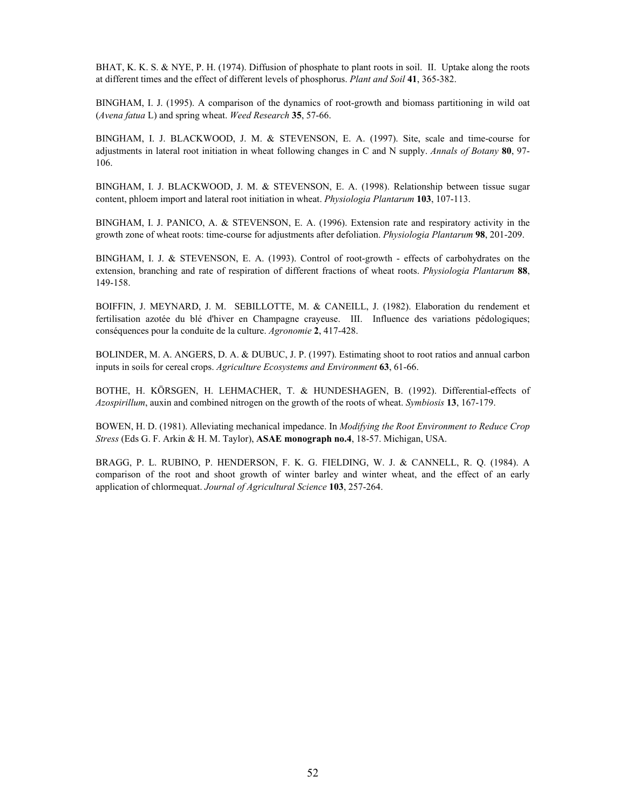BHAT, K. K. S. & NYE, P. H. (1974). Diffusion of phosphate to plant roots in soil. II. Uptake along the roots at different times and the effect of different levels of phosphorus. *Plant and Soil* **41**, 365-382.

BINGHAM, I. J. (1995). A comparison of the dynamics of root-growth and biomass partitioning in wild oat (*Avena fatua* L) and spring wheat. *Weed Research* **35**, 57-66.

BINGHAM, I. J. BLACKWOOD, J. M. & STEVENSON, E. A. (1997). Site, scale and time-course for adjustments in lateral root initiation in wheat following changes in C and N supply. *Annals of Botany* **80**, 97- 106.

BINGHAM, I. J. BLACKWOOD, J. M. & STEVENSON, E. A. (1998). Relationship between tissue sugar content, phloem import and lateral root initiation in wheat. *Physiologia Plantarum* **103**, 107-113.

BINGHAM, I. J. PANICO, A. & STEVENSON, E. A. (1996). Extension rate and respiratory activity in the growth zone of wheat roots: time-course for adjustments after defoliation. *Physiologia Plantarum* **98**, 201-209.

BINGHAM, I. J. & STEVENSON, E. A. (1993). Control of root-growth - effects of carbohydrates on the extension, branching and rate of respiration of different fractions of wheat roots. *Physiologia Plantarum* **88**, 149-158.

BOIFFIN, J. MEYNARD, J. M. SEBILLOTTE, M. & CANEILL, J. (1982). Elaboration du rendement et fertilisation azotée du blé d'hiver en Champagne crayeuse. III. Influence des variations pédologiques; conséquences pour la conduite de la culture. *Agronomie* **2**, 417-428.

BOLINDER, M. A. ANGERS, D. A. & DUBUC, J. P. (1997). Estimating shoot to root ratios and annual carbon inputs in soils for cereal crops. *Agriculture Ecosystems and Environment* **63**, 61-66.

BOTHE, H. KÖRSGEN, H. LEHMACHER, T. & HUNDESHAGEN, B. (1992). Differential-effects of *Azospirillum*, auxin and combined nitrogen on the growth of the roots of wheat. *Symbiosis* **13**, 167-179.

BOWEN, H. D. (1981). Alleviating mechanical impedance. In *Modifying the Root Environment to Reduce Crop Stress* (Eds G. F. Arkin & H. M. Taylor), **ASAE monograph no.4**, 18-57. Michigan, USA.

BRAGG, P. L. RUBINO, P. HENDERSON, F. K. G. FIELDING, W. J. & CANNELL, R. Q. (1984). A comparison of the root and shoot growth of winter barley and winter wheat, and the effect of an early application of chlormequat. *Journal of Agricultural Science* **103**, 257-264.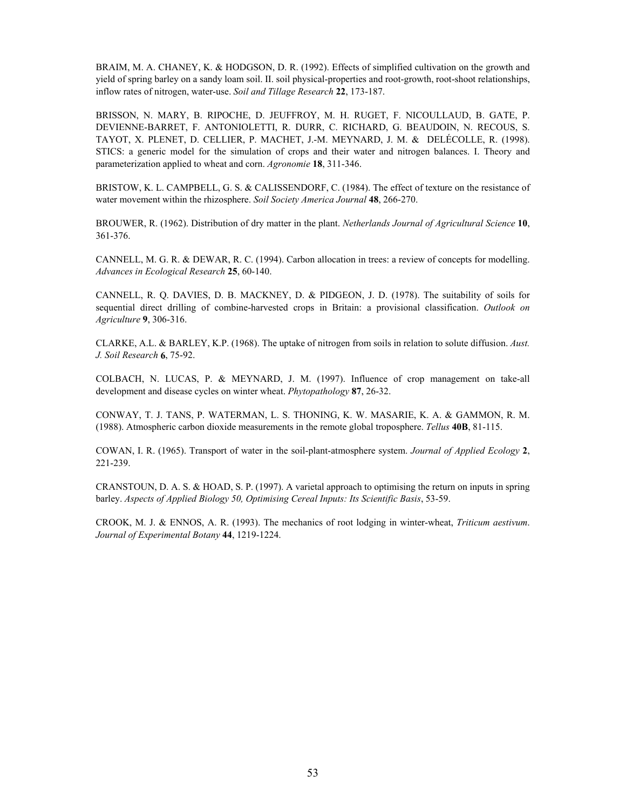BRAIM, M. A. CHANEY, K. & HODGSON, D. R. (1992). Effects of simplified cultivation on the growth and yield of spring barley on a sandy loam soil. II. soil physical-properties and root-growth, root-shoot relationships, inflow rates of nitrogen, water-use. *Soil and Tillage Research* **22**, 173-187.

BRISSON, N. MARY, B. RIPOCHE, D. JEUFFROY, M. H. RUGET, F. NICOULLAUD, B. GATE, P. DEVIENNE-BARRET, F. ANTONIOLETTI, R. DURR, C. RICHARD, G. BEAUDOIN, N. RECOUS, S. TAYOT, X. PLENET, D. CELLIER, P. MACHET, J.-M. MEYNARD, J. M. & DELÉCOLLE, R. (1998). STICS: a generic model for the simulation of crops and their water and nitrogen balances. I. Theory and parameterization applied to wheat and corn. *Agronomie* **18**, 311-346.

BRISTOW, K. L. CAMPBELL, G. S. & CALISSENDORF, C. (1984). The effect of texture on the resistance of water movement within the rhizosphere. *Soil Society America Journal* **48**, 266-270.

BROUWER, R. (1962). Distribution of dry matter in the plant. *Netherlands Journal of Agricultural Science* **10**, 361-376.

CANNELL, M. G. R. & DEWAR, R. C. (1994). Carbon allocation in trees: a review of concepts for modelling. *Advances in Ecological Research* **25**, 60-140.

CANNELL, R. Q. DAVIES, D. B. MACKNEY, D. & PIDGEON, J. D. (1978). The suitability of soils for sequential direct drilling of combine-harvested crops in Britain: a provisional classification. *Outlook on Agriculture* **9**, 306-316.

CLARKE, A.L. & BARLEY, K.P. (1968). The uptake of nitrogen from soils in relation to solute diffusion. *Aust. J. Soil Research* **6**, 75-92.

COLBACH, N. LUCAS, P. & MEYNARD, J. M. (1997). Influence of crop management on take-all development and disease cycles on winter wheat. *Phytopathology* **87**, 26-32.

CONWAY, T. J. TANS, P. WATERMAN, L. S. THONING, K. W. MASARIE, K. A. & GAMMON, R. M. (1988). Atmospheric carbon dioxide measurements in the remote global troposphere. *Tellus* **40B**, 81-115.

COWAN, I. R. (1965). Transport of water in the soil-plant-atmosphere system. *Journal of Applied Ecology* **2**, 221-239.

CRANSTOUN, D. A. S. & HOAD, S. P. (1997). A varietal approach to optimising the return on inputs in spring barley. *Aspects of Applied Biology 50, Optimising Cereal Inputs: Its Scientific Basis*, 53-59.

CROOK, M. J. & ENNOS, A. R. (1993). The mechanics of root lodging in winter-wheat, *Triticum aestivum*. *Journal of Experimental Botany* **44**, 1219-1224.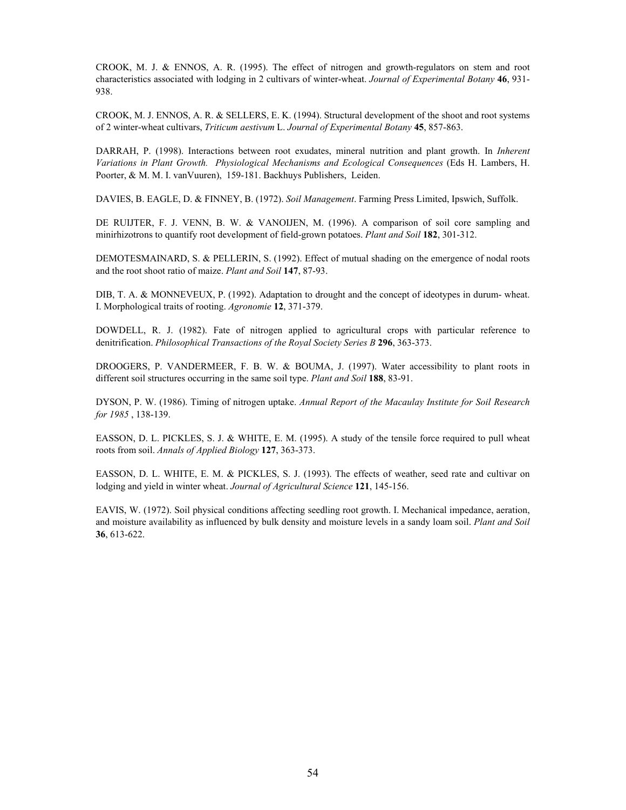CROOK, M. J. & ENNOS, A. R. (1995). The effect of nitrogen and growth-regulators on stem and root characteristics associated with lodging in 2 cultivars of winter-wheat. *Journal of Experimental Botany* **46**, 931- 938.

CROOK, M. J. ENNOS, A. R. & SELLERS, E. K. (1994). Structural development of the shoot and root systems of 2 winter-wheat cultivars, *Triticum aestivum* L. *Journal of Experimental Botany* **45**, 857-863.

DARRAH, P. (1998). Interactions between root exudates, mineral nutrition and plant growth. In *Inherent Variations in Plant Growth. Physiological Mechanisms and Ecological Consequences* (Eds H. Lambers, H. Poorter, & M. M. I. vanVuuren), 159-181. Backhuys Publishers, Leiden.

DAVIES, B. EAGLE, D. & FINNEY, B. (1972). *Soil Management*. Farming Press Limited, Ipswich, Suffolk.

DE RUIJTER, F. J. VENN, B. W. & VANOIJEN, M. (1996). A comparison of soil core sampling and minirhizotrons to quantify root development of field-grown potatoes. *Plant and Soil* **182**, 301-312.

DEMOTESMAINARD, S. & PELLERIN, S. (1992). Effect of mutual shading on the emergence of nodal roots and the root shoot ratio of maize. *Plant and Soil* **147**, 87-93.

DIB, T. A. & MONNEVEUX, P. (1992). Adaptation to drought and the concept of ideotypes in durum- wheat. I. Morphological traits of rooting. *Agronomie* **12**, 371-379.

DOWDELL, R. J. (1982). Fate of nitrogen applied to agricultural crops with particular reference to denitrification. *Philosophical Transactions of the Royal Society Series B* **296**, 363-373.

DROOGERS, P. VANDERMEER, F. B. W. & BOUMA, J. (1997). Water accessibility to plant roots in different soil structures occurring in the same soil type. *Plant and Soil* **188**, 83-91.

DYSON, P. W. (1986). Timing of nitrogen uptake. *Annual Report of the Macaulay Institute for Soil Research for 1985* , 138-139.

EASSON, D. L. PICKLES, S. J. & WHITE, E. M. (1995). A study of the tensile force required to pull wheat roots from soil. *Annals of Applied Biology* **127**, 363-373.

EASSON, D. L. WHITE, E. M. & PICKLES, S. J. (1993). The effects of weather, seed rate and cultivar on lodging and yield in winter wheat. *Journal of Agricultural Science* **121**, 145-156.

EAVIS, W. (1972). Soil physical conditions affecting seedling root growth. I. Mechanical impedance, aeration, and moisture availability as influenced by bulk density and moisture levels in a sandy loam soil. *Plant and Soil* **36**, 613-622.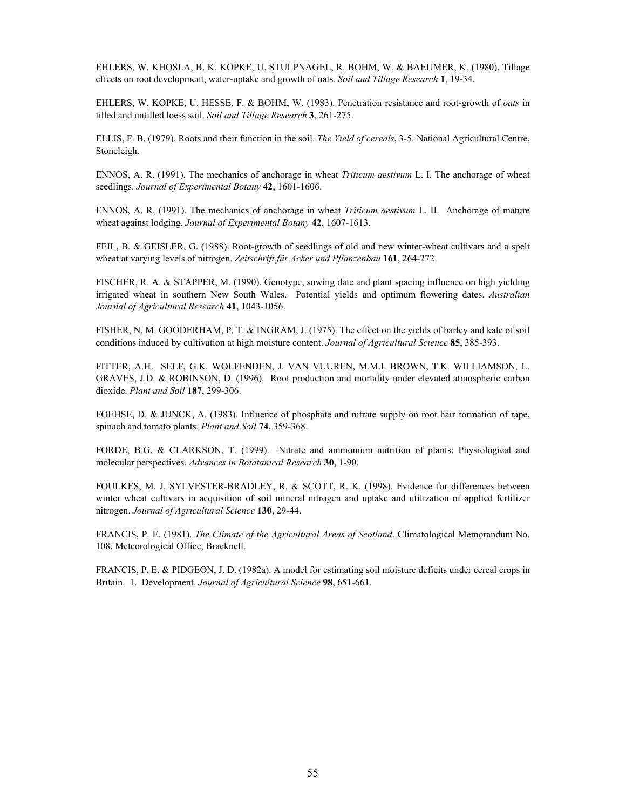EHLERS, W. KHOSLA, B. K. KOPKE, U. STULPNAGEL, R. BOHM, W. & BAEUMER, K. (1980). Tillage effects on root development, water-uptake and growth of oats. *Soil and Tillage Research* **1**, 19-34.

EHLERS, W. KOPKE, U. HESSE, F. & BOHM, W. (1983). Penetration resistance and root-growth of *oats* in tilled and untilled loess soil. *Soil and Tillage Research* **3**, 261-275.

ELLIS, F. B. (1979). Roots and their function in the soil. *The Yield of cereals*, 3-5. National Agricultural Centre, Stoneleigh.

ENNOS, A. R. (1991). The mechanics of anchorage in wheat *Triticum aestivum* L. I. The anchorage of wheat seedlings. *Journal of Experimental Botany* **42**, 1601-1606.

ENNOS, A. R. (1991). The mechanics of anchorage in wheat *Triticum aestivum* L. II. Anchorage of mature wheat against lodging. *Journal of Experimental Botany* **42**, 1607-1613.

FEIL, B. & GEISLER, G. (1988). Root-growth of seedlings of old and new winter-wheat cultivars and a spelt wheat at varying levels of nitrogen. *Zeitschrift für Acker und Pflanzenbau* **161**, 264-272.

FISCHER, R. A. & STAPPER, M. (1990). Genotype, sowing date and plant spacing influence on high yielding irrigated wheat in southern New South Wales. Potential yields and optimum flowering dates. *Australian Journal of Agricultural Research* **41**, 1043-1056.

FISHER, N. M. GOODERHAM, P. T. & INGRAM, J. (1975). The effect on the yields of barley and kale of soil conditions induced by cultivation at high moisture content. *Journal of Agricultural Science* **85**, 385-393.

FITTER, A.H. SELF, G.K. WOLFENDEN, J. VAN VUUREN, M.M.I. BROWN, T.K. WILLIAMSON, L. GRAVES, J.D. & ROBINSON, D. (1996). Root production and mortality under elevated atmospheric carbon dioxide. *Plant and Soil* **187**, 299-306.

FOEHSE, D. & JUNCK, A. (1983). Influence of phosphate and nitrate supply on root hair formation of rape, spinach and tomato plants. *Plant and Soil* **74**, 359-368.

FORDE, B.G. & CLARKSON, T. (1999). Nitrate and ammonium nutrition of plants: Physiological and molecular perspectives. *Advances in Botatanical Research* **30**, 1-90.

FOULKES, M. J. SYLVESTER-BRADLEY, R. & SCOTT, R. K. (1998). Evidence for differences between winter wheat cultivars in acquisition of soil mineral nitrogen and uptake and utilization of applied fertilizer nitrogen. *Journal of Agricultural Science* **130**, 29-44.

FRANCIS, P. E. (1981). *The Climate of the Agricultural Areas of Scotland*. Climatological Memorandum No. 108. Meteorological Office, Bracknell.

FRANCIS, P. E. & PIDGEON, J. D. (1982a). A model for estimating soil moisture deficits under cereal crops in Britain. 1. Development. *Journal of Agricultural Science* **98**, 651-661.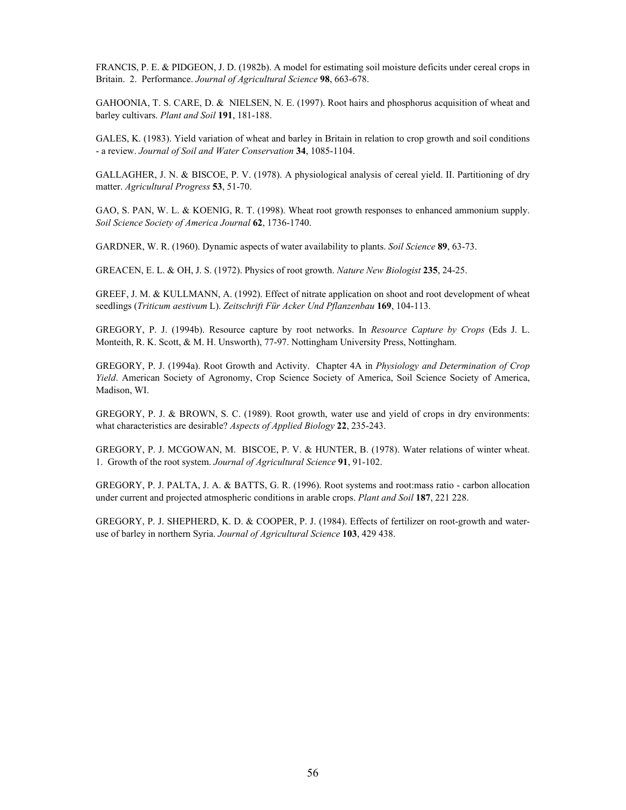FRANCIS, P. E. & PIDGEON, J. D. (1982b). A model for estimating soil moisture deficits under cereal crops in Britain. 2. Performance. *Journal of Agricultural Science* **98**, 663-678.

GAHOONIA, T. S. CARE, D. & NIELSEN, N. E. (1997). Root hairs and phosphorus acquisition of wheat and barley cultivars. *Plant and Soil* **191**, 181-188.

GALES, K. (1983). Yield variation of wheat and barley in Britain in relation to crop growth and soil conditions - a review. *Journal of Soil and Water Conservation* **34**, 1085-1104.

GALLAGHER, J. N. & BISCOE, P. V. (1978). A physiological analysis of cereal yield. II. Partitioning of dry matter. *Agricultural Progress* **53**, 51-70.

GAO, S. PAN, W. L. & KOENIG, R. T. (1998). Wheat root growth responses to enhanced ammonium supply. *Soil Science Society of America Journal* **62**, 1736-1740.

GARDNER, W. R. (1960). Dynamic aspects of water availability to plants. *Soil Science* **89**, 63-73.

GREACEN, E. L. & OH, J. S. (1972). Physics of root growth. *Nature New Biologist* **235**, 24-25.

GREEF, J. M. & KULLMANN, A. (1992). Effect of nitrate application on shoot and root development of wheat seedlings (*Triticum aestivum* L). *Zeitschrift Für Acker Und Pflanzenbau* **169**, 104-113.

GREGORY, P. J. (1994b). Resource capture by root networks. In *Resource Capture by Crops* (Eds J. L. Monteith, R. K. Scott, & M. H. Unsworth), 77-97. Nottingham University Press, Nottingham.

GREGORY, P. J. (1994a). Root Growth and Activity. Chapter 4A in *Physiology and Determination of Crop Yield*. American Society of Agronomy, Crop Science Society of America, Soil Science Society of America, Madison, WI.

GREGORY, P. J. & BROWN, S. C. (1989). Root growth, water use and yield of crops in dry environments: what characteristics are desirable? *Aspects of Applied Biology* **22**, 235-243.

GREGORY, P. J. MCGOWAN, M. BISCOE, P. V. & HUNTER, B. (1978). Water relations of winter wheat. 1. Growth of the root system. *Journal of Agricultural Science* **91**, 91-102.

GREGORY, P. J. PALTA, J. A. & BATTS, G. R. (1996). Root systems and root:mass ratio - carbon allocation under current and projected atmospheric conditions in arable crops. *Plant and Soil* **187**, 221 228.

GREGORY, P. J. SHEPHERD, K. D. & COOPER, P. J. (1984). Effects of fertilizer on root-growth and wateruse of barley in northern Syria. *Journal of Agricultural Science* **103**, 429 438.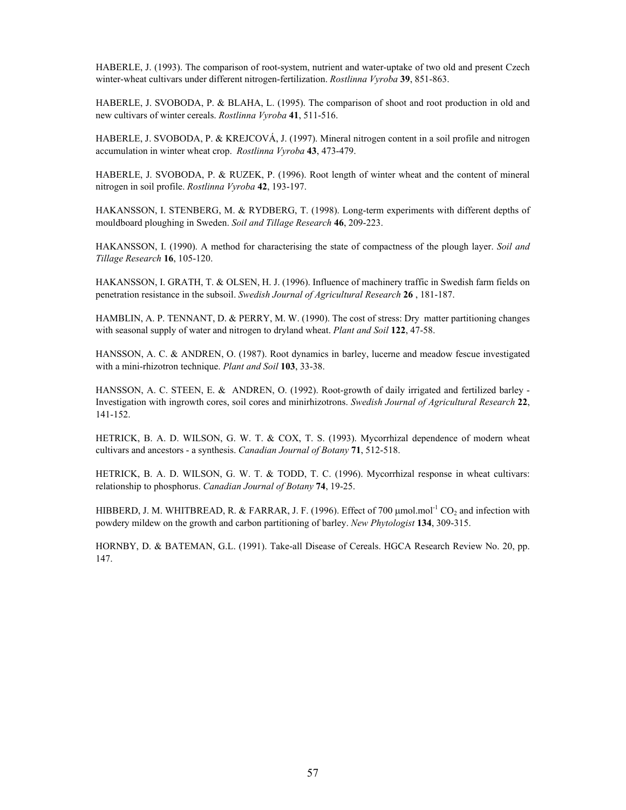HABERLE, J. (1993). The comparison of root-system, nutrient and water-uptake of two old and present Czech winter-wheat cultivars under different nitrogen-fertilization. *Rostlinna Vyroba* **39**, 851-863.

HABERLE, J. SVOBODA, P. & BLAHA, L. (1995). The comparison of shoot and root production in old and new cultivars of winter cereals. *Rostlinna Vyroba* **41**, 511-516.

HABERLE, J. SVOBODA, P. & KREJCOVÁ, J. (1997). Mineral nitrogen content in a soil profile and nitrogen accumulation in winter wheat crop. *Rostlinna Vyroba* **43**, 473-479.

HABERLE, J. SVOBODA, P. & RUZEK, P. (1996). Root length of winter wheat and the content of mineral nitrogen in soil profile. *Rostlinna Vyroba* **42**, 193-197.

HAKANSSON, I. STENBERG, M. & RYDBERG, T. (1998). Long-term experiments with different depths of mouldboard ploughing in Sweden. *Soil and Tillage Research* **46**, 209-223.

HAKANSSON, I. (1990). A method for characterising the state of compactness of the plough layer. *Soil and Tillage Research* **16**, 105-120.

HAKANSSON, I. GRATH, T. & OLSEN, H. J. (1996). Influence of machinery traffic in Swedish farm fields on penetration resistance in the subsoil. *Swedish Journal of Agricultural Research* **26** , 181-187.

HAMBLIN, A. P. TENNANT, D. & PERRY, M. W. (1990). The cost of stress: Dry matter partitioning changes with seasonal supply of water and nitrogen to dryland wheat. *Plant and Soil* **122**, 47-58.

HANSSON, A. C. & ANDREN, O. (1987). Root dynamics in barley, lucerne and meadow fescue investigated with a mini-rhizotron technique. *Plant and Soil* **103**, 33-38.

HANSSON, A. C. STEEN, E. & ANDREN, O. (1992). Root-growth of daily irrigated and fertilized barley - Investigation with ingrowth cores, soil cores and minirhizotrons. *Swedish Journal of Agricultural Research* **22**, 141-152.

HETRICK, B. A. D. WILSON, G. W. T. & COX, T. S. (1993). Mycorrhizal dependence of modern wheat cultivars and ancestors - a synthesis. *Canadian Journal of Botany* **71**, 512-518.

HETRICK, B. A. D. WILSON, G. W. T. & TODD, T. C. (1996). Mycorrhizal response in wheat cultivars: relationship to phosphorus. *Canadian Journal of Botany* **74**, 19-25.

HIBBERD, J. M. WHITBREAD, R. & FARRAR, J. F. (1996). Effect of 700  $\mu$ mol.mol<sup>-1</sup> CO<sub>2</sub> and infection with powdery mildew on the growth and carbon partitioning of barley. *New Phytologist* **134**, 309-315.

HORNBY, D. & BATEMAN, G.L. (1991). Take-all Disease of Cereals. HGCA Research Review No. 20, pp. 147.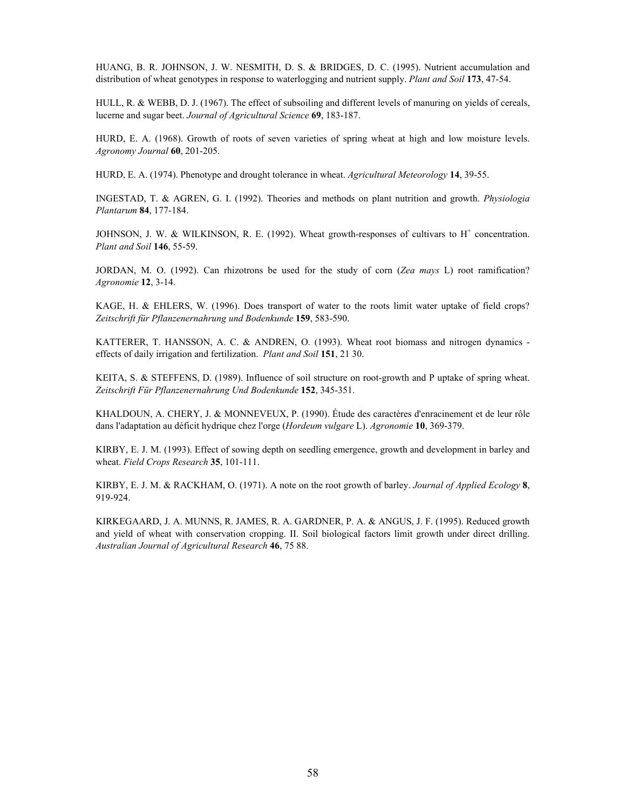HUANG, B. R. JOHNSON, J. W. NESMITH, D. S. & BRIDGES, D. C. (1995). Nutrient accumulation and distribution of wheat genotypes in response to waterlogging and nutrient supply. *Plant and Soil* **173**, 47-54.

HULL, R. & WEBB, D. J. (1967). The effect of subsoiling and different levels of manuring on yields of cereals, lucerne and sugar beet. *Journal of Agricultural Science* **69**, 183-187.

HURD, E. A. (1968). Growth of roots of seven varieties of spring wheat at high and low moisture levels. *Agronomy Journal* **60**, 201-205.

HURD, E. A. (1974). Phenotype and drought tolerance in wheat. *Agricultural Meteorology* **14**, 39-55.

INGESTAD, T. & AGREN, G. I. (1992). Theories and methods on plant nutrition and growth. *Physiologia Plantarum* **84**, 177-184.

JOHNSON, J. W. & WILKINSON, R. E. (1992). Wheat growth-responses of cultivars to  $H^+$  concentration. *Plant and Soil* **146**, 55-59.

JORDAN, M. O. (1992). Can rhizotrons be used for the study of corn (*Zea mays* L) root ramification? *Agronomie* **12**, 3-14.

KAGE, H. & EHLERS, W. (1996). Does transport of water to the roots limit water uptake of field crops? *Zeitschrift für Pflanzenernahrung und Bodenkunde* **159**, 583-590.

KATTERER, T. HANSSON, A. C. & ANDREN, O. (1993). Wheat root biomass and nitrogen dynamics effects of daily irrigation and fertilization. *Plant and Soil* **151**, 21 30.

KEITA, S. & STEFFENS, D. (1989). Influence of soil structure on root-growth and P uptake of spring wheat. *Zeitschrift Für Pflanzenernahrung Und Bodenkunde* **152**, 345-351.

KHALDOUN, A. CHERY, J. & MONNEVEUX, P. (1990). Étude des caractères d'enracinement et de leur rôle dans l'adaptation au déficit hydrique chez l'orge (*Hordeum vulgare* L). *Agronomie* **10**, 369-379.

KIRBY, E. J. M. (1993). Effect of sowing depth on seedling emergence, growth and development in barley and wheat. *Field Crops Research* **35**, 101-111.

KIRBY, E. J. M. & RACKHAM, O. (1971). A note on the root growth of barley. *Journal of Applied Ecology* **8**, 919-924.

KIRKEGAARD, J. A. MUNNS, R. JAMES, R. A. GARDNER, P. A. & ANGUS, J. F. (1995). Reduced growth and yield of wheat with conservation cropping. II. Soil biological factors limit growth under direct drilling. *Australian Journal of Agricultural Research* **46**, 75 88.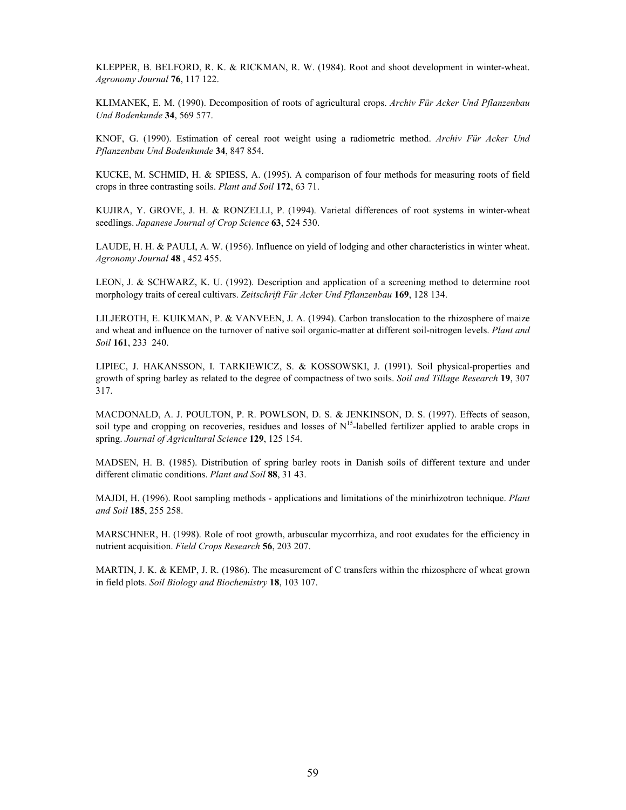KLEPPER, B. BELFORD, R. K. & RICKMAN, R. W. (1984). Root and shoot development in winter-wheat. *Agronomy Journal* **76**, 117 122.

KLIMANEK, E. M. (1990). Decomposition of roots of agricultural crops. *Archiv Für Acker Und Pflanzenbau Und Bodenkunde* **34**, 569 577.

KNOF, G. (1990). Estimation of cereal root weight using a radiometric method. *Archiv Für Acker Und Pflanzenbau Und Bodenkunde* **34**, 847 854.

KUCKE, M. SCHMID, H. & SPIESS, A. (1995). A comparison of four methods for measuring roots of field crops in three contrasting soils. *Plant and Soil* **172**, 63 71.

KUJIRA, Y. GROVE, J. H. & RONZELLI, P. (1994). Varietal differences of root systems in winter-wheat seedlings. *Japanese Journal of Crop Science* **63**, 524 530.

LAUDE, H. H. & PAULI, A. W. (1956). Influence on yield of lodging and other characteristics in winter wheat. *Agronomy Journal* **48** , 452 455.

LEON, J. & SCHWARZ, K. U. (1992). Description and application of a screening method to determine root morphology traits of cereal cultivars. *Zeitschrift Für Acker Und Pflanzenbau* **169**, 128 134.

LILJEROTH, E. KUIKMAN, P. & VANVEEN, J. A. (1994). Carbon translocation to the rhizosphere of maize and wheat and influence on the turnover of native soil organic-matter at different soil-nitrogen levels. *Plant and Soil* **161**, 233 240.

LIPIEC, J. HAKANSSON, I. TARKIEWICZ, S. & KOSSOWSKI, J. (1991). Soil physical-properties and growth of spring barley as related to the degree of compactness of two soils. *Soil and Tillage Research* **19**, 307 317.

MACDONALD, A. J. POULTON, P. R. POWLSON, D. S. & JENKINSON, D. S. (1997). Effects of season, soil type and cropping on recoveries, residues and losses of  $N^{15}$ -labelled fertilizer applied to arable crops in spring. *Journal of Agricultural Science* **129**, 125 154.

MADSEN, H. B. (1985). Distribution of spring barley roots in Danish soils of different texture and under different climatic conditions. *Plant and Soil* **88**, 31 43.

MAJDI, H. (1996). Root sampling methods - applications and limitations of the minirhizotron technique. *Plant and Soil* **185**, 255 258.

MARSCHNER, H. (1998). Role of root growth, arbuscular mycorrhiza, and root exudates for the efficiency in nutrient acquisition. *Field Crops Research* **56**, 203 207.

MARTIN, J. K. & KEMP, J. R. (1986). The measurement of C transfers within the rhizosphere of wheat grown in field plots. *Soil Biology and Biochemistry* **18**, 103 107.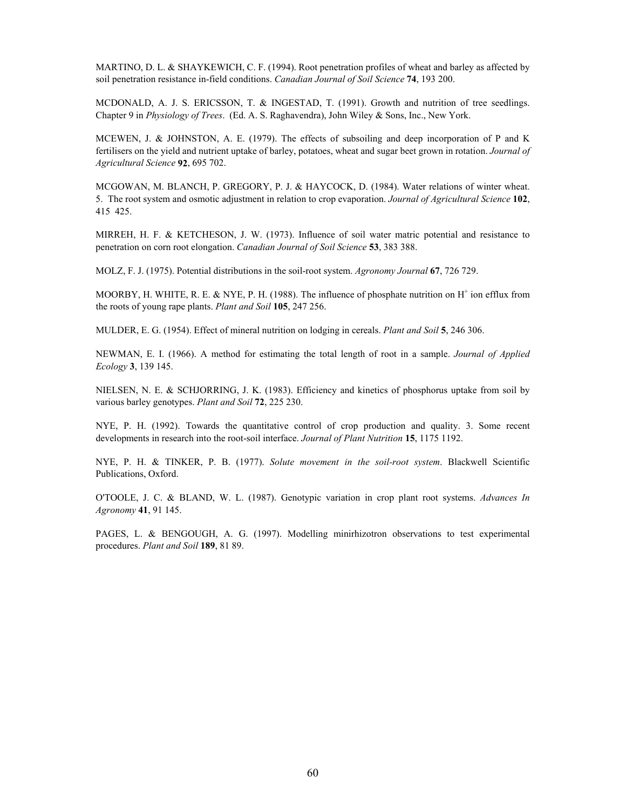MARTINO, D. L. & SHAYKEWICH, C. F. (1994). Root penetration profiles of wheat and barley as affected by soil penetration resistance in-field conditions. *Canadian Journal of Soil Science* **74**, 193 200.

MCDONALD, A. J. S. ERICSSON, T. & INGESTAD, T. (1991). Growth and nutrition of tree seedlings. Chapter 9 in *Physiology of Trees*. (Ed. A. S. Raghavendra), John Wiley & Sons, Inc., New York.

MCEWEN, J. & JOHNSTON, A. E. (1979). The effects of subsoiling and deep incorporation of P and K fertilisers on the yield and nutrient uptake of barley, potatoes, wheat and sugar beet grown in rotation. *Journal of Agricultural Science* **92**, 695 702.

MCGOWAN, M. BLANCH, P. GREGORY, P. J. & HAYCOCK, D. (1984). Water relations of winter wheat. 5. The root system and osmotic adjustment in relation to crop evaporation. *Journal of Agricultural Science* **102**, 415 425.

MIRREH, H. F. & KETCHESON, J. W. (1973). Influence of soil water matric potential and resistance to penetration on corn root elongation. *Canadian Journal of Soil Science* **53**, 383 388.

MOLZ, F. J. (1975). Potential distributions in the soil-root system. *Agronomy Journal* **67**, 726 729.

MOORBY, H. WHITE, R. E. & NYE, P. H. (1988). The influence of phosphate nutrition on  $H^+$  ion efflux from the roots of young rape plants. *Plant and Soil* **105**, 247 256.

MULDER, E. G. (1954). Effect of mineral nutrition on lodging in cereals. *Plant and Soil* **5**, 246 306.

NEWMAN, E. I. (1966). A method for estimating the total length of root in a sample. *Journal of Applied Ecology* **3**, 139 145.

NIELSEN, N. E. & SCHJORRING, J. K. (1983). Efficiency and kinetics of phosphorus uptake from soil by various barley genotypes. *Plant and Soil* **72**, 225 230.

NYE, P. H. (1992). Towards the quantitative control of crop production and quality. 3. Some recent developments in research into the root-soil interface. *Journal of Plant Nutrition* **15**, 1175 1192.

NYE, P. H. & TINKER, P. B. (1977). *Solute movement in the soil-root system*. Blackwell Scientific Publications, Oxford.

O'TOOLE, J. C. & BLAND, W. L. (1987). Genotypic variation in crop plant root systems. *Advances In Agronomy* **41**, 91 145.

PAGES, L. & BENGOUGH, A. G. (1997). Modelling minirhizotron observations to test experimental procedures. *Plant and Soil* **189**, 81 89.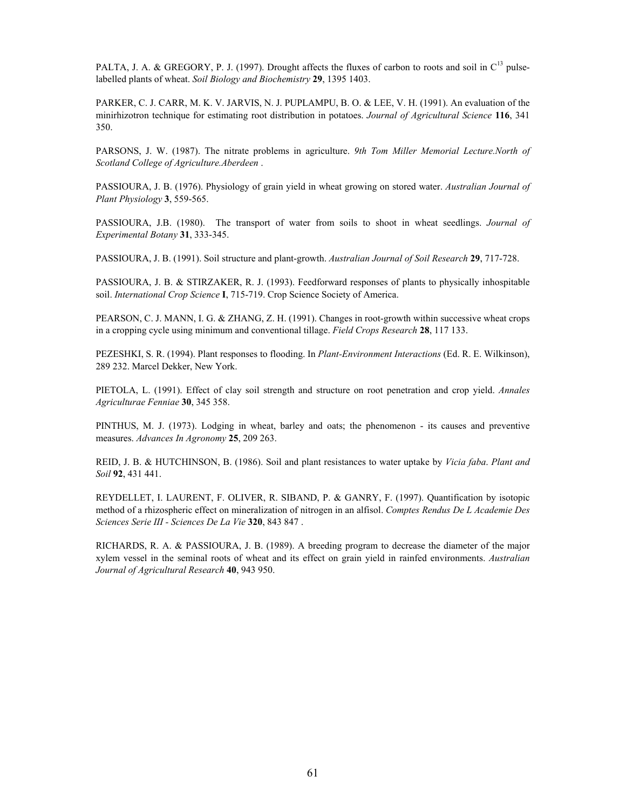PALTA, J. A. & GREGORY, P. J. (1997). Drought affects the fluxes of carbon to roots and soil in  $C^{13}$  pulselabelled plants of wheat. *Soil Biology and Biochemistry* **29**, 1395 1403.

PARKER, C. J. CARR, M. K. V. JARVIS, N. J. PUPLAMPU, B. O. & LEE, V. H. (1991). An evaluation of the minirhizotron technique for estimating root distribution in potatoes. *Journal of Agricultural Science* **116**, 341 350.

PARSONS, J. W. (1987). The nitrate problems in agriculture. *9th Tom Miller Memorial Lecture.North of Scotland College of Agriculture.Aberdeen* .

PASSIOURA, J. B. (1976). Physiology of grain yield in wheat growing on stored water. *Australian Journal of Plant Physiology* **3**, 559-565.

PASSIOURA, J.B. (1980). The transport of water from soils to shoot in wheat seedlings. *Journal of Experimental Botany* **31**, 333-345.

PASSIOURA, J. B. (1991). Soil structure and plant-growth. *Australian Journal of Soil Research* **29**, 717-728.

PASSIOURA, J. B. & STIRZAKER, R. J. (1993). Feedforward responses of plants to physically inhospitable soil. *International Crop Science* **I**, 715-719. Crop Science Society of America.

PEARSON, C. J. MANN, I. G. & ZHANG, Z. H. (1991). Changes in root-growth within successive wheat crops in a cropping cycle using minimum and conventional tillage. *Field Crops Research* **28**, 117 133.

PEZESHKI, S. R. (1994). Plant responses to flooding. In *Plant-Environment Interactions* (Ed. R. E. Wilkinson), 289 232. Marcel Dekker, New York.

PIETOLA, L. (1991). Effect of clay soil strength and structure on root penetration and crop yield. *Annales Agriculturae Fenniae* **30**, 345 358.

PINTHUS, M. J. (1973). Lodging in wheat, barley and oats; the phenomenon - its causes and preventive measures. *Advances In Agronomy* **25**, 209 263.

REID, J. B. & HUTCHINSON, B. (1986). Soil and plant resistances to water uptake by *Vicia faba*. *Plant and Soil* **92**, 431 441.

REYDELLET, I. LAURENT, F. OLIVER, R. SIBAND, P. & GANRY, F. (1997). Quantification by isotopic method of a rhizospheric effect on mineralization of nitrogen in an alfisol. *Comptes Rendus De L Academie Des Sciences Serie III - Sciences De La Vie* **320**, 843 847 .

RICHARDS, R. A. & PASSIOURA, J. B. (1989). A breeding program to decrease the diameter of the major xylem vessel in the seminal roots of wheat and its effect on grain yield in rainfed environments. *Australian Journal of Agricultural Research* **40**, 943 950.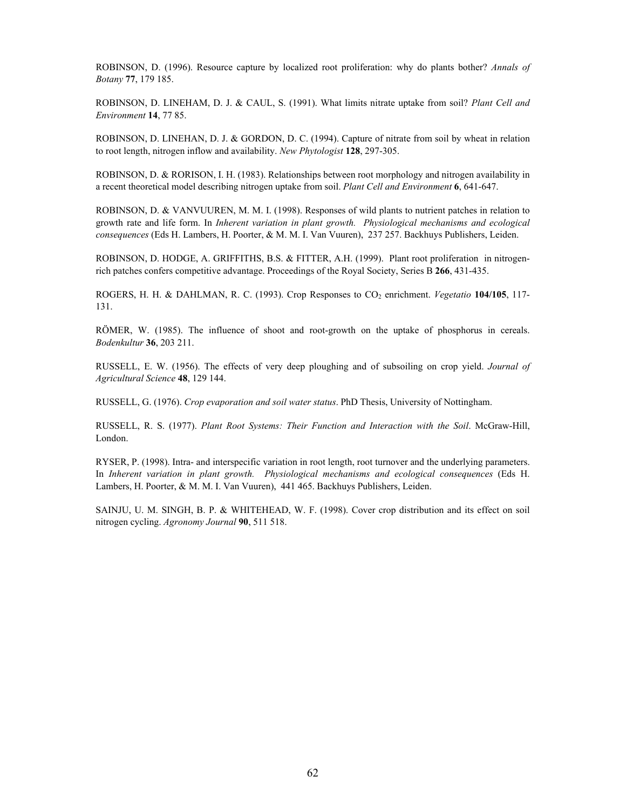ROBINSON, D. (1996). Resource capture by localized root proliferation: why do plants bother? *Annals of Botany* **77**, 179 185.

ROBINSON, D. LINEHAM, D. J. & CAUL, S. (1991). What limits nitrate uptake from soil? *Plant Cell and Environment* **14**, 77 85.

ROBINSON, D. LINEHAN, D. J. & GORDON, D. C. (1994). Capture of nitrate from soil by wheat in relation to root length, nitrogen inflow and availability. *New Phytologist* **128**, 297-305.

ROBINSON, D. & RORISON, I. H. (1983). Relationships between root morphology and nitrogen availability in a recent theoretical model describing nitrogen uptake from soil. *Plant Cell and Environment* **6**, 641-647.

ROBINSON, D. & VANVUUREN, M. M. I. (1998). Responses of wild plants to nutrient patches in relation to growth rate and life form. In *Inherent variation in plant growth. Physiological mechanisms and ecological consequences* (Eds H. Lambers, H. Poorter, & M. M. I. Van Vuuren), 237 257. Backhuys Publishers, Leiden.

ROBINSON, D. HODGE, A. GRIFFITHS, B.S. & FITTER, A.H. (1999). Plant root proliferation in nitrogenrich patches confers competitive advantage. Proceedings of the Royal Society, Series B **266**, 431-435.

ROGERS, H. H. & DAHLMAN, R. C. (1993). Crop Responses to CO<sub>2</sub> enrichment. *Vegetatio* 104/105, 117-131.

RÖMER, W. (1985). The influence of shoot and root-growth on the uptake of phosphorus in cereals. *Bodenkultur* **36**, 203 211.

RUSSELL, E. W. (1956). The effects of very deep ploughing and of subsoiling on crop yield. *Journal of Agricultural Science* **48**, 129 144.

RUSSELL, G. (1976). *Crop evaporation and soil water status*. PhD Thesis, University of Nottingham.

RUSSELL, R. S. (1977). *Plant Root Systems: Their Function and Interaction with the Soil*. McGraw-Hill, London.

RYSER, P. (1998). Intra- and interspecific variation in root length, root turnover and the underlying parameters. In *Inherent variation in plant growth. Physiological mechanisms and ecological consequences* (Eds H. Lambers, H. Poorter, & M. M. I. Van Vuuren), 441 465. Backhuys Publishers, Leiden.

SAINJU, U. M. SINGH, B. P. & WHITEHEAD, W. F. (1998). Cover crop distribution and its effect on soil nitrogen cycling. *Agronomy Journal* **90**, 511 518.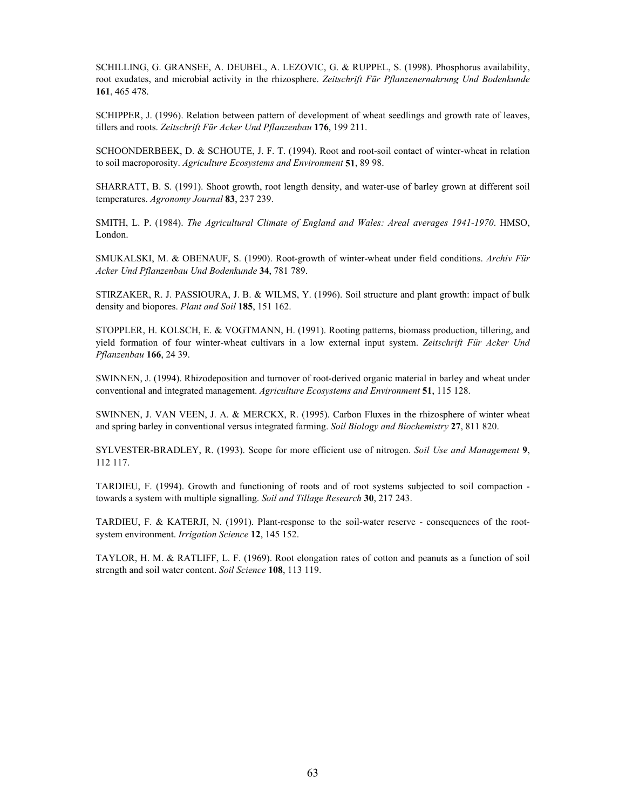SCHILLING, G. GRANSEE, A. DEUBEL, A. LEZOVIC, G. & RUPPEL, S. (1998). Phosphorus availability, root exudates, and microbial activity in the rhizosphere. *Zeitschrift Für Pflanzenernahrung Und Bodenkunde* **161**, 465 478.

SCHIPPER, J. (1996). Relation between pattern of development of wheat seedlings and growth rate of leaves, tillers and roots. *Zeitschrift Für Acker Und Pflanzenbau* **176**, 199 211.

SCHOONDERBEEK, D. & SCHOUTE, J. F. T. (1994). Root and root-soil contact of winter-wheat in relation to soil macroporosity. *Agriculture Ecosystems and Environment* **51**, 89 98.

SHARRATT, B. S. (1991). Shoot growth, root length density, and water-use of barley grown at different soil temperatures. *Agronomy Journal* **83**, 237 239.

SMITH, L. P. (1984). *The Agricultural Climate of England and Wales: Areal averages 1941-1970*. HMSO, London.

SMUKALSKI, M. & OBENAUF, S. (1990). Root-growth of winter-wheat under field conditions. *Archiv Für Acker Und Pflanzenbau Und Bodenkunde* **34**, 781 789.

STIRZAKER, R. J. PASSIOURA, J. B. & WILMS, Y. (1996). Soil structure and plant growth: impact of bulk density and biopores. *Plant and Soil* **185**, 151 162.

STOPPLER, H. KOLSCH, E. & VOGTMANN, H. (1991). Rooting patterns, biomass production, tillering, and yield formation of four winter-wheat cultivars in a low external input system. *Zeitschrift Für Acker Und Pflanzenbau* **166**, 24 39.

SWINNEN, J. (1994). Rhizodeposition and turnover of root-derived organic material in barley and wheat under conventional and integrated management. *Agriculture Ecosystems and Environment* **51**, 115 128.

SWINNEN, J. VAN VEEN, J. A. & MERCKX, R. (1995). Carbon Fluxes in the rhizosphere of winter wheat and spring barley in conventional versus integrated farming. *Soil Biology and Biochemistry* **27**, 811 820.

SYLVESTER-BRADLEY, R. (1993). Scope for more efficient use of nitrogen. *Soil Use and Management* **9**, 112 117.

TARDIEU, F. (1994). Growth and functioning of roots and of root systems subjected to soil compaction towards a system with multiple signalling. *Soil and Tillage Research* **30**, 217 243.

TARDIEU, F. & KATERJI, N. (1991). Plant-response to the soil-water reserve - consequences of the rootsystem environment. *Irrigation Science* **12**, 145 152.

TAYLOR, H. M. & RATLIFF, L. F. (1969). Root elongation rates of cotton and peanuts as a function of soil strength and soil water content. *Soil Science* **108**, 113 119.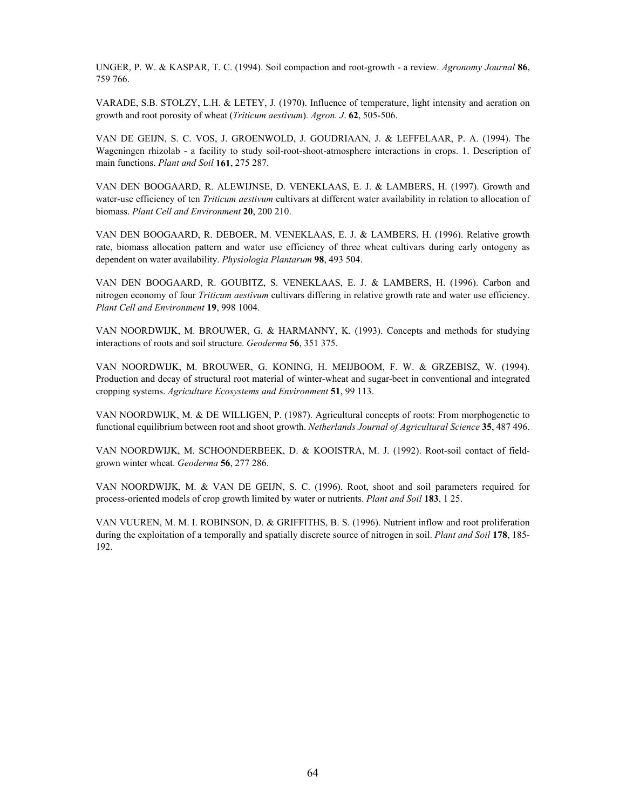UNGER, P. W. & KASPAR, T. C. (1994). Soil compaction and root-growth - a review. *Agronomy Journal* **86**, 759 766.

VARADE, S.B. STOLZY, L.H. & LETEY, J. (1970). Influence of temperature, light intensity and aeration on growth and root porosity of wheat (*Triticum aestivum*). *Agron. J*. **62**, 505-506.

VAN DE GEIJN, S. C. VOS, J. GROENWOLD, J. GOUDRIAAN, J. & LEFFELAAR, P. A. (1994). The Wageningen rhizolab - a facility to study soil-root-shoot-atmosphere interactions in crops. 1. Description of main functions. *Plant and Soil* **161**, 275 287.

VAN DEN BOOGAARD, R. ALEWIJNSE, D. VENEKLAAS, E. J. & LAMBERS, H. (1997). Growth and water-use efficiency of ten *Triticum aestivum* cultivars at different water availability in relation to allocation of biomass. *Plant Cell and Environment* **20**, 200 210.

VAN DEN BOOGAARD, R. DEBOER, M. VENEKLAAS, E. J. & LAMBERS, H. (1996). Relative growth rate, biomass allocation pattern and water use efficiency of three wheat cultivars during early ontogeny as dependent on water availability. *Physiologia Plantarum* **98**, 493 504.

VAN DEN BOOGAARD, R. GOUBITZ, S. VENEKLAAS, E. J. & LAMBERS, H. (1996). Carbon and nitrogen economy of four *Triticum aestivum* cultivars differing in relative growth rate and water use efficiency. *Plant Cell and Environment* **19**, 998 1004.

VAN NOORDWIJK, M. BROUWER, G. & HARMANNY, K. (1993). Concepts and methods for studying interactions of roots and soil structure. *Geoderma* **56**, 351 375.

VAN NOORDWIJK, M. BROUWER, G. KONING, H. MEIJBOOM, F. W. & GRZEBISZ, W. (1994). Production and decay of structural root material of winter-wheat and sugar-beet in conventional and integrated cropping systems. *Agriculture Ecosystems and Environment* **51**, 99 113.

VAN NOORDWIJK, M. & DE WILLIGEN, P. (1987). Agricultural concepts of roots: From morphogenetic to functional equilibrium between root and shoot growth. *Netherlands Journal of Agricultural Science* **35**, 487 496.

VAN NOORDWIJK, M. SCHOONDERBEEK, D. & KOOISTRA, M. J. (1992). Root-soil contact of fieldgrown winter wheat. *Geoderma* **56**, 277 286.

VAN NOORDWIJK, M. & VAN DE GEIJN, S. C. (1996). Root, shoot and soil parameters required for process-oriented models of crop growth limited by water or nutrients. *Plant and Soil* **183**, 1 25.

VAN VUUREN, M. M. I. ROBINSON, D. & GRIFFITHS, B. S. (1996). Nutrient inflow and root proliferation during the exploitation of a temporally and spatially discrete source of nitrogen in soil. *Plant and Soil* **178**, 185- 192.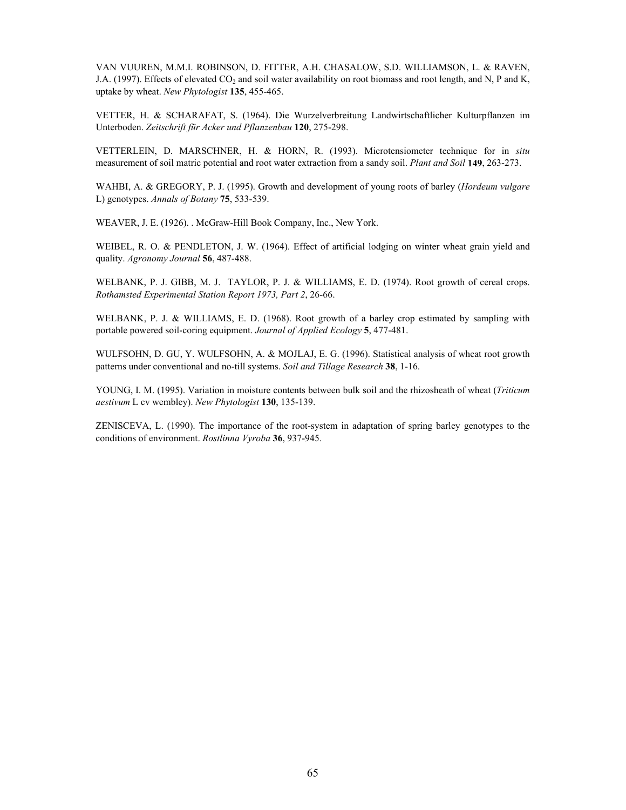VAN VUUREN, M.M.I. ROBINSON, D. FITTER, A.H. CHASALOW, S.D. WILLIAMSON, L. & RAVEN, J.A. (1997). Effects of elevated CO<sub>2</sub> and soil water availability on root biomass and root length, and N, P and K, uptake by wheat. *New Phytologist* **135**, 455-465.

VETTER, H. & SCHARAFAT, S. (1964). Die Wurzelverbreitung Landwirtschaftlicher Kulturpflanzen im Unterboden. *Zeitschrift für Acker und Pflanzenbau* **120**, 275-298.

VETTERLEIN, D. MARSCHNER, H. & HORN, R. (1993). Microtensiometer technique for in *situ* measurement of soil matric potential and root water extraction from a sandy soil. *Plant and Soil* **149**, 263-273.

WAHBI, A. & GREGORY, P. J. (1995). Growth and development of young roots of barley (*Hordeum vulgare* L) genotypes. *Annals of Botany* **75**, 533-539.

WEAVER, J. E. (1926). . McGraw-Hill Book Company, Inc., New York.

WEIBEL, R. O. & PENDLETON, J. W. (1964). Effect of artificial lodging on winter wheat grain yield and quality. *Agronomy Journal* **56**, 487-488.

WELBANK, P. J. GIBB, M. J. TAYLOR, P. J. & WILLIAMS, E. D. (1974). Root growth of cereal crops. *Rothamsted Experimental Station Report 1973, Part 2*, 26-66.

WELBANK, P. J. & WILLIAMS, E. D. (1968). Root growth of a barley crop estimated by sampling with portable powered soil-coring equipment. *Journal of Applied Ecology* **5**, 477-481.

WULFSOHN, D. GU, Y. WULFSOHN, A. & MOJLAJ, E. G. (1996). Statistical analysis of wheat root growth patterns under conventional and no-till systems. *Soil and Tillage Research* **38**, 1-16.

YOUNG, I. M. (1995). Variation in moisture contents between bulk soil and the rhizosheath of wheat (*Triticum aestivum* L cv wembley). *New Phytologist* **130**, 135-139.

ZENISCEVA, L. (1990). The importance of the root-system in adaptation of spring barley genotypes to the conditions of environment. *Rostlinna Vyroba* **36**, 937-945.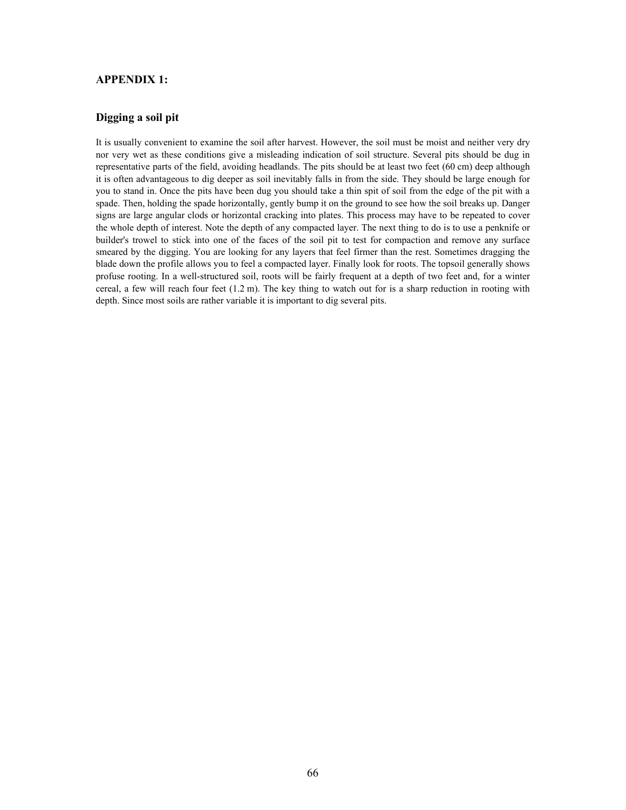#### **APPENDIX 1:**

#### **Digging a soil pit**

It is usually convenient to examine the soil after harvest. However, the soil must be moist and neither very dry nor very wet as these conditions give a misleading indication of soil structure. Several pits should be dug in representative parts of the field, avoiding headlands. The pits should be at least two feet (60 cm) deep although it is often advantageous to dig deeper as soil inevitably falls in from the side. They should be large enough for you to stand in. Once the pits have been dug you should take a thin spit of soil from the edge of the pit with a spade. Then, holding the spade horizontally, gently bump it on the ground to see how the soil breaks up. Danger signs are large angular clods or horizontal cracking into plates. This process may have to be repeated to cover the whole depth of interest. Note the depth of any compacted layer. The next thing to do is to use a penknife or builder's trowel to stick into one of the faces of the soil pit to test for compaction and remove any surface smeared by the digging. You are looking for any layers that feel firmer than the rest. Sometimes dragging the blade down the profile allows you to feel a compacted layer. Finally look for roots. The topsoil generally shows profuse rooting. In a well-structured soil, roots will be fairly frequent at a depth of two feet and, for a winter cereal, a few will reach four feet  $(1.2 \text{ m})$ . The key thing to watch out for is a sharp reduction in rooting with depth. Since most soils are rather variable it is important to dig several pits.